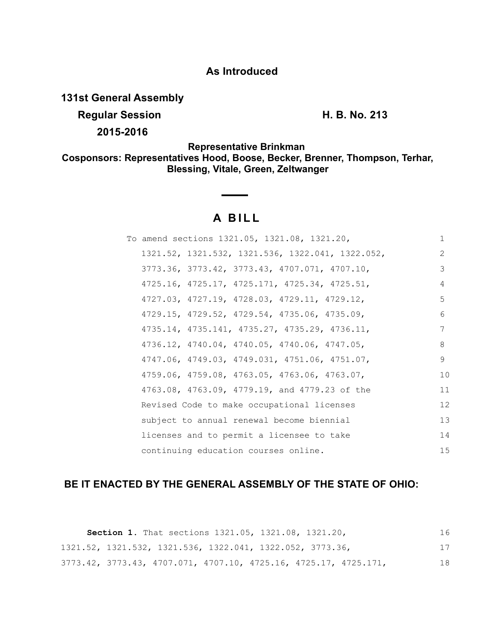# **As Introduced**

**131st General Assembly**

**Regular Session H. B. No. 213** 

**2015-2016**

**Representative Brinkman Cosponsors: Representatives Hood, Boose, Becker, Brenner, Thompson, Terhar, Blessing, Vitale, Green, Zeltwanger**

# **A BILL**

|  | To amend sections 1321.05, 1321.08, 1321.20,     | $\mathbf{1}$ |
|--|--------------------------------------------------|--------------|
|  | 1321.52, 1321.532, 1321.536, 1322.041, 1322.052, | 2            |
|  | 3773.36, 3773.42, 3773.43, 4707.071, 4707.10,    | 3            |
|  | 4725.16, 4725.17, 4725.171, 4725.34, 4725.51,    | 4            |
|  | 4727.03, 4727.19, 4728.03, 4729.11, 4729.12,     | 5            |
|  | 4729.15, 4729.52, 4729.54, 4735.06, 4735.09,     | 6            |
|  | 4735.14, 4735.141, 4735.27, 4735.29, 4736.11,    | 7            |
|  | 4736.12, 4740.04, 4740.05, 4740.06, 4747.05,     | 8            |
|  | 4747.06, 4749.03, 4749.031, 4751.06, 4751.07,    | 9            |
|  | 4759.06, 4759.08, 4763.05, 4763.06, 4763.07,     | 10           |
|  | 4763.08, 4763.09, 4779.19, and 4779.23 of the    | 11           |
|  | Revised Code to make occupational licenses       | 12           |
|  | subject to annual renewal become biennial        | 13           |
|  | licenses and to permit a licensee to take        | 14           |
|  | continuing education courses online.             | 15           |

# **BE IT ENACTED BY THE GENERAL ASSEMBLY OF THE STATE OF OHIO:**

**Section 1.** That sections 1321.05, 1321.08, 1321.20, 1321.52, 1321.532, 1321.536, 1322.041, 1322.052, 3773.36, 3773.42, 3773.43, 4707.071, 4707.10, 4725.16, 4725.17, 4725.171, 16 17 18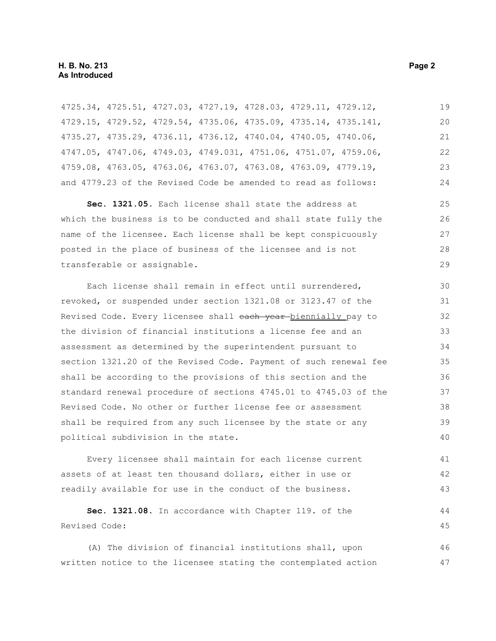4725.34, 4725.51, 4727.03, 4727.19, 4728.03, 4729.11, 4729.12, 4729.15, 4729.52, 4729.54, 4735.06, 4735.09, 4735.14, 4735.141, 4735.27, 4735.29, 4736.11, 4736.12, 4740.04, 4740.05, 4740.06, 4747.05, 4747.06, 4749.03, 4749.031, 4751.06, 4751.07, 4759.06, 4759.08, 4763.05, 4763.06, 4763.07, 4763.08, 4763.09, 4779.19, and 4779.23 of the Revised Code be amended to read as follows: 19 20 21 22 23 24

**Sec. 1321.05.** Each license shall state the address at which the business is to be conducted and shall state fully the name of the licensee. Each license shall be kept conspicuously posted in the place of business of the licensee and is not transferable or assignable. 25 26 27 28 29

Each license shall remain in effect until surrendered, revoked, or suspended under section 1321.08 or 3123.47 of the Revised Code. Every licensee shall each year biennially pay to the division of financial institutions a license fee and an assessment as determined by the superintendent pursuant to section 1321.20 of the Revised Code. Payment of such renewal fee shall be according to the provisions of this section and the standard renewal procedure of sections 4745.01 to 4745.03 of the Revised Code. No other or further license fee or assessment shall be required from any such licensee by the state or any political subdivision in the state. 30 31 32 33 34 35 36 37 38 39 40

Every licensee shall maintain for each license current assets of at least ten thousand dollars, either in use or readily available for use in the conduct of the business. 41 42 43

```
Sec. 1321.08. In accordance with Chapter 119. of the
Revised Code:
                                                                          44
                                                                          45
```
(A) The division of financial institutions shall, upon written notice to the licensee stating the contemplated action 46 47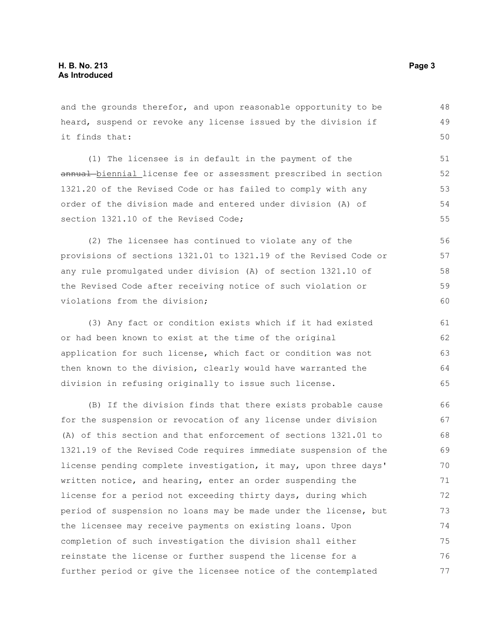and the grounds therefor, and upon reasonable opportunity to be heard, suspend or revoke any license issued by the division if it finds that:

(1) The licensee is in default in the payment of the annual-biennial license fee or assessment prescribed in section 1321.20 of the Revised Code or has failed to comply with any order of the division made and entered under division (A) of section 1321.10 of the Revised Code:

(2) The licensee has continued to violate any of the provisions of sections 1321.01 to 1321.19 of the Revised Code or any rule promulgated under division (A) of section 1321.10 of the Revised Code after receiving notice of such violation or violations from the division;

(3) Any fact or condition exists which if it had existed or had been known to exist at the time of the original application for such license, which fact or condition was not then known to the division, clearly would have warranted the division in refusing originally to issue such license. 61 62 63 64 65

(B) If the division finds that there exists probable cause for the suspension or revocation of any license under division (A) of this section and that enforcement of sections 1321.01 to 1321.19 of the Revised Code requires immediate suspension of the license pending complete investigation, it may, upon three days' written notice, and hearing, enter an order suspending the license for a period not exceeding thirty days, during which period of suspension no loans may be made under the license, but the licensee may receive payments on existing loans. Upon completion of such investigation the division shall either reinstate the license or further suspend the license for a further period or give the licensee notice of the contemplated 66 67 68 69 70 71 72 73 74 75 76 77

48 49 50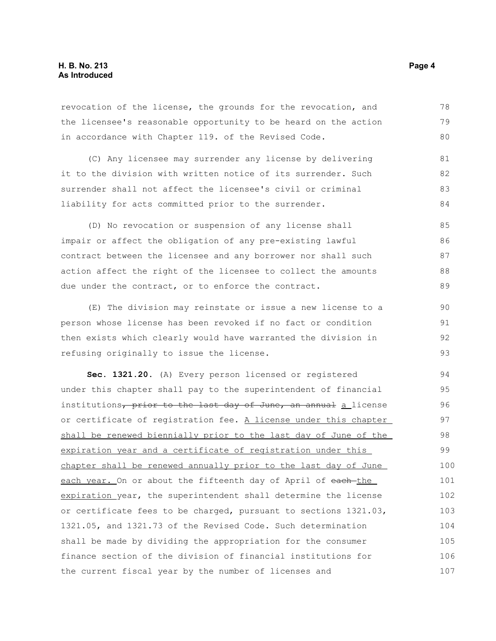revocation of the license, the grounds for the revocation, and the licensee's reasonable opportunity to be heard on the action in accordance with Chapter 119. of the Revised Code. 78 79 80

(C) Any licensee may surrender any license by delivering it to the division with written notice of its surrender. Such surrender shall not affect the licensee's civil or criminal liability for acts committed prior to the surrender. 81 82 83 84

(D) No revocation or suspension of any license shall impair or affect the obligation of any pre-existing lawful contract between the licensee and any borrower nor shall such action affect the right of the licensee to collect the amounts due under the contract, or to enforce the contract. 85 86 87 88 89

(E) The division may reinstate or issue a new license to a person whose license has been revoked if no fact or condition then exists which clearly would have warranted the division in refusing originally to issue the license.

**Sec. 1321.20.** (A) Every person licensed or registered under this chapter shall pay to the superintendent of financial institutions, prior to the last day of June, an annual a license or certificate of registration fee. A license under this chapter shall be renewed biennially prior to the last day of June of the expiration year and a certificate of registration under this chapter shall be renewed annually prior to the last day of June each year. On or about the fifteenth day of April of each-the expiration year, the superintendent shall determine the license or certificate fees to be charged, pursuant to sections 1321.03, 1321.05, and 1321.73 of the Revised Code. Such determination shall be made by dividing the appropriation for the consumer finance section of the division of financial institutions for the current fiscal year by the number of licenses and 94 95 96 97 98 99 100 101 102 103 104 105 106 107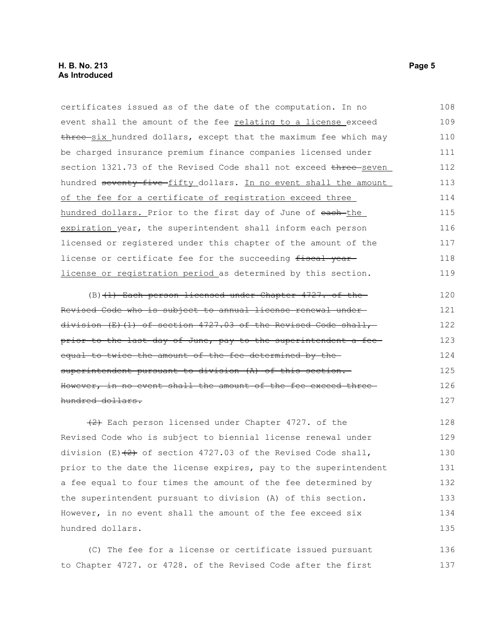| certificates issued as of the date of the computation. In no     | 108 |
|------------------------------------------------------------------|-----|
| event shall the amount of the fee relating to a license exceed   | 109 |
| three six hundred dollars, except that the maximum fee which may | 110 |
| be charged insurance premium finance companies licensed under    | 111 |
| section 1321.73 of the Revised Code shall not exceed three seven | 112 |
| hundred seventy-five-fifty_dollars. In no event shall the amount | 113 |
| of the fee for a certificate of registration exceed three        | 114 |
| hundred dollars. Prior to the first day of June of each-the      | 115 |
| expiration year, the superintendent shall inform each person     | 116 |
| licensed or registered under this chapter of the amount of the   | 117 |
| license or certificate fee for the succeeding fiscal year-       | 118 |
| license or registration period as determined by this section.    | 119 |
| (B) (1) Each person licensed under Chapter 4727. of the          | 120 |
| Revised Code who is subject to annual license renewal under-     | 121 |
| $division$ (E)(1) of section 4727.03 of the Revised Code shall,  | 122 |
| prior to the last day of June, pay to the superintendent a fee-  | 123 |
| equal to twice the amount of the fee determined by the-          | 124 |
| superintendent pursuant to division (A) of this section.         | 125 |
| However, in no event shall the amount of the fee exceed three-   | 126 |
| hundred dollars.                                                 | 127 |
| $\{2\}$ Each person licensed under Chapter 4727. of the          | 128 |
| Revised Code who is subject to biennial license renewal under    | 129 |
| division (E) $(2)$ of section 4727.03 of the Revised Code shall, | 130 |
| prior to the date the license expires, pay to the superintendent | 131 |
| a fee equal to four times the amount of the fee determined by    | 132 |
| the superintendent pursuant to division (A) of this section.     | 133 |
| However, in no event shall the amount of the fee exceed six      | 134 |
| hundred dollars.                                                 | 135 |
| (C) The fee for a license or certificate issued pursuant         | 136 |

to Chapter 4727. or 4728. of the Revised Code after the first 137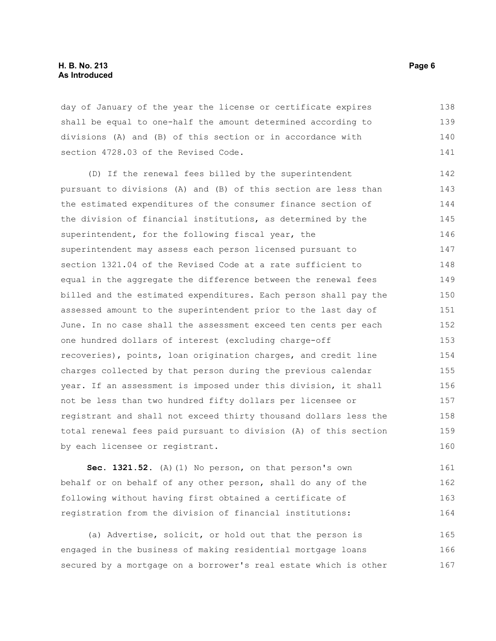#### **H. B. No. 213 Page 6 As Introduced**

day of January of the year the license or certificate expires shall be equal to one-half the amount determined according to divisions (A) and (B) of this section or in accordance with section 4728.03 of the Revised Code. 138 139 140 141

(D) If the renewal fees billed by the superintendent pursuant to divisions (A) and (B) of this section are less than the estimated expenditures of the consumer finance section of the division of financial institutions, as determined by the superintendent, for the following fiscal year, the superintendent may assess each person licensed pursuant to section 1321.04 of the Revised Code at a rate sufficient to equal in the aggregate the difference between the renewal fees billed and the estimated expenditures. Each person shall pay the assessed amount to the superintendent prior to the last day of June. In no case shall the assessment exceed ten cents per each one hundred dollars of interest (excluding charge-off recoveries), points, loan origination charges, and credit line charges collected by that person during the previous calendar year. If an assessment is imposed under this division, it shall not be less than two hundred fifty dollars per licensee or registrant and shall not exceed thirty thousand dollars less the total renewal fees paid pursuant to division (A) of this section by each licensee or registrant. 142 143 144 145 146 147 148 149 150 151 152 153 154 155 156 157 158 159 160

**Sec. 1321.52.** (A)(1) No person, on that person's own behalf or on behalf of any other person, shall do any of the following without having first obtained a certificate of registration from the division of financial institutions: 161 162 163 164

(a) Advertise, solicit, or hold out that the person is engaged in the business of making residential mortgage loans secured by a mortgage on a borrower's real estate which is other 165 166 167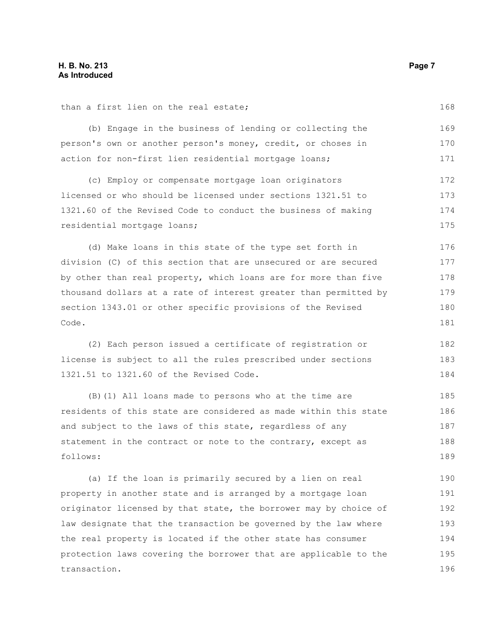than a first lien on the real estate; (b) Engage in the business of lending or collecting the person's own or another person's money, credit, or choses in action for non-first lien residential mortgage loans; (c) Employ or compensate mortgage loan originators licensed or who should be licensed under sections 1321.51 to 1321.60 of the Revised Code to conduct the business of making residential mortgage loans; (d) Make loans in this state of the type set forth in 169 170 171 172 173 174 175 176

division (C) of this section that are unsecured or are secured by other than real property, which loans are for more than five thousand dollars at a rate of interest greater than permitted by section 1343.01 or other specific provisions of the Revised Code. 177 178 179 180 181

(2) Each person issued a certificate of registration or license is subject to all the rules prescribed under sections 1321.51 to 1321.60 of the Revised Code. 182 183 184

(B)(1) All loans made to persons who at the time are residents of this state are considered as made within this state and subject to the laws of this state, regardless of any statement in the contract or note to the contrary, except as follows: 185 186 187 188 189

(a) If the loan is primarily secured by a lien on real property in another state and is arranged by a mortgage loan originator licensed by that state, the borrower may by choice of law designate that the transaction be governed by the law where the real property is located if the other state has consumer protection laws covering the borrower that are applicable to the transaction. 190 191 192 193 194 195 196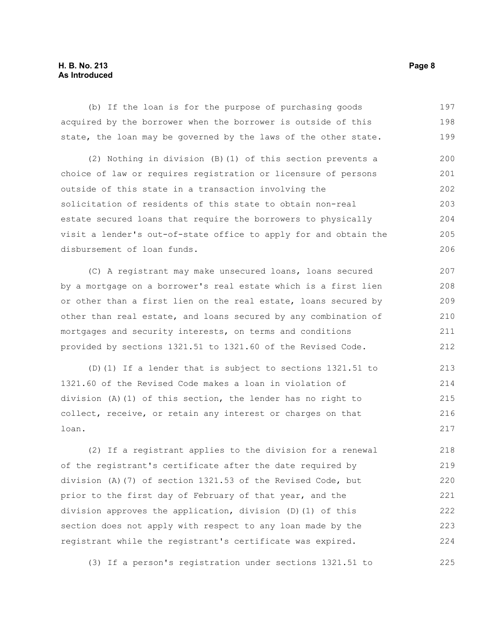# **H. B. No. 213 Page 8 As Introduced**

(b) If the loan is for the purpose of purchasing goods acquired by the borrower when the borrower is outside of this state, the loan may be governed by the laws of the other state. 197 198 199

(2) Nothing in division (B)(1) of this section prevents a choice of law or requires registration or licensure of persons outside of this state in a transaction involving the solicitation of residents of this state to obtain non-real estate secured loans that require the borrowers to physically visit a lender's out-of-state office to apply for and obtain the disbursement of loan funds. 200 201 202 203 204 205 206

(C) A registrant may make unsecured loans, loans secured by a mortgage on a borrower's real estate which is a first lien or other than a first lien on the real estate, loans secured by other than real estate, and loans secured by any combination of mortgages and security interests, on terms and conditions provided by sections 1321.51 to 1321.60 of the Revised Code. 207 208 209 210 211 212

(D)(1) If a lender that is subject to sections 1321.51 to 1321.60 of the Revised Code makes a loan in violation of division (A)(1) of this section, the lender has no right to collect, receive, or retain any interest or charges on that loan. 213 214 215 216 217

(2) If a registrant applies to the division for a renewal of the registrant's certificate after the date required by division (A)(7) of section 1321.53 of the Revised Code, but prior to the first day of February of that year, and the division approves the application, division (D)(1) of this section does not apply with respect to any loan made by the registrant while the registrant's certificate was expired. 218 219 220 221 222 223 224

(3) If a person's registration under sections 1321.51 to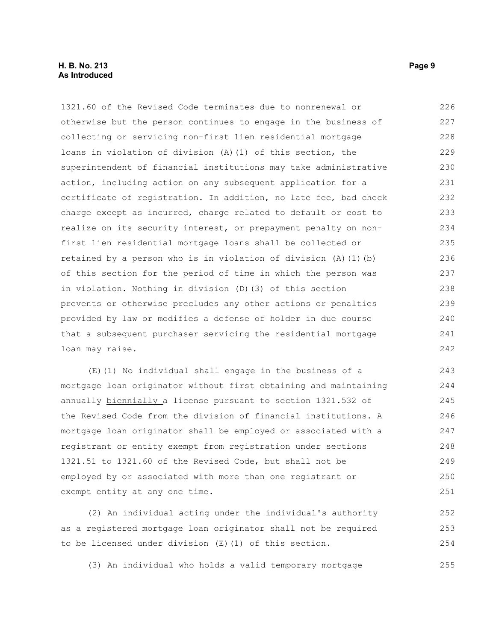## **H. B. No. 213 Page 9 As Introduced**

1321.60 of the Revised Code terminates due to nonrenewal or otherwise but the person continues to engage in the business of collecting or servicing non-first lien residential mortgage loans in violation of division (A)(1) of this section, the superintendent of financial institutions may take administrative action, including action on any subsequent application for a certificate of registration. In addition, no late fee, bad check charge except as incurred, charge related to default or cost to realize on its security interest, or prepayment penalty on nonfirst lien residential mortgage loans shall be collected or retained by a person who is in violation of division (A)(1)(b) of this section for the period of time in which the person was in violation. Nothing in division (D)(3) of this section prevents or otherwise precludes any other actions or penalties provided by law or modifies a defense of holder in due course that a subsequent purchaser servicing the residential mortgage loan may raise. 226 227 228 229 230 231 232 233 234 235 236 237 238 239 240 241 242

(E)(1) No individual shall engage in the business of a mortgage loan originator without first obtaining and maintaining annually biennially a license pursuant to section 1321.532 of the Revised Code from the division of financial institutions. A mortgage loan originator shall be employed or associated with a registrant or entity exempt from registration under sections 1321.51 to 1321.60 of the Revised Code, but shall not be employed by or associated with more than one registrant or exempt entity at any one time. 243 244 245 246 247 248 249 250 251

(2) An individual acting under the individual's authority as a registered mortgage loan originator shall not be required to be licensed under division (E)(1) of this section. 252 253 254

(3) An individual who holds a valid temporary mortgage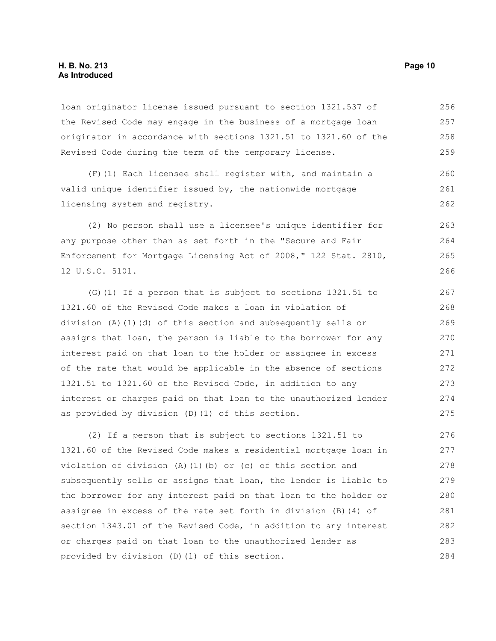loan originator license issued pursuant to section 1321.537 of the Revised Code may engage in the business of a mortgage loan originator in accordance with sections 1321.51 to 1321.60 of the Revised Code during the term of the temporary license. 256 257 258 259

(F)(1) Each licensee shall register with, and maintain a valid unique identifier issued by, the nationwide mortgage licensing system and registry. 260 261 262

(2) No person shall use a licensee's unique identifier for any purpose other than as set forth in the "Secure and Fair Enforcement for Mortgage Licensing Act of 2008," 122 Stat. 2810, 12 U.S.C. 5101. 263 264 265 266

(G)(1) If a person that is subject to sections 1321.51 to 1321.60 of the Revised Code makes a loan in violation of division (A)(1)(d) of this section and subsequently sells or assigns that loan, the person is liable to the borrower for any interest paid on that loan to the holder or assignee in excess of the rate that would be applicable in the absence of sections 1321.51 to 1321.60 of the Revised Code, in addition to any interest or charges paid on that loan to the unauthorized lender as provided by division (D)(1) of this section. 267 268 269 270 271 272 273 274 275

(2) If a person that is subject to sections 1321.51 to 1321.60 of the Revised Code makes a residential mortgage loan in violation of division (A)(1)(b) or (c) of this section and subsequently sells or assigns that loan, the lender is liable to the borrower for any interest paid on that loan to the holder or assignee in excess of the rate set forth in division (B)(4) of section 1343.01 of the Revised Code, in addition to any interest or charges paid on that loan to the unauthorized lender as provided by division (D)(1) of this section. 276 277 278 279 280 281 282 283 284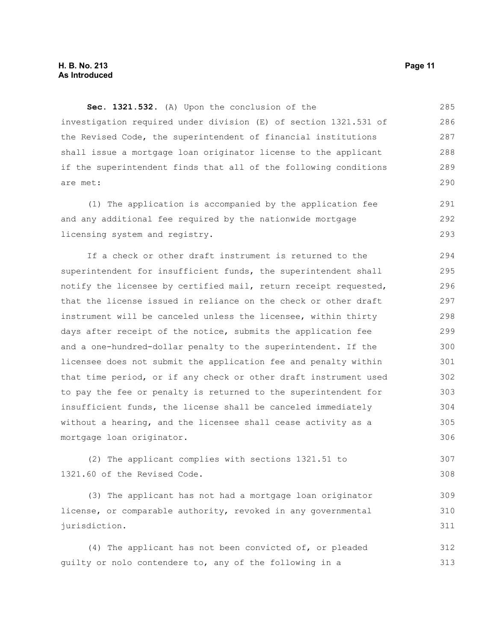**Sec. 1321.532.** (A) Upon the conclusion of the investigation required under division (E) of section 1321.531 of the Revised Code, the superintendent of financial institutions shall issue a mortgage loan originator license to the applicant if the superintendent finds that all of the following conditions are met: 285 286 287 288 289 290

(1) The application is accompanied by the application fee and any additional fee required by the nationwide mortgage licensing system and registry. 291 292 293

If a check or other draft instrument is returned to the superintendent for insufficient funds, the superintendent shall notify the licensee by certified mail, return receipt requested, that the license issued in reliance on the check or other draft instrument will be canceled unless the licensee, within thirty days after receipt of the notice, submits the application fee and a one-hundred-dollar penalty to the superintendent. If the licensee does not submit the application fee and penalty within that time period, or if any check or other draft instrument used to pay the fee or penalty is returned to the superintendent for insufficient funds, the license shall be canceled immediately without a hearing, and the licensee shall cease activity as a mortgage loan originator. 294 295 296 297 298 299 300 301 302 303 304 305 306

(2) The applicant complies with sections 1321.51 to 1321.60 of the Revised Code. 307 308

(3) The applicant has not had a mortgage loan originator license, or comparable authority, revoked in any governmental jurisdiction. 309 310 311

(4) The applicant has not been convicted of, or pleaded guilty or nolo contendere to, any of the following in a 312 313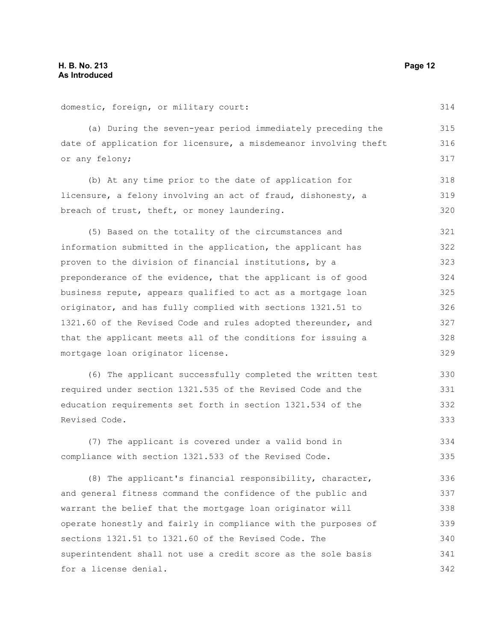domestic, foreign, or military court: (a) During the seven-year period immediately preceding the date of application for licensure, a misdemeanor involving theft or any felony; (b) At any time prior to the date of application for licensure, a felony involving an act of fraud, dishonesty, a breach of trust, theft, or money laundering. (5) Based on the totality of the circumstances and (6) The applicant successfully completed the written test (7) The applicant is covered under a valid bond in (8) The applicant's financial responsibility, character, 314 315 316 317 318 319 320 321 322 323 324 325 326 327 328 329 330 331 332 333 334 335 336

information submitted in the application, the applicant has proven to the division of financial institutions, by a preponderance of the evidence, that the applicant is of good business repute, appears qualified to act as a mortgage loan originator, and has fully complied with sections 1321.51 to 1321.60 of the Revised Code and rules adopted thereunder, and that the applicant meets all of the conditions for issuing a mortgage loan originator license.

required under section 1321.535 of the Revised Code and the education requirements set forth in section 1321.534 of the Revised Code.

compliance with section 1321.533 of the Revised Code.

and general fitness command the confidence of the public and warrant the belief that the mortgage loan originator will operate honestly and fairly in compliance with the purposes of sections 1321.51 to 1321.60 of the Revised Code. The superintendent shall not use a credit score as the sole basis for a license denial. 337 338 339 340 341 342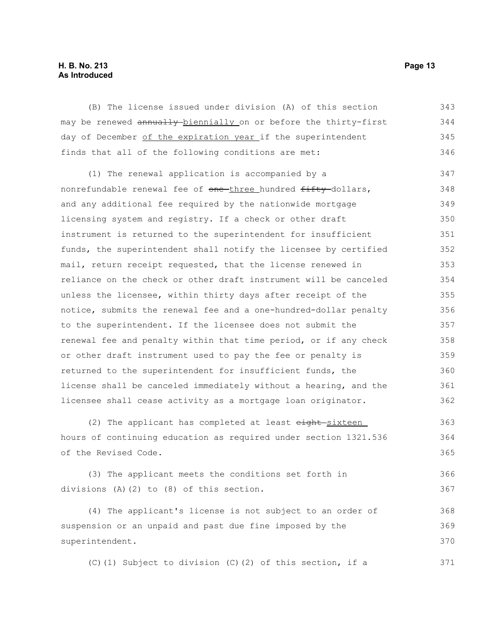# **H. B. No. 213 Page 13 As Introduced**

(B) The license issued under division (A) of this section may be renewed annually biennially on or before the thirty-first day of December of the expiration year if the superintendent finds that all of the following conditions are met: 343 344 345 346

(1) The renewal application is accompanied by a nonrefundable renewal fee of one-three hundred fifty-dollars, and any additional fee required by the nationwide mortgage licensing system and registry. If a check or other draft instrument is returned to the superintendent for insufficient funds, the superintendent shall notify the licensee by certified mail, return receipt requested, that the license renewed in reliance on the check or other draft instrument will be canceled unless the licensee, within thirty days after receipt of the notice, submits the renewal fee and a one-hundred-dollar penalty to the superintendent. If the licensee does not submit the renewal fee and penalty within that time period, or if any check or other draft instrument used to pay the fee or penalty is returned to the superintendent for insufficient funds, the license shall be canceled immediately without a hearing, and the licensee shall cease activity as a mortgage loan originator. 347 348 349 350 351 352 353 354 355 356 357 358 359 360 361 362

(2) The applicant has completed at least eight-sixteen hours of continuing education as required under section 1321.536 of the Revised Code. 363 364 365

(3) The applicant meets the conditions set forth in divisions (A)(2) to (8) of this section. 366 367

(4) The applicant's license is not subject to an order of suspension or an unpaid and past due fine imposed by the superintendent. 368 369 370

(C)(1) Subject to division (C)(2) of this section, if a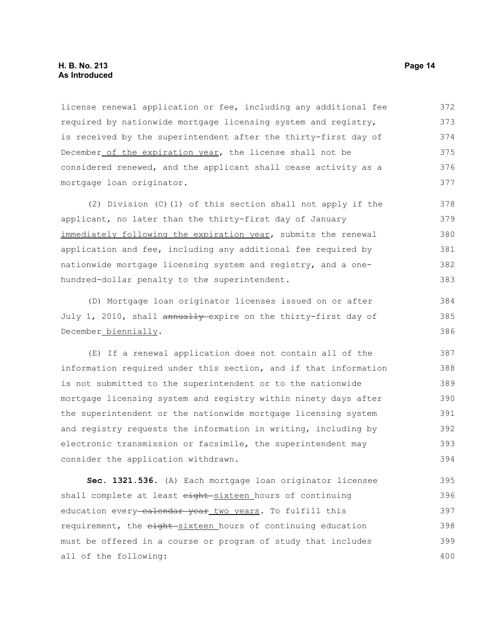license renewal application or fee, including any additional fee required by nationwide mortgage licensing system and registry, is received by the superintendent after the thirty-first day of December of the expiration year, the license shall not be considered renewed, and the applicant shall cease activity as a mortgage loan originator. 372 373 374 375 376 377

(2) Division (C)(1) of this section shall not apply if the applicant, no later than the thirty-first day of January immediately following the expiration year, submits the renewal application and fee, including any additional fee required by nationwide mortgage licensing system and registry, and a onehundred-dollar penalty to the superintendent. 378 379 380 381 382 383

(D) Mortgage loan originator licenses issued on or after July 1, 2010, shall annually expire on the thirty-first day of December biennially.

(E) If a renewal application does not contain all of the information required under this section, and if that information is not submitted to the superintendent or to the nationwide mortgage licensing system and registry within ninety days after the superintendent or the nationwide mortgage licensing system and registry requests the information in writing, including by electronic transmission or facsimile, the superintendent may consider the application withdrawn. 387 388 389 390 391 392 393 394

**Sec. 1321.536.** (A) Each mortgage loan originator licensee shall complete at least eight-sixteen hours of continuing education every calendar year two years. To fulfill this requirement, the eight-sixteen hours of continuing education must be offered in a course or program of study that includes all of the following: 395 396 397 398 399 400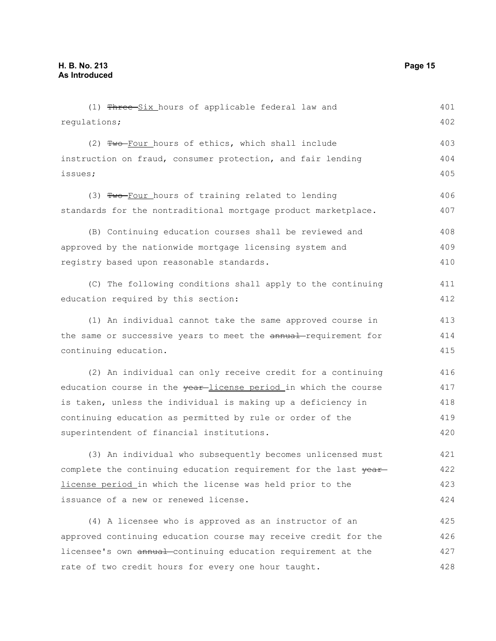(1) Three-Six hours of applicable federal law and regulations; (2) Two Four hours of ethics, which shall include instruction on fraud, consumer protection, and fair lending issues; (3) Two-Four hours of training related to lending standards for the nontraditional mortgage product marketplace. (B) Continuing education courses shall be reviewed and approved by the nationwide mortgage licensing system and registry based upon reasonable standards. (C) The following conditions shall apply to the continuing education required by this section: (1) An individual cannot take the same approved course in the same or successive years to meet the annual-requirement for continuing education. (2) An individual can only receive credit for a continuing education course in the vear-license period in which the course is taken, unless the individual is making up a deficiency in continuing education as permitted by rule or order of the superintendent of financial institutions. (3) An individual who subsequently becomes unlicensed must complete the continuing education requirement for the last year license period in which the license was held prior to the issuance of a new or renewed license. (4) A licensee who is approved as an instructor of an approved continuing education course may receive credit for the licensee's own annual-continuing education requirement at the rate of two credit hours for every one hour taught. 401 402 403 404 405 406 407 408 409 410 411 412 413 414 415 416 417 418 419 420 421 422 423 424 425 426 427 428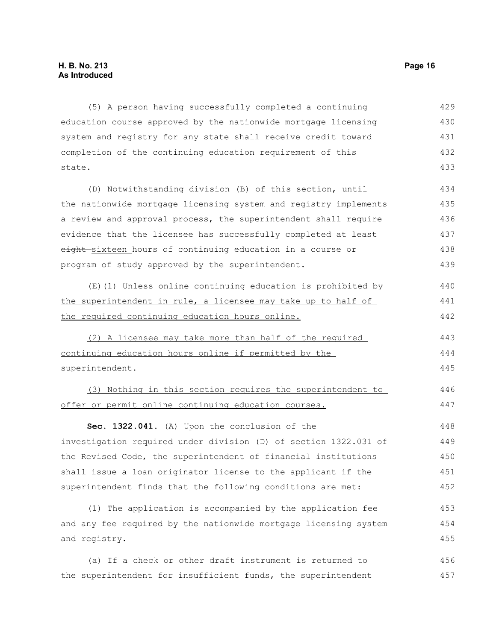(5) A person having successfully completed a continuing education course approved by the nationwide mortgage licensing system and registry for any state shall receive credit toward completion of the continuing education requirement of this state. (D) Notwithstanding division (B) of this section, until the nationwide mortgage licensing system and registry implements 429 430 431 432 433 434 435

a review and approval process, the superintendent shall require evidence that the licensee has successfully completed at least eight-sixteen hours of continuing education in a course or program of study approved by the superintendent. 436 437 438 439

(E)(1) Unless online continuing education is prohibited by the superintendent in rule, a licensee may take up to half of the required continuing education hours online. 440 441 442

(2) A licensee may take more than half of the required continuing education hours online if permitted by the superintendent. 443 444 445

(3) Nothing in this section requires the superintendent to offer or permit online continuing education courses. 446 447

**Sec. 1322.041.** (A) Upon the conclusion of the investigation required under division (D) of section 1322.031 of the Revised Code, the superintendent of financial institutions shall issue a loan originator license to the applicant if the superintendent finds that the following conditions are met: 448 449 450 451 452

(1) The application is accompanied by the application fee and any fee required by the nationwide mortgage licensing system and registry. 453 454 455

(a) If a check or other draft instrument is returned to the superintendent for insufficient funds, the superintendent 456 457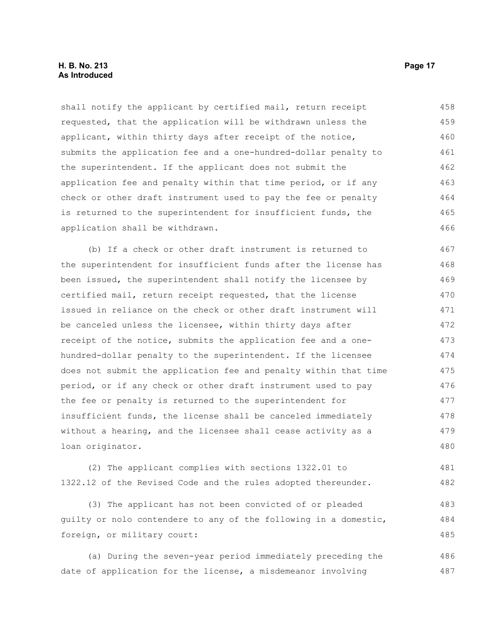## **H. B. No. 213 Page 17 As Introduced**

shall notify the applicant by certified mail, return receipt requested, that the application will be withdrawn unless the applicant, within thirty days after receipt of the notice, submits the application fee and a one-hundred-dollar penalty to the superintendent. If the applicant does not submit the application fee and penalty within that time period, or if any check or other draft instrument used to pay the fee or penalty is returned to the superintendent for insufficient funds, the application shall be withdrawn. 458 459 460 461 462 463 464 465 466

(b) If a check or other draft instrument is returned to the superintendent for insufficient funds after the license has been issued, the superintendent shall notify the licensee by certified mail, return receipt requested, that the license issued in reliance on the check or other draft instrument will be canceled unless the licensee, within thirty days after receipt of the notice, submits the application fee and a onehundred-dollar penalty to the superintendent. If the licensee does not submit the application fee and penalty within that time period, or if any check or other draft instrument used to pay the fee or penalty is returned to the superintendent for insufficient funds, the license shall be canceled immediately without a hearing, and the licensee shall cease activity as a loan originator. 467 468 469 470 471 472 473 474 475 476 477 478 479 480

(2) The applicant complies with sections 1322.01 to 1322.12 of the Revised Code and the rules adopted thereunder. 481 482

(3) The applicant has not been convicted of or pleaded guilty or nolo contendere to any of the following in a domestic, foreign, or military court: 483 484 485

(a) During the seven-year period immediately preceding the date of application for the license, a misdemeanor involving 486 487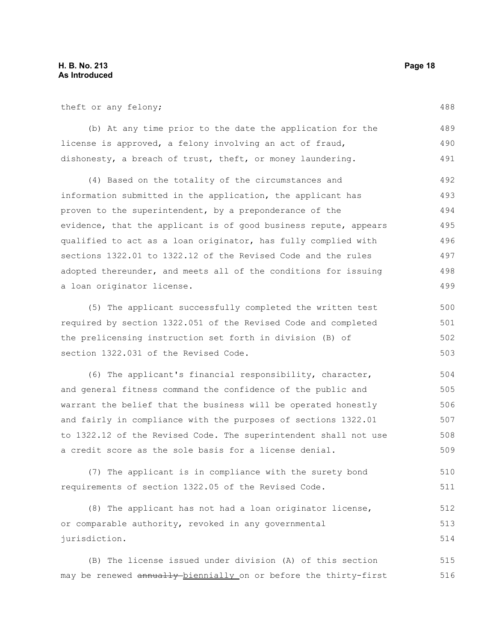theft or any felony;

(b) At any time prior to the date the application for the license is approved, a felony involving an act of fraud, dishonesty, a breach of trust, theft, or money laundering. 489 490 491

(4) Based on the totality of the circumstances and information submitted in the application, the applicant has proven to the superintendent, by a preponderance of the evidence, that the applicant is of good business repute, appears qualified to act as a loan originator, has fully complied with sections 1322.01 to 1322.12 of the Revised Code and the rules adopted thereunder, and meets all of the conditions for issuing a loan originator license. 492 493 494 495 496 497 498 499

(5) The applicant successfully completed the written test required by section 1322.051 of the Revised Code and completed the prelicensing instruction set forth in division (B) of section 1322.031 of the Revised Code. 500 501 502 503

(6) The applicant's financial responsibility, character, and general fitness command the confidence of the public and warrant the belief that the business will be operated honestly and fairly in compliance with the purposes of sections 1322.01 to 1322.12 of the Revised Code. The superintendent shall not use a credit score as the sole basis for a license denial. 504 505 506 507 508 509

(7) The applicant is in compliance with the surety bond requirements of section 1322.05 of the Revised Code. 510 511

(8) The applicant has not had a loan originator license, or comparable authority, revoked in any governmental jurisdiction. 512 513 514

(B) The license issued under division (A) of this section may be renewed annually biennially on or before the thirty-first 515 516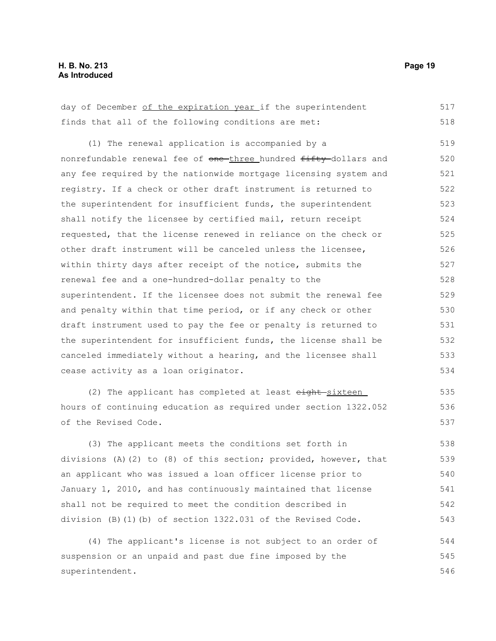| day of December of the expiration year if the superintendent     | 517 |
|------------------------------------------------------------------|-----|
| finds that all of the following conditions are met:              | 518 |
| (1) The renewal application is accompanied by a                  | 519 |
| nonrefundable renewal fee of one-three hundred fifty-dollars and | 520 |
| any fee required by the nationwide mortgage licensing system and | 521 |
| registry. If a check or other draft instrument is returned to    | 522 |
| the superintendent for insufficient funds, the superintendent    | 523 |
| shall notify the licensee by certified mail, return receipt      | 524 |
| requested, that the license renewed in reliance on the check or  | 525 |
| other draft instrument will be canceled unless the licensee,     | 526 |
| within thirty days after receipt of the notice, submits the      | 527 |
| renewal fee and a one-hundred-dollar penalty to the              | 528 |
| superintendent. If the licensee does not submit the renewal fee  | 529 |
| and penalty within that time period, or if any check or other    | 530 |
| draft instrument used to pay the fee or penalty is returned to   | 531 |
| the superintendent for insufficient funds, the license shall be  | 532 |
| canceled immediately without a hearing, and the licensee shall   | 533 |
| cease activity as a loan originator.                             | 534 |
| (2) The applicant has completed at least eight-sixteen           | 535 |
| hours of continuing education as required under section 1322.052 | 536 |
| of the Revised Code.                                             | 537 |
| (3) The applicant meets the conditions set forth in              | 538 |
| divisions (A)(2) to (8) of this section; provided, however, that | 539 |
| an applicant who was issued a loan officer license prior to      | 540 |
| January 1, 2010, and has continuously maintained that license    | 541 |
| shall not be required to meet the condition described in         | 542 |
| division (B)(1)(b) of section 1322.031 of the Revised Code.      | 543 |
| (4) The applicant's license is not subject to an order of        | 544 |
| suspension or an unpaid and past due fine imposed by the         | 545 |

superintendent.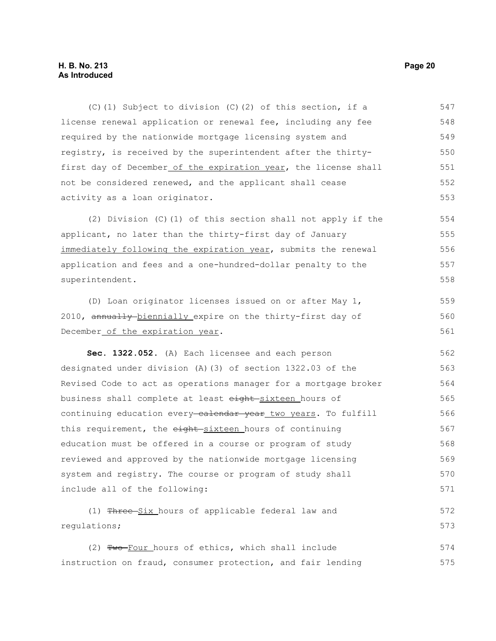## **H. B. No. 213 Page 20 As Introduced**

(C)(1) Subject to division (C)(2) of this section, if a license renewal application or renewal fee, including any fee required by the nationwide mortgage licensing system and registry, is received by the superintendent after the thirtyfirst day of December of the expiration year, the license shall not be considered renewed, and the applicant shall cease activity as a loan originator. 547 548 549 550 551 552 553

(2) Division (C)(1) of this section shall not apply if the applicant, no later than the thirty-first day of January immediately following the expiration year, submits the renewal application and fees and a one-hundred-dollar penalty to the superintendent. 554 555 556 557 558

(D) Loan originator licenses issued on or after May 1, 2010, annually-biennially expire on the thirty-first day of December of the expiration year. 559 560 561

**Sec. 1322.052.** (A) Each licensee and each person designated under division (A)(3) of section 1322.03 of the Revised Code to act as operations manager for a mortgage broker business shall complete at least eight-sixteen hours of continuing education every calendar year two years. To fulfill this requirement, the eight-sixteen hours of continuing education must be offered in a course or program of study reviewed and approved by the nationwide mortgage licensing system and registry. The course or program of study shall include all of the following: 562 563 564 565 566 567 568 569 570 571

(1) Three Six hours of applicable federal law and regulations; 572 573

(2) Two-Four hours of ethics, which shall include instruction on fraud, consumer protection, and fair lending 574 575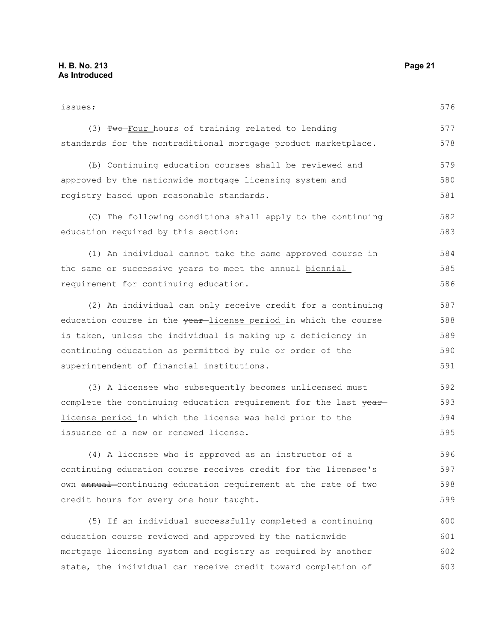issues; (3) Two-Four hours of training related to lending standards for the nontraditional mortgage product marketplace. (B) Continuing education courses shall be reviewed and approved by the nationwide mortgage licensing system and registry based upon reasonable standards. (C) The following conditions shall apply to the continuing education required by this section: (1) An individual cannot take the same approved course in the same or successive years to meet the annual biennial requirement for continuing education. (2) An individual can only receive credit for a continuing education course in the year-license period in which the course is taken, unless the individual is making up a deficiency in continuing education as permitted by rule or order of the superintendent of financial institutions. (3) A licensee who subsequently becomes unlicensed must complete the continuing education requirement for the last year license period in which the license was held prior to the issuance of a new or renewed license. (4) A licensee who is approved as an instructor of a continuing education course receives credit for the licensee's own annual continuing education requirement at the rate of two credit hours for every one hour taught. (5) If an individual successfully completed a continuing education course reviewed and approved by the nationwide mortgage licensing system and registry as required by another state, the individual can receive credit toward completion of 576 577 578 579 580 581 582 583 584 585 586 587 588 589 590 591 592 593 594 595 596 597 598 599 600 601 602 603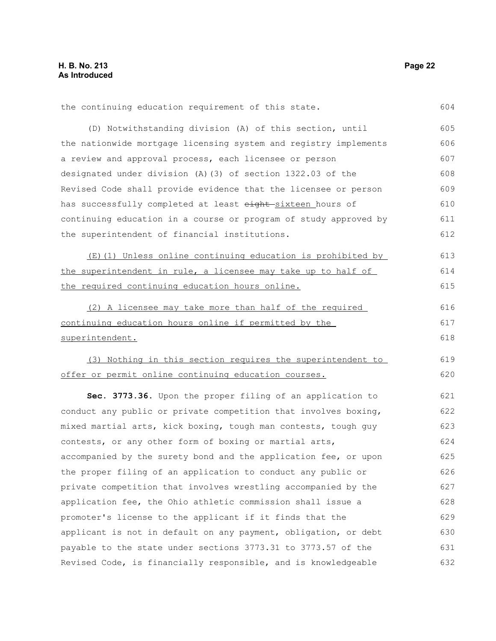604

the continuing education requirement of this state.

(D) Notwithstanding division (A) of this section, until the nationwide mortgage licensing system and registry implements a review and approval process, each licensee or person designated under division (A)(3) of section 1322.03 of the Revised Code shall provide evidence that the licensee or person has successfully completed at least eight-sixteen hours of continuing education in a course or program of study approved by the superintendent of financial institutions. 605 606 607 608 609 610 611 612

(E)(1) Unless online continuing education is prohibited by the superintendent in rule, a licensee may take up to half of the required continuing education hours online. 613 614 615

(2) A licensee may take more than half of the required continuing education hours online if permitted by the superintendent. 616 617 618

(3) Nothing in this section requires the superintendent to offer or permit online continuing education courses. 619 620

**Sec. 3773.36.** Upon the proper filing of an application to conduct any public or private competition that involves boxing, mixed martial arts, kick boxing, tough man contests, tough guy contests, or any other form of boxing or martial arts, accompanied by the surety bond and the application fee, or upon the proper filing of an application to conduct any public or private competition that involves wrestling accompanied by the application fee, the Ohio athletic commission shall issue a promoter's license to the applicant if it finds that the applicant is not in default on any payment, obligation, or debt payable to the state under sections 3773.31 to 3773.57 of the Revised Code, is financially responsible, and is knowledgeable 621 622 623 624 625 626 627 628 629 630 631 632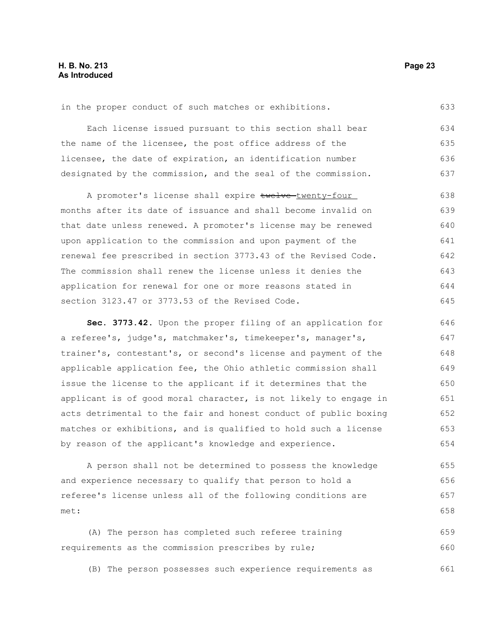in the proper conduct of such matches or exhibitions.

Each license issued pursuant to this section shall bear the name of the licensee, the post office address of the licensee, the date of expiration, an identification number designated by the commission, and the seal of the commission. 634 635 636 637

A promoter's license shall expire twelve-twenty-four months after its date of issuance and shall become invalid on that date unless renewed. A promoter's license may be renewed upon application to the commission and upon payment of the renewal fee prescribed in section 3773.43 of the Revised Code. The commission shall renew the license unless it denies the application for renewal for one or more reasons stated in section 3123.47 or 3773.53 of the Revised Code. 638 639 640 641 642 643 644 645

**Sec. 3773.42.** Upon the proper filing of an application for a referee's, judge's, matchmaker's, timekeeper's, manager's, trainer's, contestant's, or second's license and payment of the applicable application fee, the Ohio athletic commission shall issue the license to the applicant if it determines that the applicant is of good moral character, is not likely to engage in acts detrimental to the fair and honest conduct of public boxing matches or exhibitions, and is qualified to hold such a license by reason of the applicant's knowledge and experience. 646 647 648 649 650 651 652 653 654

A person shall not be determined to possess the knowledge and experience necessary to qualify that person to hold a referee's license unless all of the following conditions are met: 655 656 657 658

(A) The person has completed such referee training requirements as the commission prescribes by rule; 659 660

(B) The person possesses such experience requirements as 661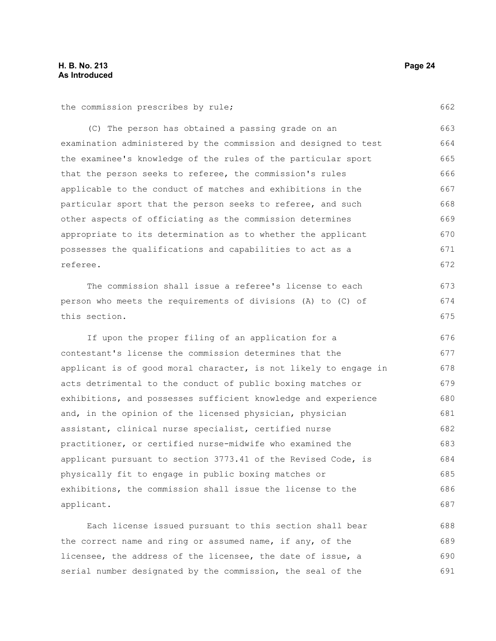the commission prescribes by rule;

(C) The person has obtained a passing grade on an examination administered by the commission and designed to test the examinee's knowledge of the rules of the particular sport that the person seeks to referee, the commission's rules applicable to the conduct of matches and exhibitions in the particular sport that the person seeks to referee, and such other aspects of officiating as the commission determines appropriate to its determination as to whether the applicant possesses the qualifications and capabilities to act as a referee. 663 664 665 666 667 668 669 670 671 672

The commission shall issue a referee's license to each person who meets the requirements of divisions (A) to (C) of this section. 673 674 675

If upon the proper filing of an application for a contestant's license the commission determines that the applicant is of good moral character, is not likely to engage in acts detrimental to the conduct of public boxing matches or exhibitions, and possesses sufficient knowledge and experience and, in the opinion of the licensed physician, physician assistant, clinical nurse specialist, certified nurse practitioner, or certified nurse-midwife who examined the applicant pursuant to section 3773.41 of the Revised Code, is physically fit to engage in public boxing matches or exhibitions, the commission shall issue the license to the applicant. 676 677 678 679 680 681 682 683 684 685 686 687

Each license issued pursuant to this section shall bear the correct name and ring or assumed name, if any, of the licensee, the address of the licensee, the date of issue, a serial number designated by the commission, the seal of the 688 689 690 691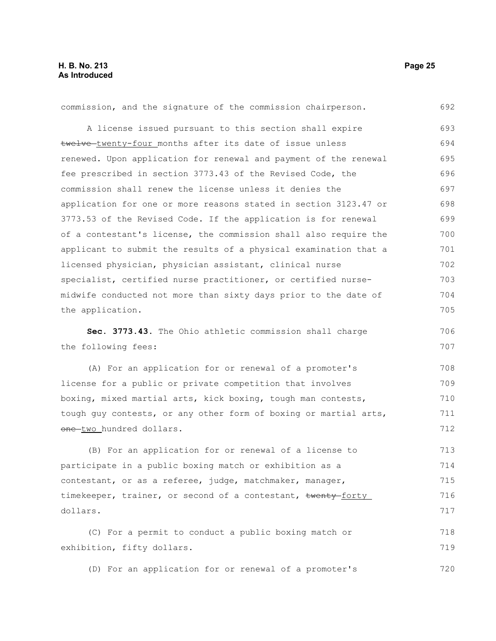| commission, and the signature of the commission chairperson.     | 692 |
|------------------------------------------------------------------|-----|
| A license issued pursuant to this section shall expire           | 693 |
| twelve-twenty-four months after its date of issue unless         | 694 |
| renewed. Upon application for renewal and payment of the renewal | 695 |
| fee prescribed in section 3773.43 of the Revised Code, the       | 696 |
| commission shall renew the license unless it denies the          | 697 |
| application for one or more reasons stated in section 3123.47 or | 698 |
| 3773.53 of the Revised Code. If the application is for renewal   | 699 |
| of a contestant's license, the commission shall also require the | 700 |
| applicant to submit the results of a physical examination that a | 701 |
| licensed physician, physician assistant, clinical nurse          | 702 |
| specialist, certified nurse practitioner, or certified nurse-    | 703 |
| midwife conducted not more than sixty days prior to the date of  | 704 |
| the application.                                                 | 705 |
| Sec. 3773.43. The Ohio athletic commission shall charge          | 706 |
|                                                                  |     |
| the following fees:                                              | 707 |
| (A) For an application for or renewal of a promoter's            | 708 |
| license for a public or private competition that involves        | 709 |
| boxing, mixed martial arts, kick boxing, tough man contests,     | 710 |
| tough guy contests, or any other form of boxing or martial arts, | 711 |
| one-two hundred dollars.                                         | 712 |
| (B) For an application for or renewal of a license to            | 713 |
| participate in a public boxing match or exhibition as a          | 714 |
| contestant, or as a referee, judge, matchmaker, manager,         | 715 |
| timekeeper, trainer, or second of a contestant, twenty-forty     | 716 |
| dollars.                                                         | 717 |
| (C) For a permit to conduct a public boxing match or             | 718 |
| exhibition, fifty dollars.                                       | 719 |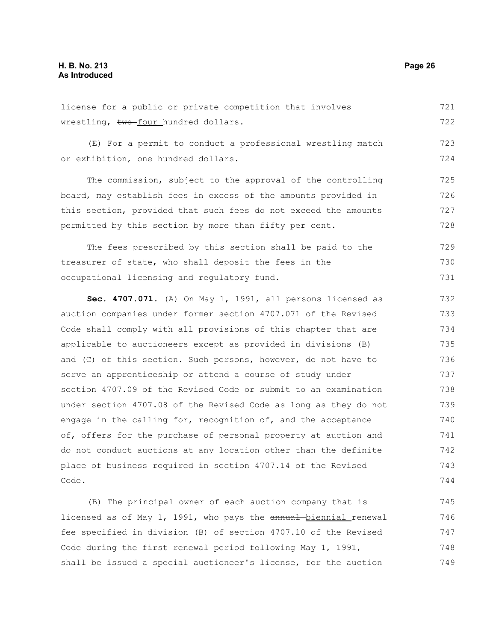# **H. B. No. 213 Page 26 As Introduced**

license for a public or private competition that involves wrestling, two-four hundred dollars. 721 722

(E) For a permit to conduct a professional wrestling match or exhibition, one hundred dollars. 723 724

The commission, subject to the approval of the controlling board, may establish fees in excess of the amounts provided in this section, provided that such fees do not exceed the amounts permitted by this section by more than fifty per cent. 725 726 727 728

The fees prescribed by this section shall be paid to the treasurer of state, who shall deposit the fees in the occupational licensing and regulatory fund. 729 730 731

**Sec. 4707.071.** (A) On May 1, 1991, all persons licensed as auction companies under former section 4707.071 of the Revised Code shall comply with all provisions of this chapter that are applicable to auctioneers except as provided in divisions (B) and (C) of this section. Such persons, however, do not have to serve an apprenticeship or attend a course of study under section 4707.09 of the Revised Code or submit to an examination under section 4707.08 of the Revised Code as long as they do not engage in the calling for, recognition of, and the acceptance of, offers for the purchase of personal property at auction and do not conduct auctions at any location other than the definite place of business required in section 4707.14 of the Revised Code. 732 733 734 735 736 737 738 739 740 741 742 743 744

(B) The principal owner of each auction company that is licensed as of May 1, 1991, who pays the annual biennial renewal fee specified in division (B) of section 4707.10 of the Revised Code during the first renewal period following May 1, 1991, shall be issued a special auctioneer's license, for the auction 745 746 747 748 749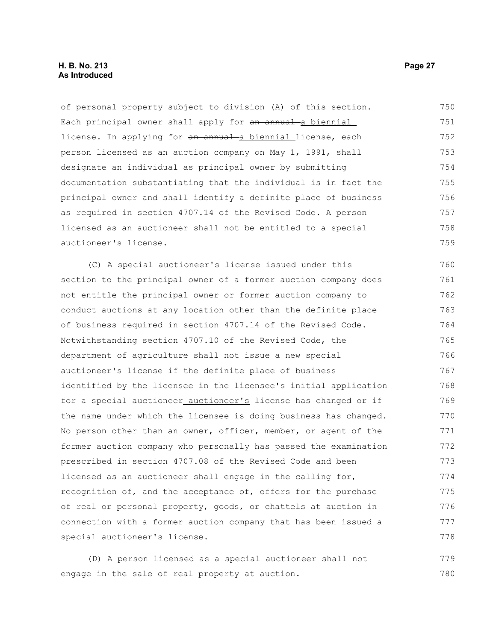# **H. B. No. 213 Page 27 As Introduced**

of personal property subject to division (A) of this section. Each principal owner shall apply for an annual a biennial license. In applying for an annual a biennial license, each person licensed as an auction company on May 1, 1991, shall designate an individual as principal owner by submitting documentation substantiating that the individual is in fact the principal owner and shall identify a definite place of business as required in section 4707.14 of the Revised Code. A person licensed as an auctioneer shall not be entitled to a special auctioneer's license. 750 751 752 753 754 755 756 757 758 759

(C) A special auctioneer's license issued under this section to the principal owner of a former auction company does not entitle the principal owner or former auction company to conduct auctions at any location other than the definite place of business required in section 4707.14 of the Revised Code. Notwithstanding section 4707.10 of the Revised Code, the department of agriculture shall not issue a new special auctioneer's license if the definite place of business identified by the licensee in the licensee's initial application for a special-auctioneer\_auctioneer's license has changed or if the name under which the licensee is doing business has changed. No person other than an owner, officer, member, or agent of the former auction company who personally has passed the examination prescribed in section 4707.08 of the Revised Code and been licensed as an auctioneer shall engage in the calling for, recognition of, and the acceptance of, offers for the purchase of real or personal property, goods, or chattels at auction in connection with a former auction company that has been issued a special auctioneer's license. 760 761 762 763 764 765 766 767 768 769 770 771 772 773 774 775 776 777 778

(D) A person licensed as a special auctioneer shall not engage in the sale of real property at auction. 779 780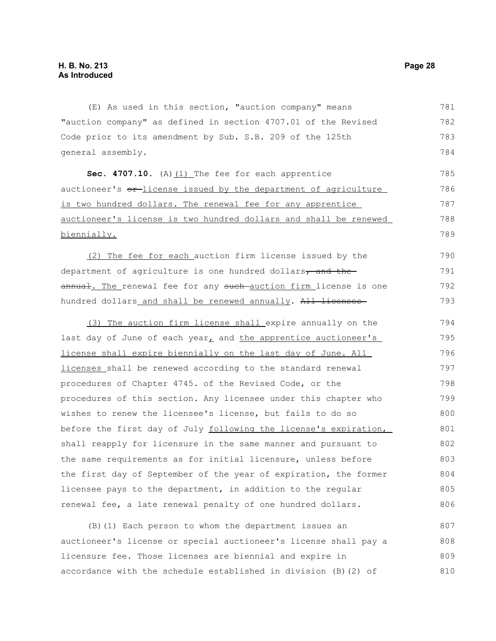(E) As used in this section, "auction company" means "auction company" as defined in section 4707.01 of the Revised Code prior to its amendment by Sub. S.B. 209 of the 125th general assembly. 781 782 783 784

Sec. 4707.10. (A) (1) The fee for each apprentice auctioneer's or license issued by the department of agriculture is two hundred dollars. The renewal fee for any apprentice auctioneer's license is two hundred dollars and shall be renewed biennially. 785 786 787 788 789

(2) The fee for each auction firm license issued by the department of agriculture is one hundred dollars, and theannual. The renewal fee for any such-auction firm license is one hundred dollars and shall be renewed annually. All licenses 790 791 792 793

 (3) The auction firm license shall expire annually on the last day of June of each year, and the apprentice auctioneer's license shall expire biennially on the last day of June. All licenses shall be renewed according to the standard renewal procedures of Chapter 4745. of the Revised Code, or the procedures of this section. Any licensee under this chapter who wishes to renew the licensee's license, but fails to do so before the first day of July following the license's expiration, shall reapply for licensure in the same manner and pursuant to the same requirements as for initial licensure, unless before the first day of September of the year of expiration, the former licensee pays to the department, in addition to the regular renewal fee, a late renewal penalty of one hundred dollars. 794 795 796 797 798 799 800 801 802 803 804 805 806

(B)(1) Each person to whom the department issues an auctioneer's license or special auctioneer's license shall pay a licensure fee. Those licenses are biennial and expire in accordance with the schedule established in division (B)(2) of 807 808 809 810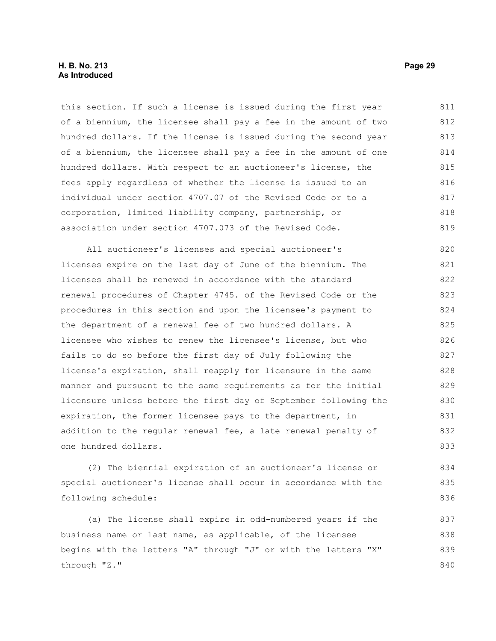#### **H. B. No. 213 Page 29 As Introduced**

this section. If such a license is issued during the first year of a biennium, the licensee shall pay a fee in the amount of two hundred dollars. If the license is issued during the second year of a biennium, the licensee shall pay a fee in the amount of one hundred dollars. With respect to an auctioneer's license, the fees apply regardless of whether the license is issued to an individual under section 4707.07 of the Revised Code or to a corporation, limited liability company, partnership, or association under section 4707.073 of the Revised Code. 811 812 813 814 815 816 817 818 819

All auctioneer's licenses and special auctioneer's licenses expire on the last day of June of the biennium. The licenses shall be renewed in accordance with the standard renewal procedures of Chapter 4745. of the Revised Code or the procedures in this section and upon the licensee's payment to the department of a renewal fee of two hundred dollars. A licensee who wishes to renew the licensee's license, but who fails to do so before the first day of July following the license's expiration, shall reapply for licensure in the same manner and pursuant to the same requirements as for the initial licensure unless before the first day of September following the expiration, the former licensee pays to the department, in addition to the regular renewal fee, a late renewal penalty of one hundred dollars. 820 821 822 823 824 825 826 827 828 829 830 831 832 833

(2) The biennial expiration of an auctioneer's license or special auctioneer's license shall occur in accordance with the following schedule: 834 835 836

(a) The license shall expire in odd-numbered years if the business name or last name, as applicable, of the licensee begins with the letters "A" through "J" or with the letters "X" through "Z." 837 838 839 840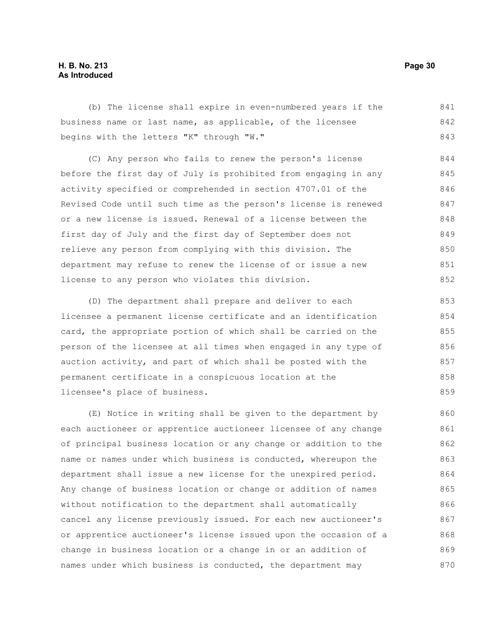# **H. B. No. 213 Page 30 As Introduced**

(b) The license shall expire in even-numbered years if the business name or last name, as applicable, of the licensee begins with the letters "K" through "W." 841 842 843

(C) Any person who fails to renew the person's license before the first day of July is prohibited from engaging in any activity specified or comprehended in section 4707.01 of the Revised Code until such time as the person's license is renewed or a new license is issued. Renewal of a license between the first day of July and the first day of September does not relieve any person from complying with this division. The department may refuse to renew the license of or issue a new license to any person who violates this division. 844 845 846 847 848 849 850 851 852

(D) The department shall prepare and deliver to each licensee a permanent license certificate and an identification card, the appropriate portion of which shall be carried on the person of the licensee at all times when engaged in any type of auction activity, and part of which shall be posted with the permanent certificate in a conspicuous location at the licensee's place of business. 853 854 855 856 857 858 859

(E) Notice in writing shall be given to the department by each auctioneer or apprentice auctioneer licensee of any change of principal business location or any change or addition to the name or names under which business is conducted, whereupon the department shall issue a new license for the unexpired period. Any change of business location or change or addition of names without notification to the department shall automatically cancel any license previously issued. For each new auctioneer's or apprentice auctioneer's license issued upon the occasion of a change in business location or a change in or an addition of names under which business is conducted, the department may 860 861 862 863 864 865 866 867 868 869 870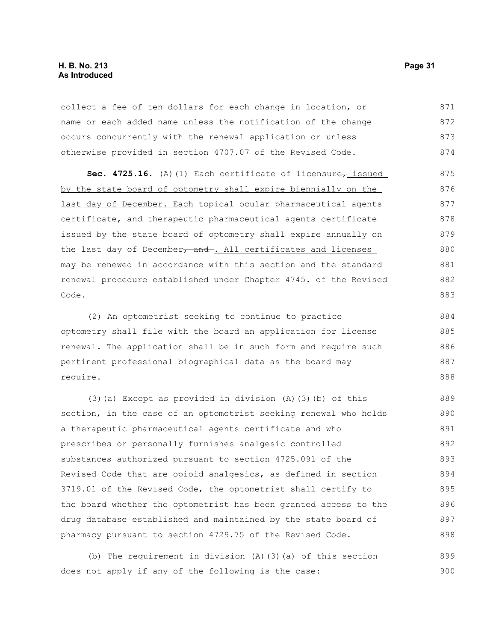# **H. B. No. 213 Page 31 As Introduced**

collect a fee of ten dollars for each change in location, or name or each added name unless the notification of the change occurs concurrently with the renewal application or unless otherwise provided in section 4707.07 of the Revised Code. 871 872 873 874

Sec. 4725.16. (A)(1) Each certificate of licensure<sub>7</sub> issued by the state board of optometry shall expire biennially on the last day of December. Each topical ocular pharmaceutical agents certificate, and therapeutic pharmaceutical agents certificate issued by the state board of optometry shall expire annually on the last day of December, and . All certificates and licenses may be renewed in accordance with this section and the standard renewal procedure established under Chapter 4745. of the Revised Code. 875 876 877 878 879 880 881 882 883

(2) An optometrist seeking to continue to practice optometry shall file with the board an application for license renewal. The application shall be in such form and require such pertinent professional biographical data as the board may require. 884 885 886 887 888

(3)(a) Except as provided in division (A)(3)(b) of this section, in the case of an optometrist seeking renewal who holds a therapeutic pharmaceutical agents certificate and who prescribes or personally furnishes analgesic controlled substances authorized pursuant to section 4725.091 of the Revised Code that are opioid analgesics, as defined in section 3719.01 of the Revised Code, the optometrist shall certify to the board whether the optometrist has been granted access to the drug database established and maintained by the state board of pharmacy pursuant to section 4729.75 of the Revised Code. 889 890 891 892 893 894 895 896 897 898

(b) The requirement in division (A)(3)(a) of this section does not apply if any of the following is the case: 899 900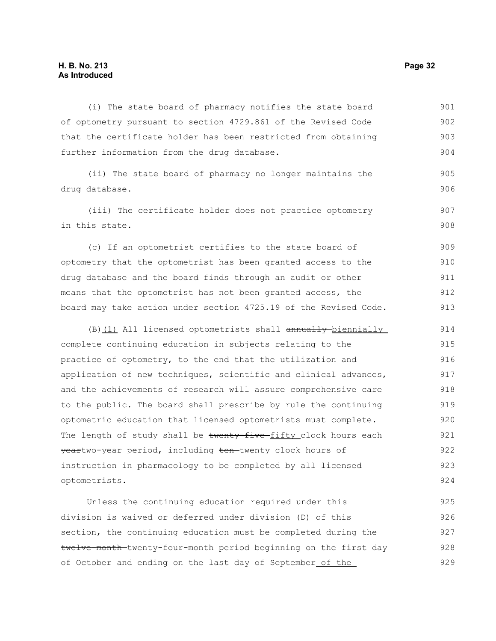(i) The state board of pharmacy notifies the state board of optometry pursuant to section 4729.861 of the Revised Code that the certificate holder has been restricted from obtaining further information from the drug database. (ii) The state board of pharmacy no longer maintains the drug database. (iii) The certificate holder does not practice optometry in this state. (c) If an optometrist certifies to the state board of optometry that the optometrist has been granted access to the drug database and the board finds through an audit or other means that the optometrist has not been granted access, the 901 902 903 904 905 906 907 908 909 910 911 912

(B)(1) All licensed optometrists shall annually biennially complete continuing education in subjects relating to the practice of optometry, to the end that the utilization and application of new techniques, scientific and clinical advances, and the achievements of research will assure comprehensive care to the public. The board shall prescribe by rule the continuing optometric education that licensed optometrists must complete. The length of study shall be twenty-five-fifty\_clock hours each yeartwo-year period, including ten-twenty clock hours of instruction in pharmacology to be completed by all licensed optometrists. 914 915 916 917 918 919 920 921 922 923 924

board may take action under section 4725.19 of the Revised Code.

Unless the continuing education required under this division is waived or deferred under division (D) of this section, the continuing education must be completed during the twelve-month twenty-four-month period beginning on the first day of October and ending on the last day of September of the 925 926 927 928 929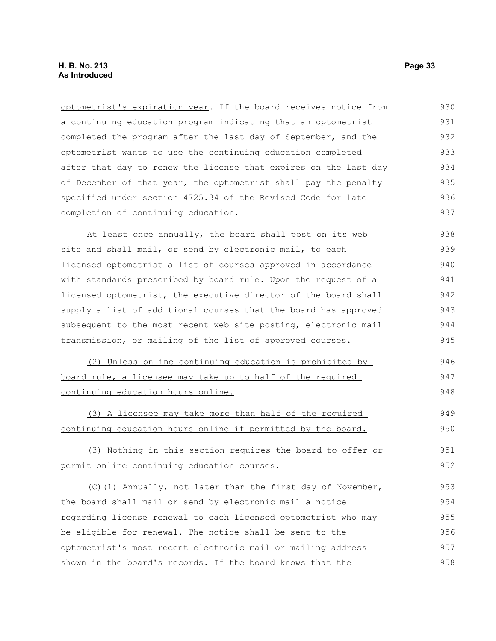optometrist's expiration year. If the board receives notice from a continuing education program indicating that an optometrist completed the program after the last day of September, and the optometrist wants to use the continuing education completed after that day to renew the license that expires on the last day of December of that year, the optometrist shall pay the penalty specified under section 4725.34 of the Revised Code for late completion of continuing education. At least once annually, the board shall post on its web site and shall mail, or send by electronic mail, to each licensed optometrist a list of courses approved in accordance with standards prescribed by board rule. Upon the request of a licensed optometrist, the executive director of the board shall supply a list of additional courses that the board has approved subsequent to the most recent web site posting, electronic mail transmission, or mailing of the list of approved courses. (2) Unless online continuing education is prohibited by board rule, a licensee may take up to half of the required continuing education hours online. (3) A licensee may take more than half of the required continuing education hours online if permitted by the board. (3) Nothing in this section requires the board to offer or permit online continuing education courses. 930 931 932 933 934 935 936 937 938 939 940 941 942 943 944 945 946 947 948 949 950 951 952

 $(C)$ (1) Annually, not later than the first day of November, the board shall mail or send by electronic mail a notice regarding license renewal to each licensed optometrist who may be eligible for renewal. The notice shall be sent to the optometrist's most recent electronic mail or mailing address shown in the board's records. If the board knows that the 953 954 955 956 957 958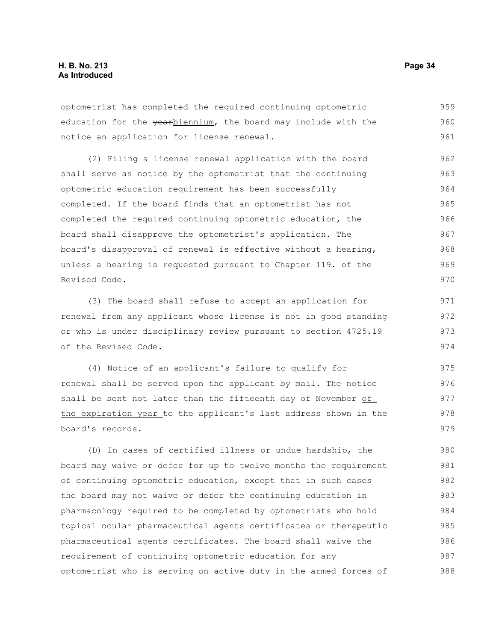optometrist has completed the required continuing optometric education for the yearbiennium, the board may include with the notice an application for license renewal. 959 960 961

(2) Filing a license renewal application with the board shall serve as notice by the optometrist that the continuing optometric education requirement has been successfully completed. If the board finds that an optometrist has not completed the required continuing optometric education, the board shall disapprove the optometrist's application. The board's disapproval of renewal is effective without a hearing, unless a hearing is requested pursuant to Chapter 119. of the Revised Code. 962 963 964 965 966 967 968 969 970

(3) The board shall refuse to accept an application for renewal from any applicant whose license is not in good standing or who is under disciplinary review pursuant to section 4725.19 of the Revised Code. 971 972 973 974

(4) Notice of an applicant's failure to qualify for renewal shall be served upon the applicant by mail. The notice shall be sent not later than the fifteenth day of November of the expiration year to the applicant's last address shown in the board's records. 975 976 977 978 979

(D) In cases of certified illness or undue hardship, the board may waive or defer for up to twelve months the requirement of continuing optometric education, except that in such cases the board may not waive or defer the continuing education in pharmacology required to be completed by optometrists who hold topical ocular pharmaceutical agents certificates or therapeutic pharmaceutical agents certificates. The board shall waive the requirement of continuing optometric education for any optometrist who is serving on active duty in the armed forces of 980 981 982 983 984 985 986 987 988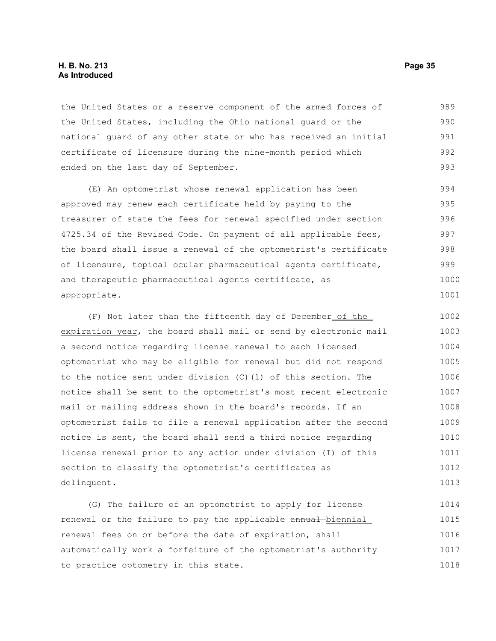#### **H. B. No. 213 Page 35 As Introduced**

the United States or a reserve component of the armed forces of the United States, including the Ohio national guard or the national guard of any other state or who has received an initial certificate of licensure during the nine-month period which ended on the last day of September. 989 990 991 992 993

(E) An optometrist whose renewal application has been approved may renew each certificate held by paying to the treasurer of state the fees for renewal specified under section 4725.34 of the Revised Code. On payment of all applicable fees, the board shall issue a renewal of the optometrist's certificate of licensure, topical ocular pharmaceutical agents certificate, and therapeutic pharmaceutical agents certificate, as appropriate. 994 995 996 997 998 999 1000 1001

(F) Not later than the fifteenth day of December of the expiration year, the board shall mail or send by electronic mail a second notice regarding license renewal to each licensed optometrist who may be eligible for renewal but did not respond to the notice sent under division (C)(1) of this section. The notice shall be sent to the optometrist's most recent electronic mail or mailing address shown in the board's records. If an optometrist fails to file a renewal application after the second notice is sent, the board shall send a third notice regarding license renewal prior to any action under division (I) of this section to classify the optometrist's certificates as delinquent. 1002 1003 1004 1005 1006 1007 1008 1009 1010 1011 1012 1013

(G) The failure of an optometrist to apply for license renewal or the failure to pay the applicable annual biennial renewal fees on or before the date of expiration, shall automatically work a forfeiture of the optometrist's authority to practice optometry in this state. 1014 1015 1016 1017 1018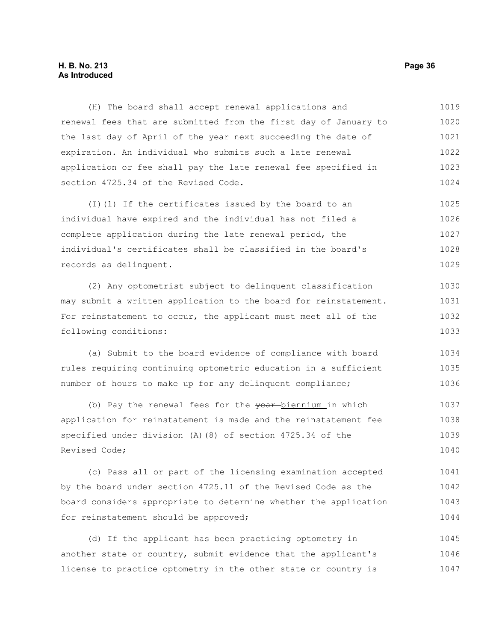# **H. B. No. 213 Page 36 As Introduced**

(H) The board shall accept renewal applications and renewal fees that are submitted from the first day of January to the last day of April of the year next succeeding the date of expiration. An individual who submits such a late renewal application or fee shall pay the late renewal fee specified in section 4725.34 of the Revised Code. 1019 1020 1021 1022 1023 1024

(I)(1) If the certificates issued by the board to an individual have expired and the individual has not filed a complete application during the late renewal period, the individual's certificates shall be classified in the board's records as delinquent. 1025 1026 1027 1028 1029

(2) Any optometrist subject to delinquent classification may submit a written application to the board for reinstatement. For reinstatement to occur, the applicant must meet all of the following conditions: 1030 1031 1032 1033

(a) Submit to the board evidence of compliance with board rules requiring continuing optometric education in a sufficient number of hours to make up for any delinquent compliance; 1034 1035 1036

(b) Pay the renewal fees for the year-biennium in which application for reinstatement is made and the reinstatement fee specified under division (A)(8) of section 4725.34 of the Revised Code; 1037 1038 1039 1040

(c) Pass all or part of the licensing examination accepted by the board under section 4725.11 of the Revised Code as the board considers appropriate to determine whether the application for reinstatement should be approved; 1041 1042 1043 1044

(d) If the applicant has been practicing optometry in another state or country, submit evidence that the applicant's license to practice optometry in the other state or country is 1045 1046 1047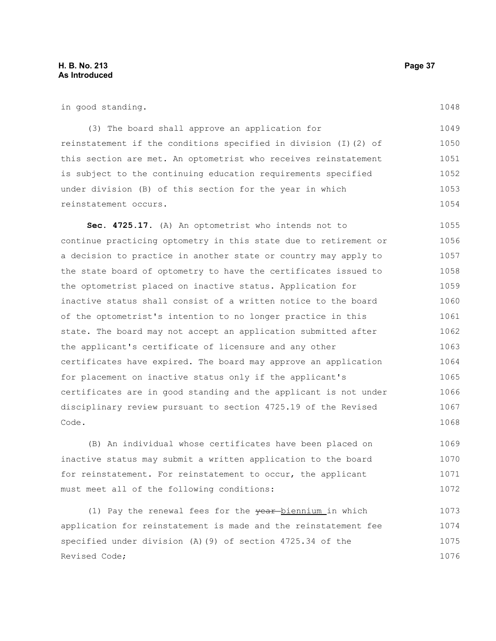1072

| in good standing.                                                | 1048 |
|------------------------------------------------------------------|------|
| (3) The board shall approve an application for                   | 1049 |
| reinstatement if the conditions specified in division (I) (2) of | 1050 |
| this section are met. An optometrist who receives reinstatement  | 1051 |
| is subject to the continuing education requirements specified    | 1052 |
| under division (B) of this section for the year in which         | 1053 |
| reinstatement occurs.                                            | 1054 |
| Sec. 4725.17. (A) An optometrist who intends not to              | 1055 |
| continue practicing optometry in this state due to retirement or | 1056 |
| a decision to practice in another state or country may apply to  | 1057 |
| the state board of optometry to have the certificates issued to  | 1058 |
| the optometrist placed on inactive status. Application for       | 1059 |
| inactive status shall consist of a written notice to the board   | 1060 |
| of the optometrist's intention to no longer practice in this     | 1061 |
| state. The board may not accept an application submitted after   | 1062 |
| the applicant's certificate of licensure and any other           | 1063 |
| certificates have expired. The board may approve an application  | 1064 |
| for placement on inactive status only if the applicant's         | 1065 |
| certificates are in good standing and the applicant is not under | 1066 |
| disciplinary review pursuant to section 4725.19 of the Revised   | 1067 |
| Code.                                                            | 1068 |
| (B) An individual whose certificates have been placed on         | 1069 |
| inactive status may submit a written application to the board    | 1070 |
| for reinstatement. For reinstatement to occur, the applicant     | 1071 |

(1) Pay the renewal fees for the year-biennium in which application for reinstatement is made and the reinstatement fee specified under division (A)(9) of section 4725.34 of the Revised Code; 1073 1074 1075 1076

must meet all of the following conditions: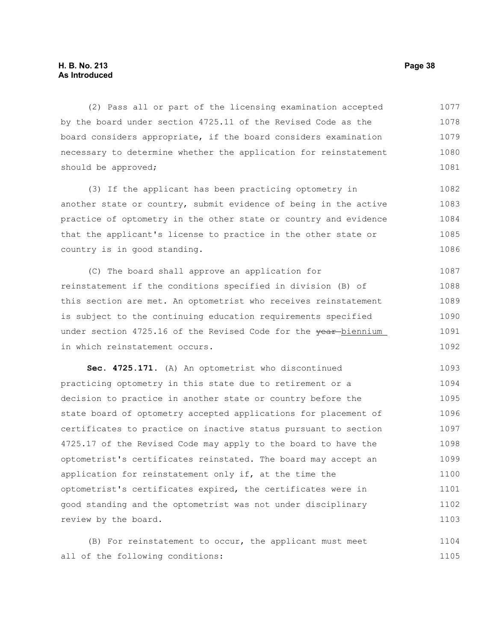# **H. B. No. 213 Page 38 As Introduced**

(2) Pass all or part of the licensing examination accepted by the board under section 4725.11 of the Revised Code as the board considers appropriate, if the board considers examination necessary to determine whether the application for reinstatement should be approved; 1077 1078 1079 1080 1081

(3) If the applicant has been practicing optometry in another state or country, submit evidence of being in the active practice of optometry in the other state or country and evidence that the applicant's license to practice in the other state or country is in good standing. 1082 1083 1084 1085 1086

(C) The board shall approve an application for reinstatement if the conditions specified in division (B) of this section are met. An optometrist who receives reinstatement is subject to the continuing education requirements specified under section 4725.16 of the Revised Code for the vear-biennium in which reinstatement occurs. 1087 1088 1089 1090 1091 1092

**Sec. 4725.171.** (A) An optometrist who discontinued practicing optometry in this state due to retirement or a decision to practice in another state or country before the state board of optometry accepted applications for placement of certificates to practice on inactive status pursuant to section 4725.17 of the Revised Code may apply to the board to have the optometrist's certificates reinstated. The board may accept an application for reinstatement only if, at the time the optometrist's certificates expired, the certificates were in good standing and the optometrist was not under disciplinary review by the board. 1093 1094 1095 1096 1097 1098 1099 1100 1101 1102 1103

(B) For reinstatement to occur, the applicant must meet all of the following conditions: 1104 1105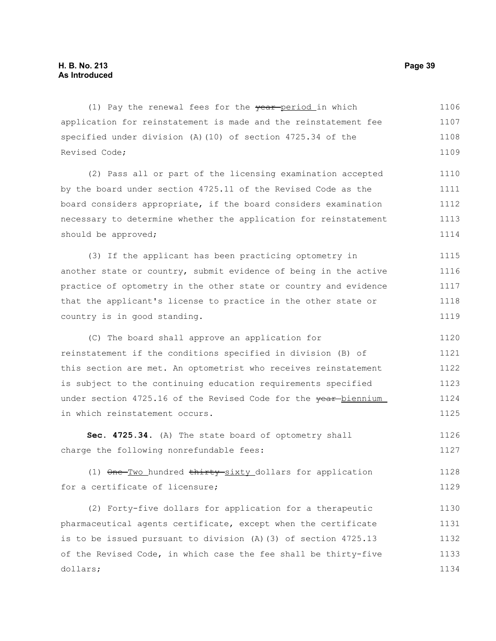should be approved;

(1) Pay the renewal fees for the vear-period in which application for reinstatement is made and the reinstatement fee specified under division (A)(10) of section 4725.34 of the Revised Code; (2) Pass all or part of the licensing examination accepted by the board under section 4725.11 of the Revised Code as the board considers appropriate, if the board considers examination necessary to determine whether the application for reinstatement 1106 1107 1108 1109 1110 1111 1112 1113

(3) If the applicant has been practicing optometry in another state or country, submit evidence of being in the active practice of optometry in the other state or country and evidence that the applicant's license to practice in the other state or country is in good standing. 1115 1116 1117 1118 1119

(C) The board shall approve an application for reinstatement if the conditions specified in division (B) of this section are met. An optometrist who receives reinstatement is subject to the continuing education requirements specified under section 4725.16 of the Revised Code for the year-biennium in which reinstatement occurs. 1120 1121 1122 1123 1124 1125

**Sec. 4725.34.** (A) The state board of optometry shall charge the following nonrefundable fees: 1126 1127

(1) One Two hundred thirty sixty dollars for application for a certificate of licensure; 1128 1129

(2) Forty-five dollars for application for a therapeutic pharmaceutical agents certificate, except when the certificate is to be issued pursuant to division (A)(3) of section 4725.13 of the Revised Code, in which case the fee shall be thirty-five dollars; 1130 1131 1132 1133 1134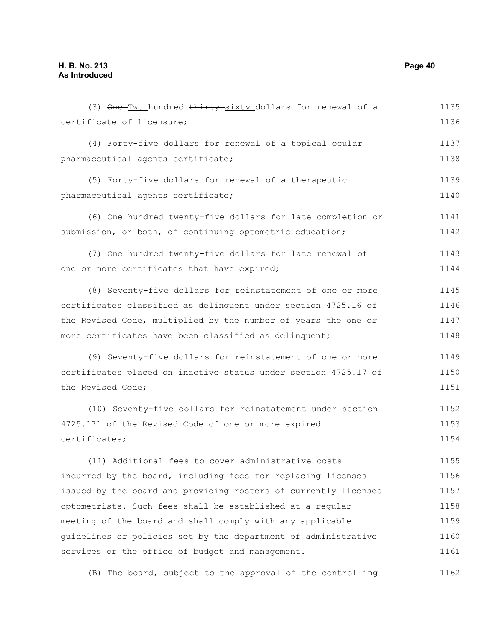(3) One-Two hundred thirty-sixty dollars for renewal of a certificate of licensure; (4) Forty-five dollars for renewal of a topical ocular pharmaceutical agents certificate; (5) Forty-five dollars for renewal of a therapeutic pharmaceutical agents certificate; (6) One hundred twenty-five dollars for late completion or submission, or both, of continuing optometric education; (7) One hundred twenty-five dollars for late renewal of one or more certificates that have expired; (8) Seventy-five dollars for reinstatement of one or more certificates classified as delinquent under section 4725.16 of the Revised Code, multiplied by the number of years the one or more certificates have been classified as delinquent; (9) Seventy-five dollars for reinstatement of one or more certificates placed on inactive status under section 4725.17 of the Revised Code; (10) Seventy-five dollars for reinstatement under section 4725.171 of the Revised Code of one or more expired certificates; (11) Additional fees to cover administrative costs incurred by the board, including fees for replacing licenses issued by the board and providing rosters of currently licensed optometrists. Such fees shall be established at a regular meeting of the board and shall comply with any applicable guidelines or policies set by the department of administrative services or the office of budget and management. 1135 1136 1137 1138 1139 1140 1141 1142 1143 1144 1145 1146 1147 1148 1149 1150 1151 1152 1153 1154 1155 1156 1157 1158 1159 1160 1161

(B) The board, subject to the approval of the controlling 1162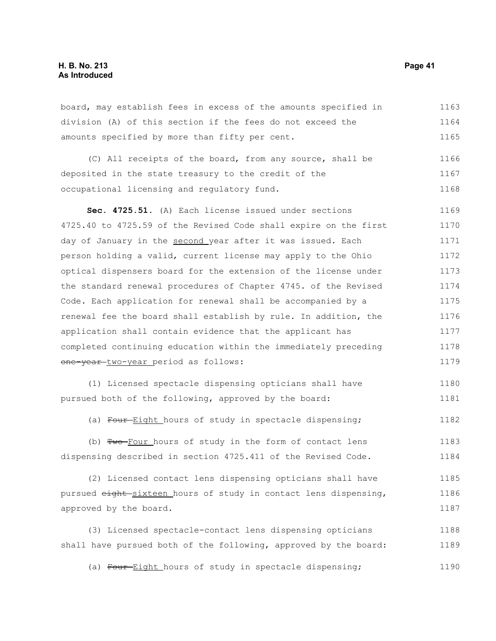board, may establish fees in excess of the amounts specified in division (A) of this section if the fees do not exceed the amounts specified by more than fifty per cent. (C) All receipts of the board, from any source, shall be deposited in the state treasury to the credit of the occupational licensing and regulatory fund. **Sec. 4725.51.** (A) Each license issued under sections 1163 1164 1165 1166 1167 1168 1169

4725.40 to 4725.59 of the Revised Code shall expire on the first day of January in the second year after it was issued. Each person holding a valid, current license may apply to the Ohio optical dispensers board for the extension of the license under the standard renewal procedures of Chapter 4745. of the Revised Code. Each application for renewal shall be accompanied by a renewal fee the board shall establish by rule. In addition, the application shall contain evidence that the applicant has completed continuing education within the immediately preceding one-year-two-year period as follows: 1170 1171 1172 1173 1174 1175 1176 1177 1178 1179

(1) Licensed spectacle dispensing opticians shall have pursued both of the following, approved by the board: 1180 1181

(a) Four-Eight hours of study in spectacle dispensing; 1182

(b) Two-Four hours of study in the form of contact lens dispensing described in section 4725.411 of the Revised Code. 1183 1184

(2) Licensed contact lens dispensing opticians shall have pursued eight sixteen hours of study in contact lens dispensing, approved by the board. 1185 1186 1187

(3) Licensed spectacle-contact lens dispensing opticians shall have pursued both of the following, approved by the board: 1188 1189

(a) Four-Eight hours of study in spectacle dispensing; 1190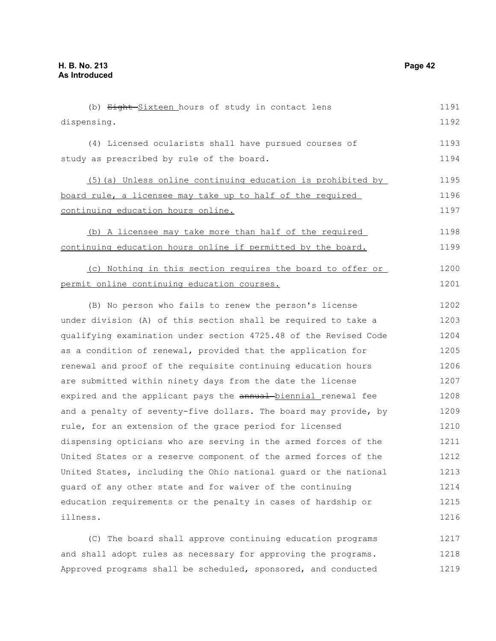(b) Eight-Sixteen hours of study in contact lens dispensing. (4) Licensed ocularists shall have pursued courses of study as prescribed by rule of the board. (5)(a) Unless online continuing education is prohibited by board rule, a licensee may take up to half of the required continuing education hours online. (b) A licensee may take more than half of the required continuing education hours online if permitted by the board. (c) Nothing in this section requires the board to offer or permit online continuing education courses. (B) No person who fails to renew the person's license under division (A) of this section shall be required to take a qualifying examination under section 4725.48 of the Revised Code as a condition of renewal, provided that the application for renewal and proof of the requisite continuing education hours are submitted within ninety days from the date the license expired and the applicant pays the annual-biennial renewal fee and a penalty of seventy-five dollars. The board may provide, by rule, for an extension of the grace period for licensed dispensing opticians who are serving in the armed forces of the United States or a reserve component of the armed forces of the United States, including the Ohio national guard or the national guard of any other state and for waiver of the continuing education requirements or the penalty in cases of hardship or illness. (C) The board shall approve continuing education programs 1191 1192 1193 1194 1195 1196 1197 1198 1199 1200 1201 1202 1203 1204 1205 1206 1207 1208 1209 1210 1211 1212 1213 1214 1215 1216 1217

and shall adopt rules as necessary for approving the programs. Approved programs shall be scheduled, sponsored, and conducted 1218 1219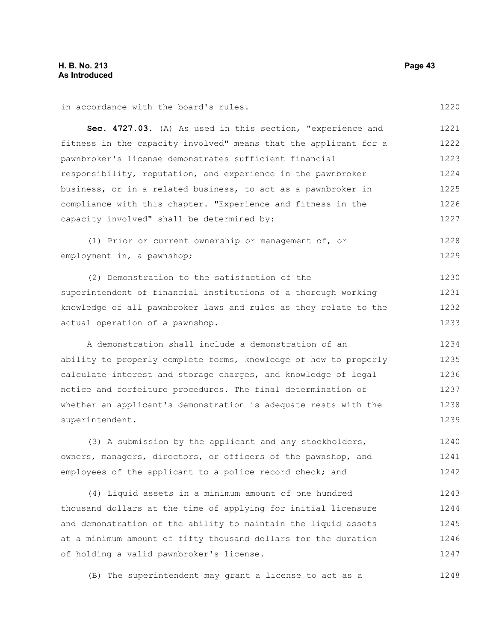in accordance with the board's rules.

| in accordance with the board's rules.                            | 1220 |
|------------------------------------------------------------------|------|
| Sec. 4727.03. (A) As used in this section, "experience and       | 1221 |
| fitness in the capacity involved" means that the applicant for a | 1222 |
| pawnbroker's license demonstrates sufficient financial           | 1223 |
| responsibility, reputation, and experience in the pawnbroker     | 1224 |
| business, or in a related business, to act as a pawnbroker in    | 1225 |
| compliance with this chapter. "Experience and fitness in the     | 1226 |
| capacity involved" shall be determined by:                       | 1227 |
| (1) Prior or current ownership or management of, or              | 1228 |
| employment in, a pawnshop;                                       | 1229 |
| (2) Demonstration to the satisfaction of the                     | 1230 |
| superintendent of financial institutions of a thorough working   | 1231 |
| knowledge of all pawnbroker laws and rules as they relate to the | 1232 |
| actual operation of a pawnshop.                                  | 1233 |
| A demonstration shall include a demonstration of an              | 1234 |
| ability to properly complete forms, knowledge of how to properly | 1235 |
| calculate interest and storage charges, and knowledge of legal   | 1236 |
| notice and forfeiture procedures. The final determination of     | 1237 |
| whether an applicant's demonstration is adequate rests with the  | 1238 |
| superintendent.                                                  | 1239 |
| (3) A submission by the applicant and any stockholders,          | 1240 |
| owners, managers, directors, or officers of the pawnshop, and    | 1241 |
| employees of the applicant to a police record check; and         | 1242 |
| (4) Liquid assets in a minimum amount of one hundred             | 1243 |
| thousand dollars at the time of applying for initial licensure   | 1244 |
| and demonstration of the ability to maintain the liquid assets   | 1245 |
| at a minimum amount of fifty thousand dollars for the duration   | 1246 |
| of holding a valid pawnbroker's license.                         | 1247 |
| (B) The superintendent may grant a license to act as a           | 1248 |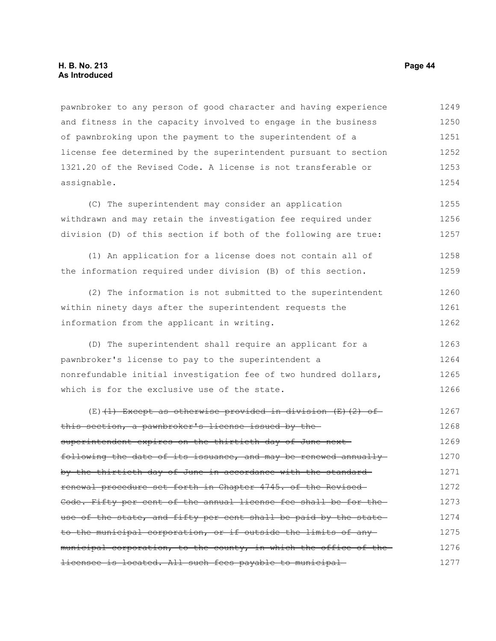# **H. B. No. 213 Page 44 As Introduced**

pawnbroker to any person of good character and having experience and fitness in the capacity involved to engage in the business of pawnbroking upon the payment to the superintendent of a license fee determined by the superintendent pursuant to section 1321.20 of the Revised Code. A license is not transferable or assignable. 1249 1250 1251 1252 1253 1254

(C) The superintendent may consider an application withdrawn and may retain the investigation fee required under division (D) of this section if both of the following are true: 1255 1256 1257

(1) An application for a license does not contain all of the information required under division (B) of this section. 1258 1259

(2) The information is not submitted to the superintendent within ninety days after the superintendent requests the information from the applicant in writing. 1260 1261 1262

(D) The superintendent shall require an applicant for a pawnbroker's license to pay to the superintendent a nonrefundable initial investigation fee of two hundred dollars, which is for the exclusive use of the state. 1263 1264 1265 1266

(E) $(1)$  Except as otherwise provided in division  $(E)$  (2) of this section, a pawnbroker's license issued by the superintendent expires on the thirtieth day of June nextfollowing the date of its issuance, and may be renewed annually by the thirtieth day of June in accordance with the standard renewal procedure set forth in Chapter 4745. of the Revised Code. Fifty per cent of the annual license fee shall be for the use of the state, and fifty per cent shall be paid by the stateto the municipal corporation, or if outside the limits of any municipal corporation, to the county, in which the office of thelicensee is located. All such fees payable to municipal 1267 1268 1269 1270 1271 1272 1273 1274 1275 1276 1277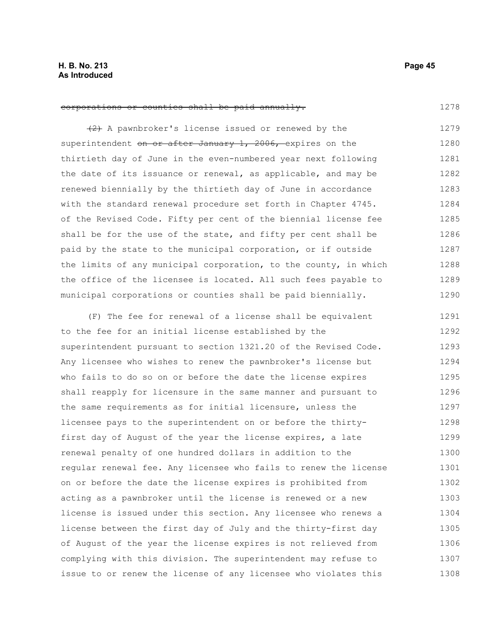1278

#### corporations or counties shall be paid annually.

(2) A pawnbroker's license issued or renewed by the superintendent on or after January 1, 2006, expires on the thirtieth day of June in the even-numbered year next following the date of its issuance or renewal, as applicable, and may be renewed biennially by the thirtieth day of June in accordance with the standard renewal procedure set forth in Chapter 4745. of the Revised Code. Fifty per cent of the biennial license fee shall be for the use of the state, and fifty per cent shall be paid by the state to the municipal corporation, or if outside the limits of any municipal corporation, to the county, in which the office of the licensee is located. All such fees payable to municipal corporations or counties shall be paid biennially. 1279 1280 1281 1282 1283 1284 1285 1286 1287 1288 1289 1290

(F) The fee for renewal of a license shall be equivalent to the fee for an initial license established by the superintendent pursuant to section 1321.20 of the Revised Code. Any licensee who wishes to renew the pawnbroker's license but who fails to do so on or before the date the license expires shall reapply for licensure in the same manner and pursuant to the same requirements as for initial licensure, unless the licensee pays to the superintendent on or before the thirtyfirst day of August of the year the license expires, a late renewal penalty of one hundred dollars in addition to the regular renewal fee. Any licensee who fails to renew the license on or before the date the license expires is prohibited from acting as a pawnbroker until the license is renewed or a new license is issued under this section. Any licensee who renews a license between the first day of July and the thirty-first day of August of the year the license expires is not relieved from complying with this division. The superintendent may refuse to issue to or renew the license of any licensee who violates this 1291 1292 1293 1294 1295 1296 1297 1298 1299 1300 1301 1302 1303 1304 1305 1306 1307 1308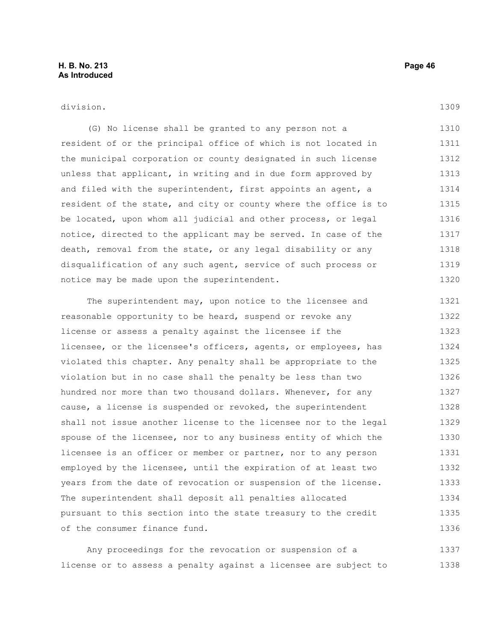division.

(G) No license shall be granted to any person not a resident of or the principal office of which is not located in the municipal corporation or county designated in such license unless that applicant, in writing and in due form approved by and filed with the superintendent, first appoints an agent, a resident of the state, and city or county where the office is to be located, upon whom all judicial and other process, or legal notice, directed to the applicant may be served. In case of the death, removal from the state, or any legal disability or any disqualification of any such agent, service of such process or notice may be made upon the superintendent. 1310 1311 1312 1313 1314 1315 1316 1317 1318 1319 1320

The superintendent may, upon notice to the licensee and reasonable opportunity to be heard, suspend or revoke any license or assess a penalty against the licensee if the licensee, or the licensee's officers, agents, or employees, has violated this chapter. Any penalty shall be appropriate to the violation but in no case shall the penalty be less than two hundred nor more than two thousand dollars. Whenever, for any cause, a license is suspended or revoked, the superintendent shall not issue another license to the licensee nor to the legal spouse of the licensee, nor to any business entity of which the licensee is an officer or member or partner, nor to any person employed by the licensee, until the expiration of at least two years from the date of revocation or suspension of the license. The superintendent shall deposit all penalties allocated pursuant to this section into the state treasury to the credit of the consumer finance fund. 1321 1322 1323 1324 1325 1326 1327 1328 1329 1330 1331 1332 1333 1334 1335 1336

Any proceedings for the revocation or suspension of a license or to assess a penalty against a licensee are subject to 1337 1338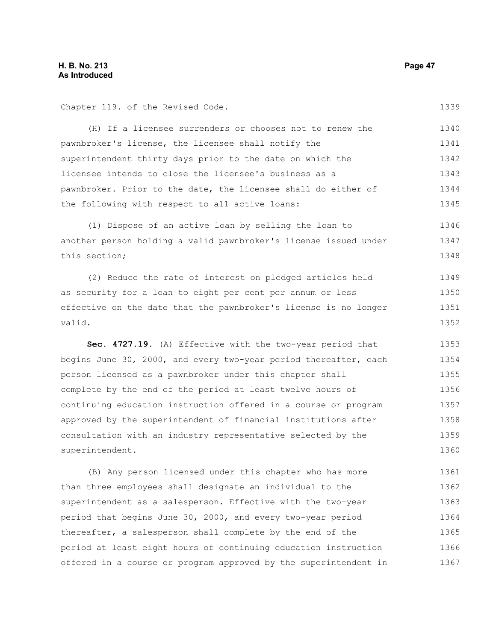Chapter 119. of the Revised Code.

1339

| (H) If a licensee surrenders or chooses not to renew the       | 1340 |
|----------------------------------------------------------------|------|
| pawnbroker's license, the licensee shall notify the            | 1341 |
| superintendent thirty days prior to the date on which the      | 1342 |
| licensee intends to close the licensee's business as a         | 1343 |
| pawnbroker. Prior to the date, the licensee shall do either of | 1344 |
| the following with respect to all active loans:                | 1345 |

(1) Dispose of an active loan by selling the loan to another person holding a valid pawnbroker's license issued under this section; 1346 1347 1348

(2) Reduce the rate of interest on pledged articles held as security for a loan to eight per cent per annum or less effective on the date that the pawnbroker's license is no longer valid. 1349 1350 1351 1352

**Sec. 4727.19.** (A) Effective with the two-year period that begins June 30, 2000, and every two-year period thereafter, each person licensed as a pawnbroker under this chapter shall complete by the end of the period at least twelve hours of continuing education instruction offered in a course or program approved by the superintendent of financial institutions after consultation with an industry representative selected by the superintendent. 1353 1354 1355 1356 1357 1358 1359 1360

(B) Any person licensed under this chapter who has more than three employees shall designate an individual to the superintendent as a salesperson. Effective with the two-year period that begins June 30, 2000, and every two-year period thereafter, a salesperson shall complete by the end of the period at least eight hours of continuing education instruction offered in a course or program approved by the superintendent in 1361 1362 1363 1364 1365 1366 1367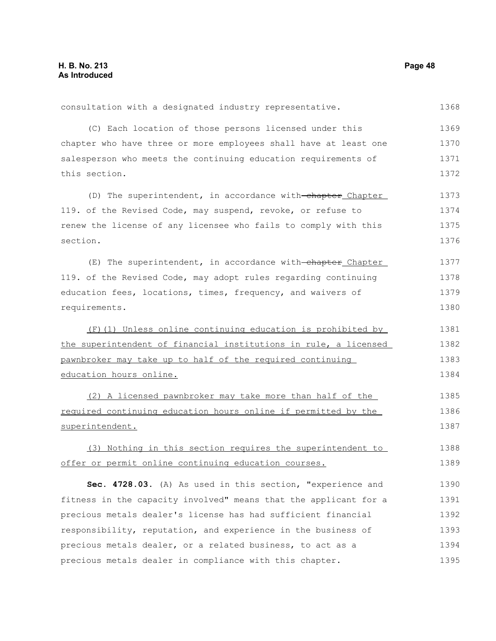consultation with a designated industry representative. (C) Each location of those persons licensed under this chapter who have three or more employees shall have at least one salesperson who meets the continuing education requirements of this section. (D) The superintendent, in accordance with-chapter Chapter 119. of the Revised Code, may suspend, revoke, or refuse to renew the license of any licensee who fails to comply with this section. (E) The superintendent, in accordance with-chapter Chapter 119. of the Revised Code, may adopt rules regarding continuing education fees, locations, times, frequency, and waivers of requirements. (F)(1) Unless online continuing education is prohibited by the superintendent of financial institutions in rule, a licensed pawnbroker may take up to half of the required continuing education hours online. (2) A licensed pawnbroker may take more than half of the required continuing education hours online if permitted by the superintendent. (3) Nothing in this section requires the superintendent to offer or permit online continuing education courses. **Sec. 4728.03.** (A) As used in this section, "experience and fitness in the capacity involved" means that the applicant for a precious metals dealer's license has had sufficient financial responsibility, reputation, and experience in the business of precious metals dealer, or a related business, to act as a 1368 1369 1370 1371 1372 1373 1374 1375 1376 1377 1378 1379 1380 1381 1382 1383 1384 1385 1386 1387 1388 1389 1390 1391 1392 1393 1394

precious metals dealer in compliance with this chapter.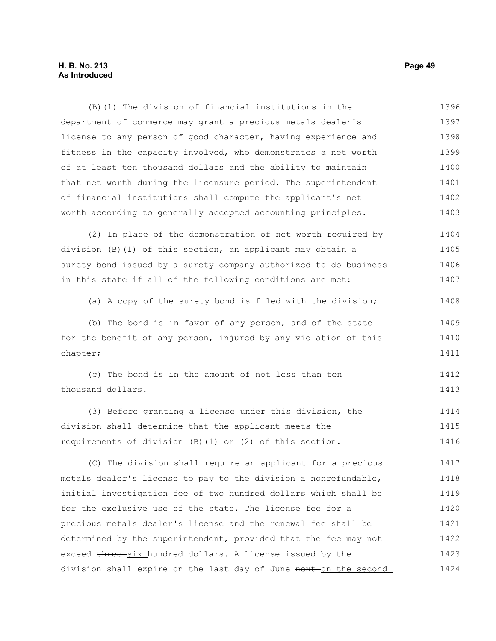# **H. B. No. 213 Page 49 As Introduced**

(B)(1) The division of financial institutions in the department of commerce may grant a precious metals dealer's license to any person of good character, having experience and fitness in the capacity involved, who demonstrates a net worth of at least ten thousand dollars and the ability to maintain that net worth during the licensure period. The superintendent of financial institutions shall compute the applicant's net worth according to generally accepted accounting principles. 1396 1397 1398 1399 1400 1401 1402 1403

(2) In place of the demonstration of net worth required by division (B)(1) of this section, an applicant may obtain a surety bond issued by a surety company authorized to do business in this state if all of the following conditions are met: 1404 1405 1406 1407

(a) A copy of the surety bond is filed with the division; 1408

(b) The bond is in favor of any person, and of the state for the benefit of any person, injured by any violation of this chapter; 1409 1410 1411

(c) The bond is in the amount of not less than ten thousand dollars. 1412 1413

(3) Before granting a license under this division, the division shall determine that the applicant meets the requirements of division (B)(1) or (2) of this section. 1414 1415 1416

(C) The division shall require an applicant for a precious metals dealer's license to pay to the division a nonrefundable, initial investigation fee of two hundred dollars which shall be for the exclusive use of the state. The license fee for a precious metals dealer's license and the renewal fee shall be determined by the superintendent, provided that the fee may not exceed three-six hundred dollars. A license issued by the division shall expire on the last day of June next on the second 1417 1418 1419 1420 1421 1422 1423 1424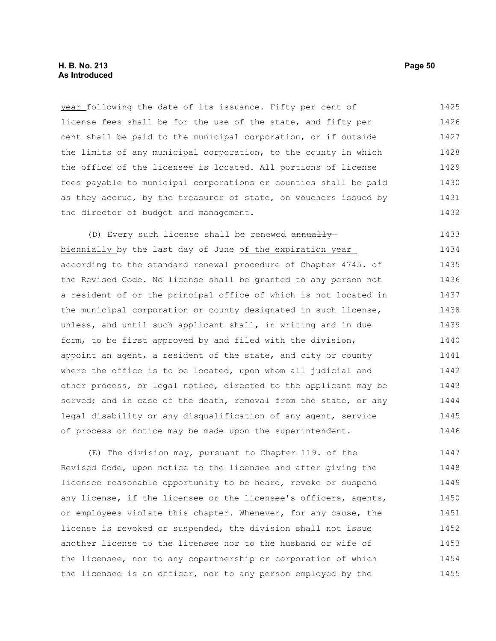# **H. B. No. 213 Page 50 As Introduced**

year following the date of its issuance. Fifty per cent of license fees shall be for the use of the state, and fifty per cent shall be paid to the municipal corporation, or if outside the limits of any municipal corporation, to the county in which the office of the licensee is located. All portions of license fees payable to municipal corporations or counties shall be paid as they accrue, by the treasurer of state, on vouchers issued by the director of budget and management. 1425 1426 1427 1428 1429 1430 1431 1432

(D) Every such license shall be renewed annually biennially by the last day of June of the expiration year according to the standard renewal procedure of Chapter 4745. of the Revised Code. No license shall be granted to any person not a resident of or the principal office of which is not located in the municipal corporation or county designated in such license, unless, and until such applicant shall, in writing and in due form, to be first approved by and filed with the division, appoint an agent, a resident of the state, and city or county where the office is to be located, upon whom all judicial and other process, or legal notice, directed to the applicant may be served; and in case of the death, removal from the state, or any legal disability or any disqualification of any agent, service of process or notice may be made upon the superintendent. 1433 1434 1435 1436 1437 1438 1439 1440 1441 1442 1443 1444 1445 1446

(E) The division may, pursuant to Chapter 119. of the Revised Code, upon notice to the licensee and after giving the licensee reasonable opportunity to be heard, revoke or suspend any license, if the licensee or the licensee's officers, agents, or employees violate this chapter. Whenever, for any cause, the license is revoked or suspended, the division shall not issue another license to the licensee nor to the husband or wife of the licensee, nor to any copartnership or corporation of which the licensee is an officer, nor to any person employed by the 1447 1448 1449 1450 1451 1452 1453 1454 1455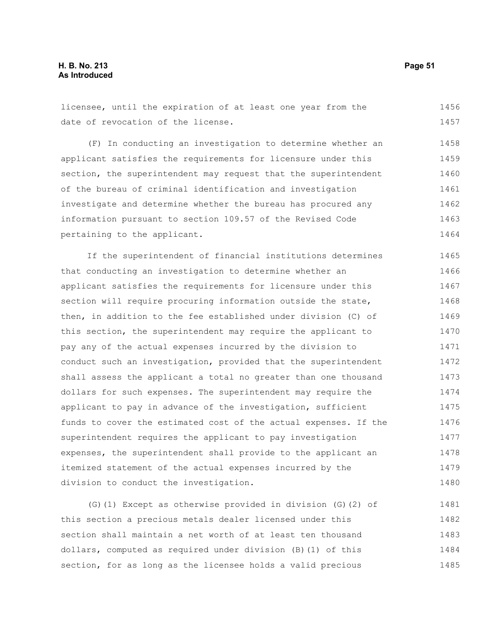licensee, until the expiration of at least one year from the date of revocation of the license. 1456 1457

(F) In conducting an investigation to determine whether an applicant satisfies the requirements for licensure under this section, the superintendent may request that the superintendent of the bureau of criminal identification and investigation investigate and determine whether the bureau has procured any information pursuant to section 109.57 of the Revised Code pertaining to the applicant. 1458 1459 1460 1461 1462 1463 1464

If the superintendent of financial institutions determines that conducting an investigation to determine whether an applicant satisfies the requirements for licensure under this section will require procuring information outside the state, then, in addition to the fee established under division (C) of this section, the superintendent may require the applicant to pay any of the actual expenses incurred by the division to conduct such an investigation, provided that the superintendent shall assess the applicant a total no greater than one thousand dollars for such expenses. The superintendent may require the applicant to pay in advance of the investigation, sufficient funds to cover the estimated cost of the actual expenses. If the superintendent requires the applicant to pay investigation expenses, the superintendent shall provide to the applicant an itemized statement of the actual expenses incurred by the division to conduct the investigation. 1465 1466 1467 1468 1469 1470 1471 1472 1473 1474 1475 1476 1477 1478 1479 1480

(G)(1) Except as otherwise provided in division (G)(2) of this section a precious metals dealer licensed under this section shall maintain a net worth of at least ten thousand dollars, computed as required under division (B)(1) of this section, for as long as the licensee holds a valid precious 1481 1482 1483 1484 1485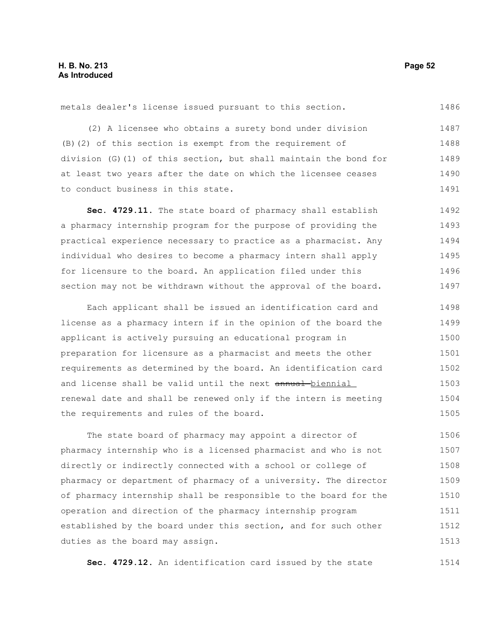metals dealer's license issued pursuant to this section.

(2) A licensee who obtains a surety bond under division (B)(2) of this section is exempt from the requirement of division (G)(1) of this section, but shall maintain the bond for at least two years after the date on which the licensee ceases to conduct business in this state. 1487 1488 1489 1490 1491

**Sec. 4729.11.** The state board of pharmacy shall establish a pharmacy internship program for the purpose of providing the practical experience necessary to practice as a pharmacist. Any individual who desires to become a pharmacy intern shall apply for licensure to the board. An application filed under this section may not be withdrawn without the approval of the board. 1492 1493 1494 1495 1496 1497

Each applicant shall be issued an identification card and license as a pharmacy intern if in the opinion of the board the applicant is actively pursuing an educational program in preparation for licensure as a pharmacist and meets the other requirements as determined by the board. An identification card and license shall be valid until the next annual-biennial renewal date and shall be renewed only if the intern is meeting the requirements and rules of the board. 1498 1499 1500 1501 1502 1503 1504 1505

The state board of pharmacy may appoint a director of pharmacy internship who is a licensed pharmacist and who is not directly or indirectly connected with a school or college of pharmacy or department of pharmacy of a university. The director of pharmacy internship shall be responsible to the board for the operation and direction of the pharmacy internship program established by the board under this section, and for such other duties as the board may assign. 1506 1507 1508 1509 1510 1511 1512 1513

**Sec. 4729.12.** An identification card issued by the state

1486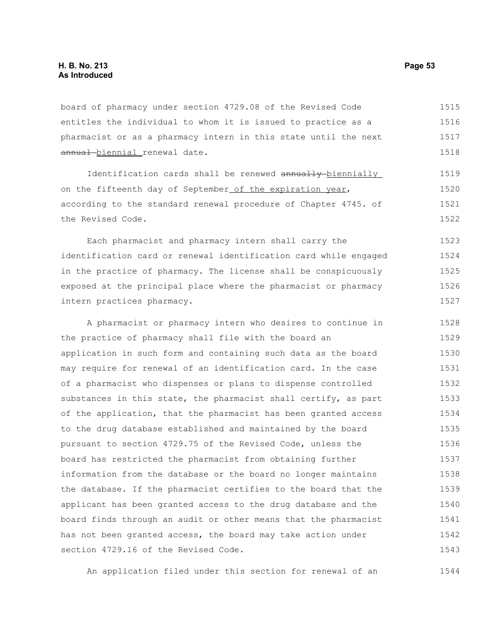board of pharmacy under section 4729.08 of the Revised Code entitles the individual to whom it is issued to practice as a pharmacist or as a pharmacy intern in this state until the next annual biennial renewal date. 1515 1516 1517 1518

Identification cards shall be renewed annually biennially on the fifteenth day of September of the expiration year, according to the standard renewal procedure of Chapter 4745. of the Revised Code.

Each pharmacist and pharmacy intern shall carry the identification card or renewal identification card while engaged in the practice of pharmacy. The license shall be conspicuously exposed at the principal place where the pharmacist or pharmacy intern practices pharmacy.

A pharmacist or pharmacy intern who desires to continue in the practice of pharmacy shall file with the board an application in such form and containing such data as the board may require for renewal of an identification card. In the case of a pharmacist who dispenses or plans to dispense controlled substances in this state, the pharmacist shall certify, as part of the application, that the pharmacist has been granted access to the drug database established and maintained by the board pursuant to section 4729.75 of the Revised Code, unless the board has restricted the pharmacist from obtaining further information from the database or the board no longer maintains the database. If the pharmacist certifies to the board that the applicant has been granted access to the drug database and the board finds through an audit or other means that the pharmacist has not been granted access, the board may take action under section 4729.16 of the Revised Code. 1528 1529 1530 1531 1532 1533 1534 1535 1536 1537 1538 1539 1540 1541 1542 1543

An application filed under this section for renewal of an 1544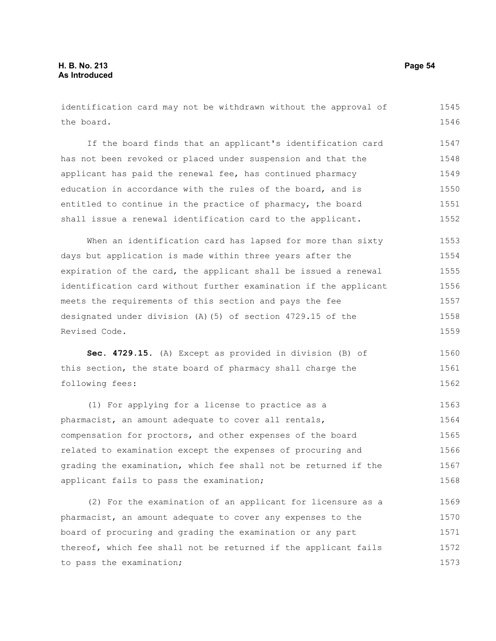1545

the board. If the board finds that an applicant's identification card has not been revoked or placed under suspension and that the applicant has paid the renewal fee, has continued pharmacy education in accordance with the rules of the board, and is entitled to continue in the practice of pharmacy, the board shall issue a renewal identification card to the applicant. When an identification card has lapsed for more than sixty days but application is made within three years after the expiration of the card, the applicant shall be issued a renewal identification card without further examination if the applicant meets the requirements of this section and pays the fee designated under division (A)(5) of section 4729.15 of the Revised Code. **Sec. 4729.15.** (A) Except as provided in division (B) of this section, the state board of pharmacy shall charge the following fees: (1) For applying for a license to practice as a pharmacist, an amount adequate to cover all rentals, compensation for proctors, and other expenses of the board related to examination except the expenses of procuring and grading the examination, which fee shall not be returned if the applicant fails to pass the examination; (2) For the examination of an applicant for licensure as a pharmacist, an amount adequate to cover any expenses to the board of procuring and grading the examination or any part 1546 1547 1548 1549 1550 1551 1552 1553 1554 1555 1556 1557 1558 1559 1560 1561 1562 1563 1564 1565 1566 1567 1568 1569 1570 1571

identification card may not be withdrawn without the approval of

thereof, which fee shall not be returned if the applicant fails to pass the examination; 1572 1573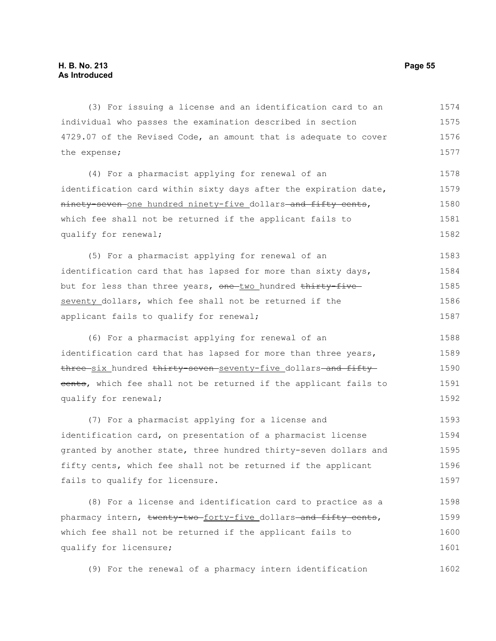(3) For issuing a license and an identification card to an individual who passes the examination described in section 4729.07 of the Revised Code, an amount that is adequate to cover the expense; 1574 1575 1576 1577

(4) For a pharmacist applying for renewal of an identification card within sixty days after the expiration date, ninety-seven one hundred ninety-five dollars-and fifty cents, which fee shall not be returned if the applicant fails to qualify for renewal; 1578 1579 1580 1581 1582

(5) For a pharmacist applying for renewal of an identification card that has lapsed for more than sixty days, but for less than three years, one-two hundred thirty-fiveseventy dollars, which fee shall not be returned if the applicant fails to qualify for renewal; 1583 1584 1585 1586 1587

(6) For a pharmacist applying for renewal of an identification card that has lapsed for more than three years, three six hundred thirty seven seventy-five dollars and fifty eents, which fee shall not be returned if the applicant fails to qualify for renewal; 1588 1589 1590 1591 1592

(7) For a pharmacist applying for a license and identification card, on presentation of a pharmacist license granted by another state, three hundred thirty-seven dollars and fifty cents, which fee shall not be returned if the applicant fails to qualify for licensure. 1593 1594 1595 1596 1597

(8) For a license and identification card to practice as a pharmacy intern, twenty two forty-five dollars and fifty cents, which fee shall not be returned if the applicant fails to qualify for licensure; 1598 1599 1600 1601

(9) For the renewal of a pharmacy intern identification 1602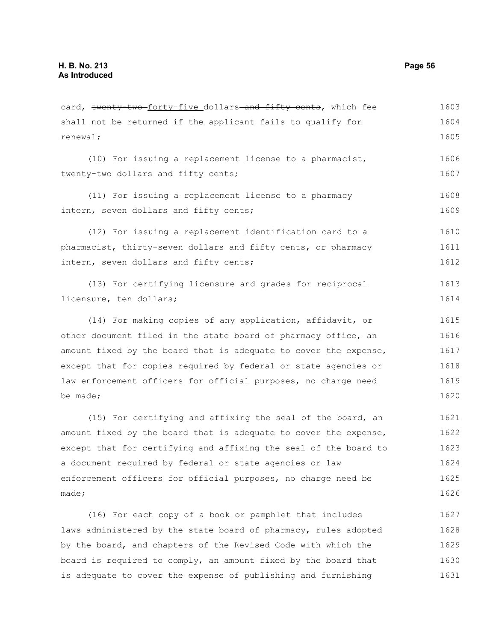shall not be returned if the applicant fails to qualify for renewal; (10) For issuing a replacement license to a pharmacist, twenty-two dollars and fifty cents; (11) For issuing a replacement license to a pharmacy intern, seven dollars and fifty cents; (12) For issuing a replacement identification card to a pharmacist, thirty-seven dollars and fifty cents, or pharmacy intern, seven dollars and fifty cents; (13) For certifying licensure and grades for reciprocal licensure, ten dollars; (14) For making copies of any application, affidavit, or other document filed in the state board of pharmacy office, an amount fixed by the board that is adequate to cover the expense, except that for copies required by federal or state agencies or law enforcement officers for official purposes, no charge need be made; (15) For certifying and affixing the seal of the board, an amount fixed by the board that is adequate to cover the expense, except that for certifying and affixing the seal of the board to a document required by federal or state agencies or law enforcement officers for official purposes, no charge need be made; (16) For each copy of a book or pamphlet that includes laws administered by the state board of pharmacy, rules adopted 1604 1605 1606 1607 1608 1609 1610 1611 1612 1613 1614 1615 1616 1617 1618 1619 1620 1621 1622 1623 1624 1625 1626 1627 1628

card, twenty two forty-five dollars and fifty cents, which fee

by the board, and chapters of the Revised Code with which the board is required to comply, an amount fixed by the board that is adequate to cover the expense of publishing and furnishing 1629 1630 1631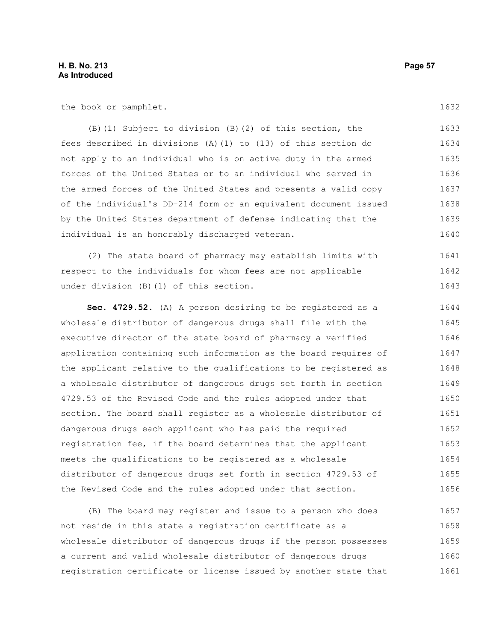the book or pamphlet.

(B)(1) Subject to division (B)(2) of this section, the fees described in divisions (A)(1) to (13) of this section do not apply to an individual who is on active duty in the armed forces of the United States or to an individual who served in the armed forces of the United States and presents a valid copy of the individual's DD-214 form or an equivalent document issued by the United States department of defense indicating that the individual is an honorably discharged veteran. 1633 1634 1635 1636 1637 1638 1639 1640

(2) The state board of pharmacy may establish limits with respect to the individuals for whom fees are not applicable under division (B)(1) of this section. 1641 1642 1643

**Sec. 4729.52.** (A) A person desiring to be registered as a wholesale distributor of dangerous drugs shall file with the executive director of the state board of pharmacy a verified application containing such information as the board requires of the applicant relative to the qualifications to be registered as a wholesale distributor of dangerous drugs set forth in section 4729.53 of the Revised Code and the rules adopted under that section. The board shall register as a wholesale distributor of dangerous drugs each applicant who has paid the required registration fee, if the board determines that the applicant meets the qualifications to be registered as a wholesale distributor of dangerous drugs set forth in section 4729.53 of the Revised Code and the rules adopted under that section. 1644 1645 1646 1647 1648 1649 1650 1651 1652 1653 1654 1655 1656

(B) The board may register and issue to a person who does not reside in this state a registration certificate as a wholesale distributor of dangerous drugs if the person possesses a current and valid wholesale distributor of dangerous drugs registration certificate or license issued by another state that 1657 1658 1659 1660 1661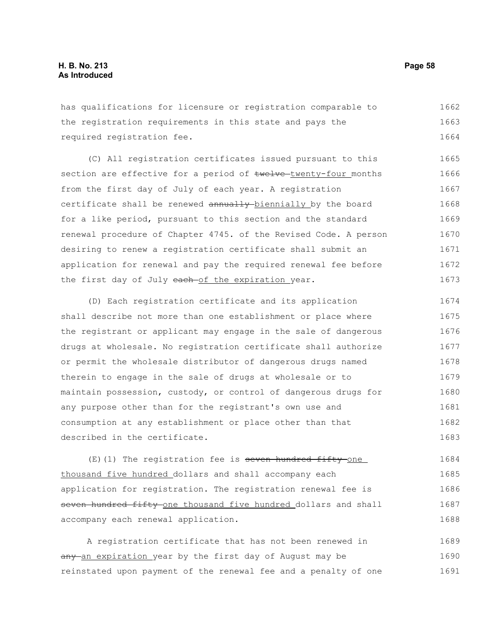has qualifications for licensure or registration comparable to the registration requirements in this state and pays the required registration fee. 1662 1663 1664

(C) All registration certificates issued pursuant to this section are effective for a period of twelve-twenty-four months from the first day of July of each year. A registration certificate shall be renewed annually biennially by the board for a like period, pursuant to this section and the standard renewal procedure of Chapter 4745. of the Revised Code. A person desiring to renew a registration certificate shall submit an application for renewal and pay the required renewal fee before the first day of July each-of the expiration year. 1665 1666 1667 1668 1669 1670 1671 1672 1673

(D) Each registration certificate and its application shall describe not more than one establishment or place where the registrant or applicant may engage in the sale of dangerous drugs at wholesale. No registration certificate shall authorize or permit the wholesale distributor of dangerous drugs named therein to engage in the sale of drugs at wholesale or to maintain possession, custody, or control of dangerous drugs for any purpose other than for the registrant's own use and consumption at any establishment or place other than that described in the certificate. 1674 1675 1676 1677 1678 1679 1680 1681 1682 1683

 $(E)$ (1) The registration fee is seven hundred fifty one thousand five hundred dollars and shall accompany each application for registration. The registration renewal fee is seven hundred fifty-one thousand five hundred dollars and shall accompany each renewal application. 1684 1685 1686 1687 1688

A registration certificate that has not been renewed in any an expiration year by the first day of August may be reinstated upon payment of the renewal fee and a penalty of one 1689 1690 1691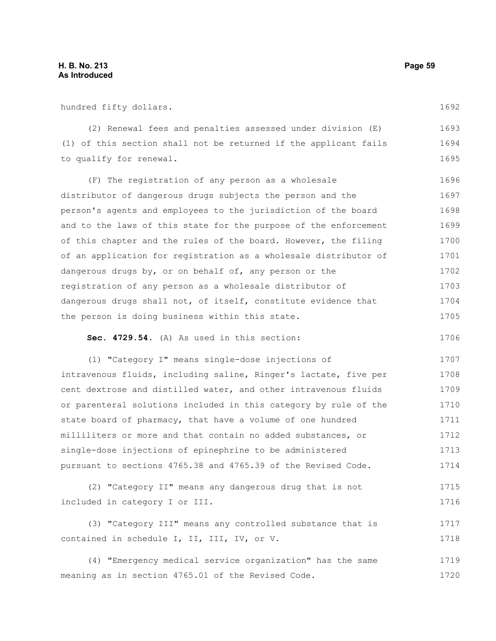hundred fifty dollars.

(2) Renewal fees and penalties assessed under division (E) (1) of this section shall not be returned if the applicant fails to qualify for renewal. 1693 1694 1695

(F) The registration of any person as a wholesale distributor of dangerous drugs subjects the person and the person's agents and employees to the jurisdiction of the board and to the laws of this state for the purpose of the enforcement of this chapter and the rules of the board. However, the filing of an application for registration as a wholesale distributor of dangerous drugs by, or on behalf of, any person or the registration of any person as a wholesale distributor of dangerous drugs shall not, of itself, constitute evidence that the person is doing business within this state. 1696 1697 1698 1699 1700 1701 1702 1703 1704 1705

**Sec. 4729.54.** (A) As used in this section:

(1) "Category I" means single-dose injections of intravenous fluids, including saline, Ringer's lactate, five per cent dextrose and distilled water, and other intravenous fluids or parenteral solutions included in this category by rule of the state board of pharmacy, that have a volume of one hundred milliliters or more and that contain no added substances, or single-dose injections of epinephrine to be administered pursuant to sections 4765.38 and 4765.39 of the Revised Code. 1707 1708 1709 1710 1711 1712 1713 1714

```
(2) "Category II" means any dangerous drug that is not
included in category I or III.
                                                                           1715
                                                                           1716
```
(3) "Category III" means any controlled substance that is contained in schedule I, II, III, IV, or V. 1717 1718

(4) "Emergency medical service organization" has the same meaning as in section 4765.01 of the Revised Code. 1719 1720

1692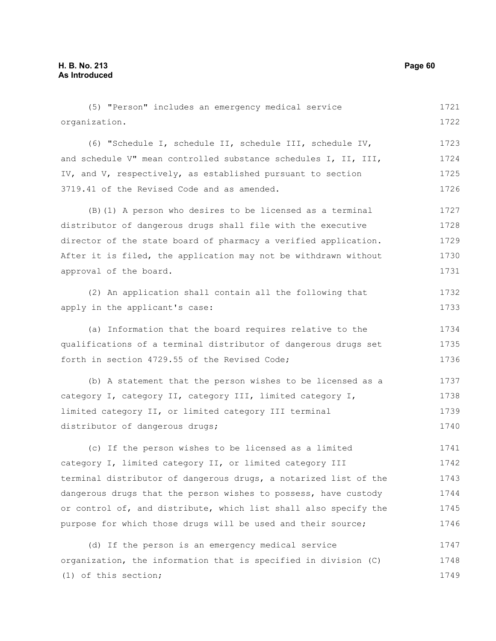| (5) "Person" includes an emergency medical service               | 1721 |
|------------------------------------------------------------------|------|
| organization.                                                    | 1722 |
| (6) "Schedule I, schedule II, schedule III, schedule IV,         | 1723 |
| and schedule V" mean controlled substance schedules I, II, III,  | 1724 |
| IV, and V, respectively, as established pursuant to section      | 1725 |
| 3719.41 of the Revised Code and as amended.                      | 1726 |
| (B) (1) A person who desires to be licensed as a terminal        | 1727 |
| distributor of dangerous drugs shall file with the executive     | 1728 |
| director of the state board of pharmacy a verified application.  | 1729 |
| After it is filed, the application may not be withdrawn without  | 1730 |
| approval of the board.                                           | 1731 |
| (2) An application shall contain all the following that          | 1732 |
| apply in the applicant's case:                                   | 1733 |
| (a) Information that the board requires relative to the          | 1734 |
| qualifications of a terminal distributor of dangerous drugs set  | 1735 |
| forth in section 4729.55 of the Revised Code;                    | 1736 |
| (b) A statement that the person wishes to be licensed as a       | 1737 |
| category I, category II, category III, limited category I,       | 1738 |
| limited category II, or limited category III terminal            | 1739 |
| distributor of dangerous drugs;                                  | 1740 |
| (c) If the person wishes to be licensed as a limited             | 1741 |
| category I, limited category II, or limited category III         | 1742 |
| terminal distributor of dangerous drugs, a notarized list of the | 1743 |
| dangerous drugs that the person wishes to possess, have custody  | 1744 |
| or control of, and distribute, which list shall also specify the | 1745 |
| purpose for which those drugs will be used and their source;     | 1746 |
| (d) If the person is an emergency medical service                | 1747 |
| organization, the information that is specified in division (C)  | 1748 |
| (1) of this section;                                             | 1749 |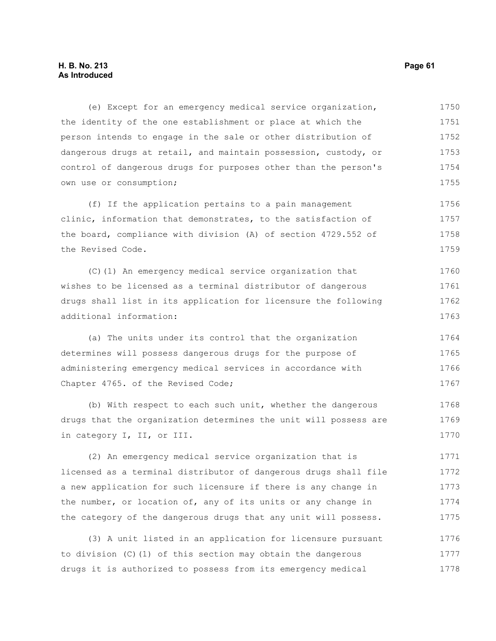# **H. B. No. 213 Page 61 As Introduced**

(e) Except for an emergency medical service organization, the identity of the one establishment or place at which the person intends to engage in the sale or other distribution of dangerous drugs at retail, and maintain possession, custody, or control of dangerous drugs for purposes other than the person's own use or consumption; 1750 1751 1752 1753 1754 1755

(f) If the application pertains to a pain management clinic, information that demonstrates, to the satisfaction of the board, compliance with division (A) of section 4729.552 of the Revised Code. 1756 1757 1758 1759

(C)(1) An emergency medical service organization that wishes to be licensed as a terminal distributor of dangerous drugs shall list in its application for licensure the following additional information: 1760 1761 1762 1763

(a) The units under its control that the organization determines will possess dangerous drugs for the purpose of administering emergency medical services in accordance with Chapter 4765. of the Revised Code; 1764 1765 1766 1767

(b) With respect to each such unit, whether the dangerous drugs that the organization determines the unit will possess are in category I, II, or III. 1768 1769 1770

(2) An emergency medical service organization that is licensed as a terminal distributor of dangerous drugs shall file a new application for such licensure if there is any change in the number, or location of, any of its units or any change in the category of the dangerous drugs that any unit will possess. 1771 1772 1773 1774 1775

(3) A unit listed in an application for licensure pursuant to division (C)(1) of this section may obtain the dangerous drugs it is authorized to possess from its emergency medical 1776 1777 1778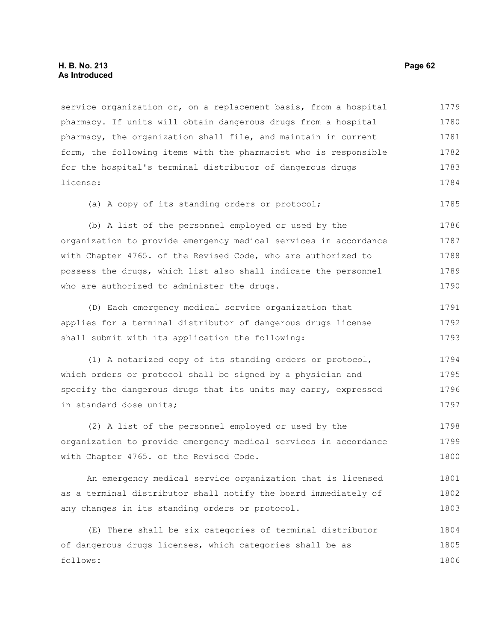# **H. B. No. 213 Page 62 As Introduced**

service organization or, on a replacement basis, from a hospital pharmacy. If units will obtain dangerous drugs from a hospital pharmacy, the organization shall file, and maintain in current form, the following items with the pharmacist who is responsible for the hospital's terminal distributor of dangerous drugs license: 1779 1780 1781 1782 1783 1784

(a) A copy of its standing orders or protocol; 1785

(b) A list of the personnel employed or used by the organization to provide emergency medical services in accordance with Chapter 4765. of the Revised Code, who are authorized to possess the drugs, which list also shall indicate the personnel who are authorized to administer the drugs. 1786 1787 1788 1789 1790

(D) Each emergency medical service organization that applies for a terminal distributor of dangerous drugs license shall submit with its application the following: 1791 1792 1793

(1) A notarized copy of its standing orders or protocol, which orders or protocol shall be signed by a physician and specify the dangerous drugs that its units may carry, expressed in standard dose units; 1794 1795 1796 1797

(2) A list of the personnel employed or used by the organization to provide emergency medical services in accordance with Chapter 4765. of the Revised Code. 1798 1799 1800

An emergency medical service organization that is licensed as a terminal distributor shall notify the board immediately of any changes in its standing orders or protocol. 1801 1802 1803

(E) There shall be six categories of terminal distributor of dangerous drugs licenses, which categories shall be as follows: 1804 1805 1806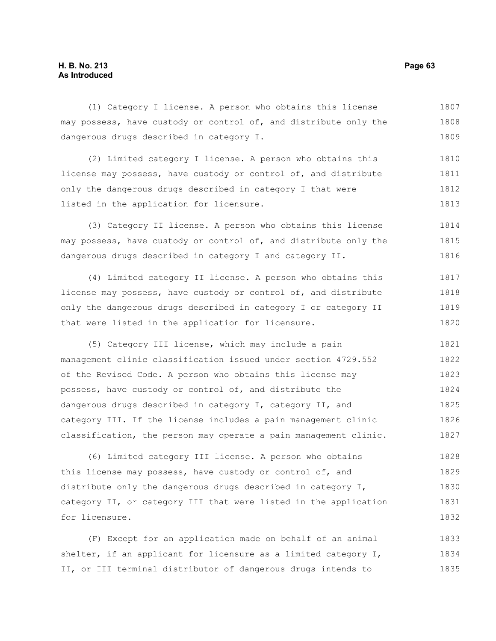# **H. B. No. 213 Page 63 As Introduced**

(1) Category I license. A person who obtains this license 1807

dangerous drugs described in category I. (2) Limited category I license. A person who obtains this license may possess, have custody or control of, and distribute 1809 1810 1811

may possess, have custody or control of, and distribute only the

only the dangerous drugs described in category I that were listed in the application for licensure. 1812 1813

(3) Category II license. A person who obtains this license may possess, have custody or control of, and distribute only the dangerous drugs described in category I and category II. 1814 1815 1816

(4) Limited category II license. A person who obtains this license may possess, have custody or control of, and distribute only the dangerous drugs described in category I or category II that were listed in the application for licensure. 1817 1818 1819 1820

(5) Category III license, which may include a pain management clinic classification issued under section 4729.552 of the Revised Code. A person who obtains this license may possess, have custody or control of, and distribute the dangerous drugs described in category I, category II, and category III. If the license includes a pain management clinic classification, the person may operate a pain management clinic. 1821 1822 1823 1824 1825 1826 1827

(6) Limited category III license. A person who obtains this license may possess, have custody or control of, and distribute only the dangerous drugs described in category I, category II, or category III that were listed in the application for licensure. 1828 1829 1830 1831 1832

(F) Except for an application made on behalf of an animal shelter, if an applicant for licensure as a limited category I, II, or III terminal distributor of dangerous drugs intends to 1833 1834 1835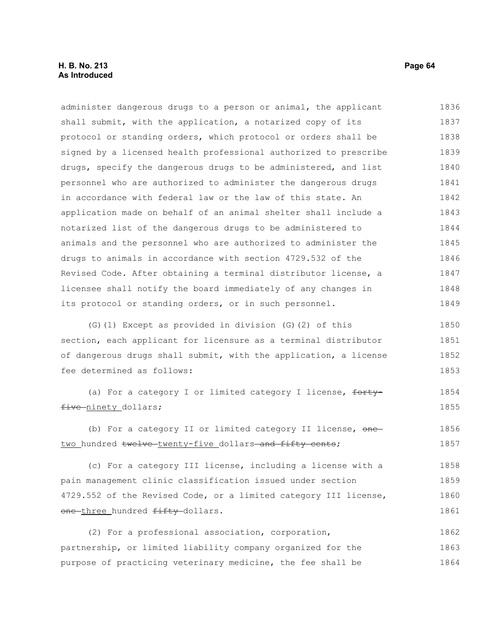# **H. B. No. 213 Page 64 As Introduced**

administer dangerous drugs to a person or animal, the applicant shall submit, with the application, a notarized copy of its protocol or standing orders, which protocol or orders shall be signed by a licensed health professional authorized to prescribe drugs, specify the dangerous drugs to be administered, and list personnel who are authorized to administer the dangerous drugs in accordance with federal law or the law of this state. An application made on behalf of an animal shelter shall include a notarized list of the dangerous drugs to be administered to animals and the personnel who are authorized to administer the drugs to animals in accordance with section 4729.532 of the Revised Code. After obtaining a terminal distributor license, a licensee shall notify the board immediately of any changes in its protocol or standing orders, or in such personnel. 1836 1837 1838 1839 1840 1841 1842 1843 1844 1845 1846 1847 1848 1849

(G)(1) Except as provided in division (G)(2) of this section, each applicant for licensure as a terminal distributor of dangerous drugs shall submit, with the application, a license fee determined as follows: 1850 1851 1852 1853

(a) For a category I or limited category I license, fortyfive ninety dollars; 1854 1855

(b) For a category II or limited category II license, onetwo hundred twelve twenty-five dollars and fifty cents; 1856 1857

(c) For a category III license, including a license with a pain management clinic classification issued under section 4729.552 of the Revised Code, or a limited category III license, one-three hundred fifty-dollars. 1858 1859 1860 1861

(2) For a professional association, corporation, partnership, or limited liability company organized for the purpose of practicing veterinary medicine, the fee shall be 1862 1863 1864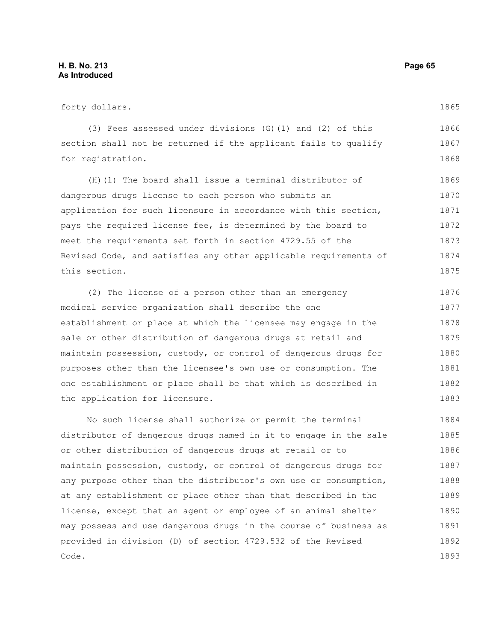#### forty dollars. (3) Fees assessed under divisions (G)(1) and (2) of this section shall not be returned if the applicant fails to qualify for registration. (H)(1) The board shall issue a terminal distributor of dangerous drugs license to each person who submits an application for such licensure in accordance with this section, pays the required license fee, is determined by the board to meet the requirements set forth in section 4729.55 of the 1865 1866 1867 1868 1869 1870 1871 1872 1873

Revised Code, and satisfies any other applicable requirements of this section. 1874 1875

(2) The license of a person other than an emergency medical service organization shall describe the one establishment or place at which the licensee may engage in the sale or other distribution of dangerous drugs at retail and maintain possession, custody, or control of dangerous drugs for purposes other than the licensee's own use or consumption. The one establishment or place shall be that which is described in the application for licensure. 1876 1877 1878 1879 1880 1881 1882 1883

No such license shall authorize or permit the terminal distributor of dangerous drugs named in it to engage in the sale or other distribution of dangerous drugs at retail or to maintain possession, custody, or control of dangerous drugs for any purpose other than the distributor's own use or consumption, at any establishment or place other than that described in the license, except that an agent or employee of an animal shelter may possess and use dangerous drugs in the course of business as provided in division (D) of section 4729.532 of the Revised Code. 1884 1885 1886 1887 1888 1889 1890 1891 1892 1893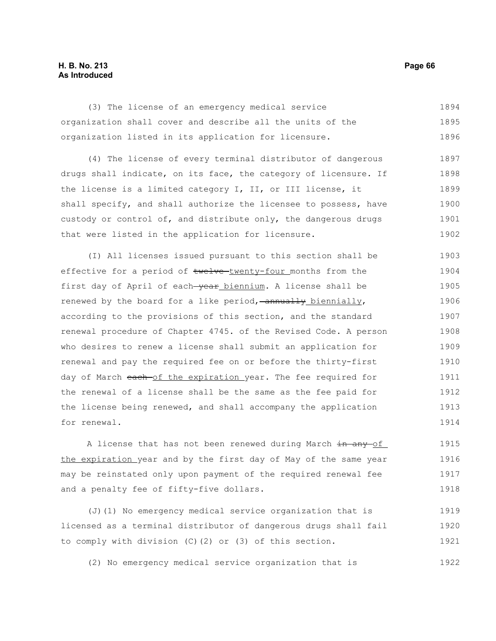# **H. B. No. 213 Page 66 As Introduced**

(3) The license of an emergency medical service organization shall cover and describe all the units of the organization listed in its application for licensure. 1894 1895 1896

(4) The license of every terminal distributor of dangerous drugs shall indicate, on its face, the category of licensure. If the license is a limited category I, II, or III license, it shall specify, and shall authorize the licensee to possess, have custody or control of, and distribute only, the dangerous drugs that were listed in the application for licensure. 1897 1898 1899 1900 1901 1902

(I) All licenses issued pursuant to this section shall be effective for a period of twelve-twenty-four months from the first day of April of each-year biennium. A license shall be renewed by the board for a like period,  $-$ annually biennially, according to the provisions of this section, and the standard renewal procedure of Chapter 4745. of the Revised Code. A person who desires to renew a license shall submit an application for renewal and pay the required fee on or before the thirty-first day of March each of the expiration year. The fee required for the renewal of a license shall be the same as the fee paid for the license being renewed, and shall accompany the application for renewal. 1903 1904 1905 1906 1907 1908 1909 1910 1911 1912 1913 1914

A license that has not been renewed during March in any of the expiration year and by the first day of May of the same year may be reinstated only upon payment of the required renewal fee and a penalty fee of fifty-five dollars. 1915 1916 1917 1918

(J)(1) No emergency medical service organization that is licensed as a terminal distributor of dangerous drugs shall fail to comply with division (C)(2) or (3) of this section. 1919 1920 1921

(2) No emergency medical service organization that is 1922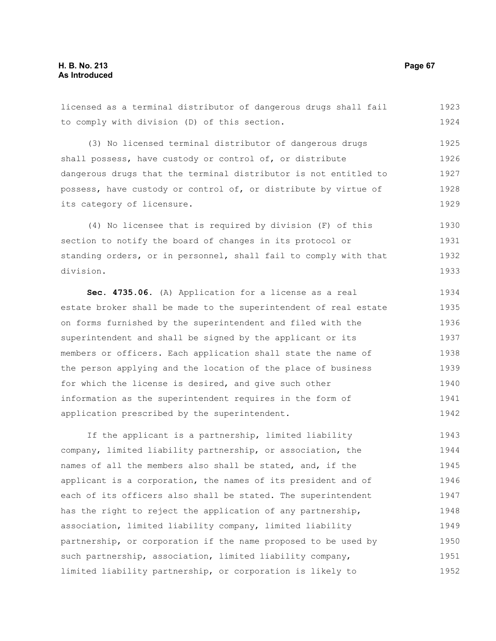licensed as a terminal distributor of dangerous drugs shall fail to comply with division (D) of this section. (3) No licensed terminal distributor of dangerous drugs shall possess, have custody or control of, or distribute dangerous drugs that the terminal distributor is not entitled to possess, have custody or control of, or distribute by virtue of its category of licensure. (4) No licensee that is required by division (F) of this section to notify the board of changes in its protocol or standing orders, or in personnel, shall fail to comply with that division. **Sec. 4735.06.** (A) Application for a license as a real estate broker shall be made to the superintendent of real estate on forms furnished by the superintendent and filed with the superintendent and shall be signed by the applicant or its members or officers. Each application shall state the name of the person applying and the location of the place of business for which the license is desired, and give such other information as the superintendent requires in the form of application prescribed by the superintendent. If the applicant is a partnership, limited liability company, limited liability partnership, or association, the names of all the members also shall be stated, and, if the applicant is a corporation, the names of its president and of each of its officers also shall be stated. The superintendent 1923 1924 1925 1926 1927 1928 1929 1930 1931 1932 1933 1934 1935 1936 1937 1938 1939 1940 1941 1942 1943 1944 1945 1946 1947

has the right to reject the application of any partnership, association, limited liability company, limited liability

such partnership, association, limited liability company, limited liability partnership, or corporation is likely to

partnership, or corporation if the name proposed to be used by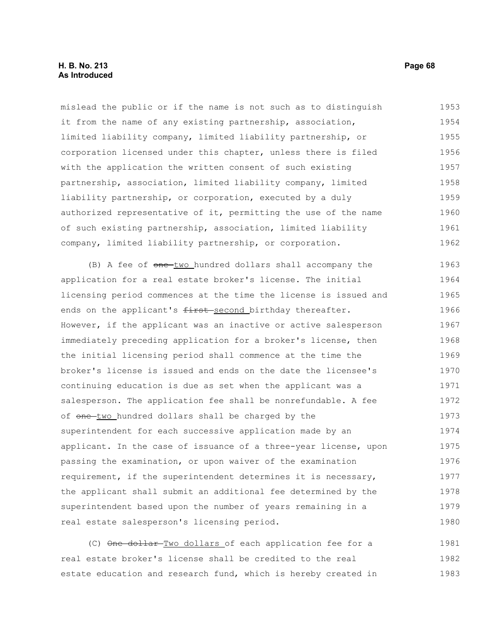mislead the public or if the name is not such as to distinguish it from the name of any existing partnership, association, limited liability company, limited liability partnership, or corporation licensed under this chapter, unless there is filed with the application the written consent of such existing partnership, association, limited liability company, limited liability partnership, or corporation, executed by a duly authorized representative of it, permitting the use of the name of such existing partnership, association, limited liability company, limited liability partnership, or corporation. 1953 1954 1955 1956 1957 1958 1959 1960 1961 1962

(B) A fee of one-two hundred dollars shall accompany the application for a real estate broker's license. The initial licensing period commences at the time the license is issued and ends on the applicant's first-second birthday thereafter. However, if the applicant was an inactive or active salesperson immediately preceding application for a broker's license, then the initial licensing period shall commence at the time the broker's license is issued and ends on the date the licensee's continuing education is due as set when the applicant was a salesperson. The application fee shall be nonrefundable. A fee of one two hundred dollars shall be charged by the superintendent for each successive application made by an applicant. In the case of issuance of a three-year license, upon passing the examination, or upon waiver of the examination requirement, if the superintendent determines it is necessary, the applicant shall submit an additional fee determined by the superintendent based upon the number of years remaining in a real estate salesperson's licensing period. 1963 1964 1965 1966 1967 1968 1969 1970 1971 1972 1973 1974 1975 1976 1977 1978 1979 1980

(C) One dollar Two dollars of each application fee for a real estate broker's license shall be credited to the real estate education and research fund, which is hereby created in 1981 1982 1983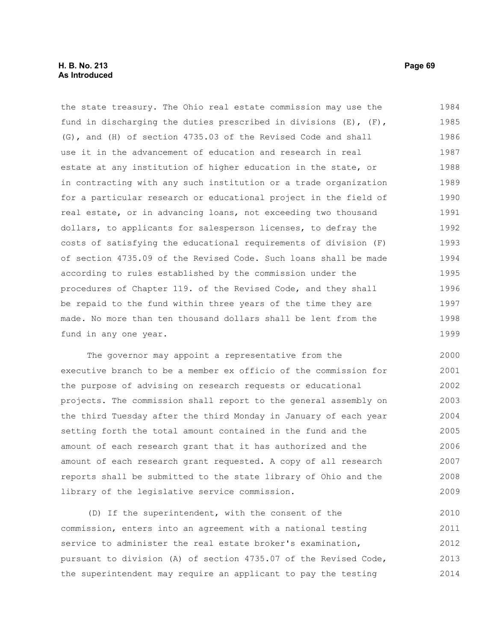the state treasury. The Ohio real estate commission may use the fund in discharging the duties prescribed in divisions (E), (F), (G), and (H) of section 4735.03 of the Revised Code and shall use it in the advancement of education and research in real estate at any institution of higher education in the state, or in contracting with any such institution or a trade organization for a particular research or educational project in the field of real estate, or in advancing loans, not exceeding two thousand dollars, to applicants for salesperson licenses, to defray the costs of satisfying the educational requirements of division (F) of section 4735.09 of the Revised Code. Such loans shall be made according to rules established by the commission under the procedures of Chapter 119. of the Revised Code, and they shall be repaid to the fund within three years of the time they are made. No more than ten thousand dollars shall be lent from the fund in any one year. 1984 1985 1986 1987 1988 1989 1990 1991 1992 1993 1994 1995 1996 1997 1998 1999

The governor may appoint a representative from the executive branch to be a member ex officio of the commission for the purpose of advising on research requests or educational projects. The commission shall report to the general assembly on the third Tuesday after the third Monday in January of each year setting forth the total amount contained in the fund and the amount of each research grant that it has authorized and the amount of each research grant requested. A copy of all research reports shall be submitted to the state library of Ohio and the library of the legislative service commission. 2000 2001 2002 2003 2004 2005 2006 2007 2008 2009

(D) If the superintendent, with the consent of the commission, enters into an agreement with a national testing service to administer the real estate broker's examination, pursuant to division (A) of section 4735.07 of the Revised Code, the superintendent may require an applicant to pay the testing 2010 2011 2012 2013 2014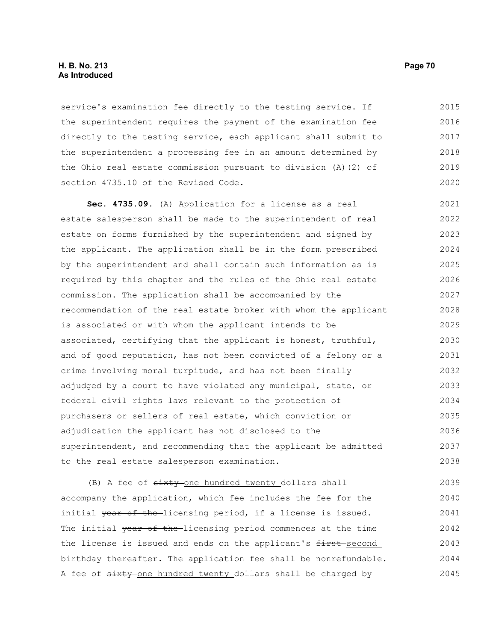#### **H. B. No. 213 Page 70 As Introduced**

service's examination fee directly to the testing service. If the superintendent requires the payment of the examination fee directly to the testing service, each applicant shall submit to the superintendent a processing fee in an amount determined by the Ohio real estate commission pursuant to division (A)(2) of section 4735.10 of the Revised Code. 2015 2016 2017 2018 2019 2020

**Sec. 4735.09.** (A) Application for a license as a real estate salesperson shall be made to the superintendent of real estate on forms furnished by the superintendent and signed by the applicant. The application shall be in the form prescribed by the superintendent and shall contain such information as is required by this chapter and the rules of the Ohio real estate commission. The application shall be accompanied by the recommendation of the real estate broker with whom the applicant is associated or with whom the applicant intends to be associated, certifying that the applicant is honest, truthful, and of good reputation, has not been convicted of a felony or a crime involving moral turpitude, and has not been finally adjudged by a court to have violated any municipal, state, or federal civil rights laws relevant to the protection of purchasers or sellers of real estate, which conviction or adjudication the applicant has not disclosed to the superintendent, and recommending that the applicant be admitted to the real estate salesperson examination. 2021 2022 2023 2024 2025 2026 2027 2028 2029 2030 2031 2032 2033 2034 2035 2036 2037 2038

(B) A fee of  $s$ ixty one hundred twenty dollars shall accompany the application, which fee includes the fee for the initial year of the-licensing period, if a license is issued. The initial year of the licensing period commences at the time the license is issued and ends on the applicant's first-second birthday thereafter. The application fee shall be nonrefundable. A fee of  $s$ ixty-one hundred twenty dollars shall be charged by 2039 2040 2041 2042 2043 2044 2045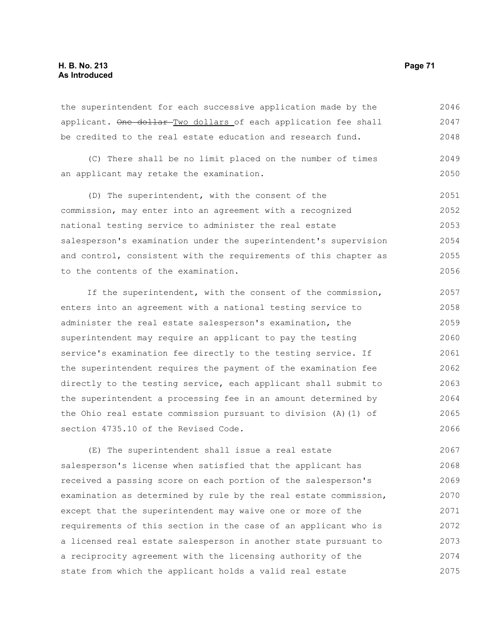# **H. B. No. 213 Page 71 As Introduced**

the superintendent for each successive application made by the applicant. One dollar Two dollars of each application fee shall be credited to the real estate education and research fund. 2046 2047 2048

(C) There shall be no limit placed on the number of times an applicant may retake the examination. 2049 2050

(D) The superintendent, with the consent of the commission, may enter into an agreement with a recognized national testing service to administer the real estate salesperson's examination under the superintendent's supervision and control, consistent with the requirements of this chapter as to the contents of the examination. 2051 2052 2053 2054 2055 2056

If the superintendent, with the consent of the commission, enters into an agreement with a national testing service to administer the real estate salesperson's examination, the superintendent may require an applicant to pay the testing service's examination fee directly to the testing service. If the superintendent requires the payment of the examination fee directly to the testing service, each applicant shall submit to the superintendent a processing fee in an amount determined by the Ohio real estate commission pursuant to division (A)(1) of section 4735.10 of the Revised Code. 2057 2058 2059 2060 2061 2062 2063 2064 2065 2066

(E) The superintendent shall issue a real estate salesperson's license when satisfied that the applicant has received a passing score on each portion of the salesperson's examination as determined by rule by the real estate commission, except that the superintendent may waive one or more of the requirements of this section in the case of an applicant who is a licensed real estate salesperson in another state pursuant to a reciprocity agreement with the licensing authority of the state from which the applicant holds a valid real estate 2067 2068 2069 2070 2071 2072 2073 2074 2075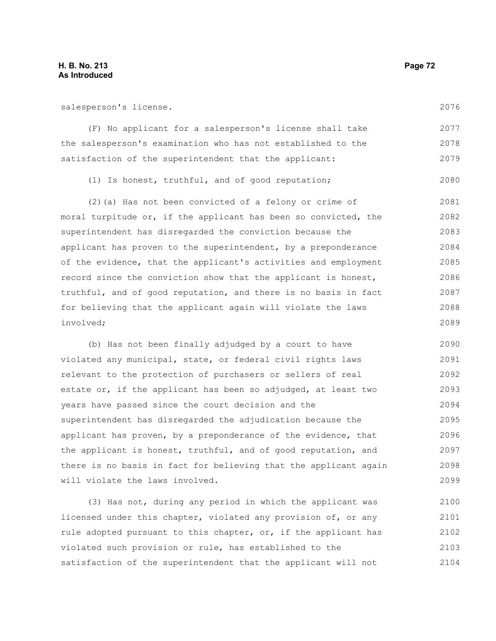salesperson's license.

2076

| (F) No applicant for a salesperson's license shall take<br>the salesperson's examination who has not established to the<br>satisfaction of the superintendent that the applicant: | 2077 |
|-----------------------------------------------------------------------------------------------------------------------------------------------------------------------------------|------|
|                                                                                                                                                                                   | 2078 |
|                                                                                                                                                                                   | 2079 |

(1) Is honest, truthful, and of good reputation; 2080

(2)(a) Has not been convicted of a felony or crime of moral turpitude or, if the applicant has been so convicted, the superintendent has disregarded the conviction because the applicant has proven to the superintendent, by a preponderance of the evidence, that the applicant's activities and employment record since the conviction show that the applicant is honest, truthful, and of good reputation, and there is no basis in fact for believing that the applicant again will violate the laws involved; 2081 2082 2083 2084 2085 2086 2087 2088 2089

(b) Has not been finally adjudged by a court to have violated any municipal, state, or federal civil rights laws relevant to the protection of purchasers or sellers of real estate or, if the applicant has been so adjudged, at least two years have passed since the court decision and the superintendent has disregarded the adjudication because the applicant has proven, by a preponderance of the evidence, that the applicant is honest, truthful, and of good reputation, and there is no basis in fact for believing that the applicant again will violate the laws involved. 2090 2091 2092 2093 2094 2095 2096 2097 2098 2099

(3) Has not, during any period in which the applicant was licensed under this chapter, violated any provision of, or any rule adopted pursuant to this chapter, or, if the applicant has violated such provision or rule, has established to the satisfaction of the superintendent that the applicant will not 2100 2101 2102 2103 2104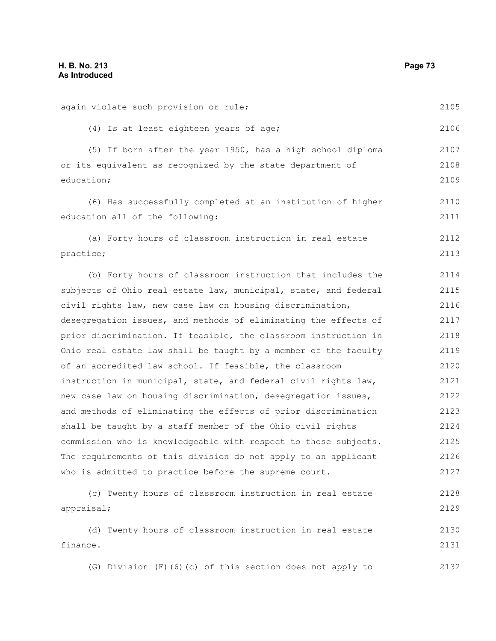again violate such provision or rule;

(4) Is at least eighteen years of age; (5) If born after the year 1950, has a high school diploma or its equivalent as recognized by the state department of education; (6) Has successfully completed at an institution of higher education all of the following: (a) Forty hours of classroom instruction in real estate practice; (b) Forty hours of classroom instruction that includes the subjects of Ohio real estate law, municipal, state, and federal civil rights law, new case law on housing discrimination, desegregation issues, and methods of eliminating the effects of prior discrimination. If feasible, the classroom instruction in Ohio real estate law shall be taught by a member of the faculty of an accredited law school. If feasible, the classroom instruction in municipal, state, and federal civil rights law, new case law on housing discrimination, desegregation issues, and methods of eliminating the effects of prior discrimination shall be taught by a staff member of the Ohio civil rights commission who is knowledgeable with respect to those subjects. The requirements of this division do not apply to an applicant who is admitted to practice before the supreme court. (c) Twenty hours of classroom instruction in real estate appraisal; (d) Twenty hours of classroom instruction in real estate 2106 2107 2108 2109 2110 2111 2112 2113 2114 2115 2116 2117 2118 2119 2120 2121 2122 2123 2124 2125 2126 2127 2128 2129 2130

finance. 2131

(G) Division (F)(6)(c) of this section does not apply to 2132

2105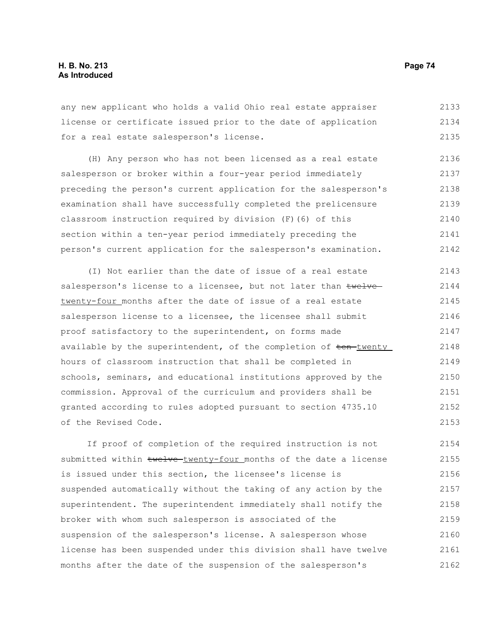any new applicant who holds a valid Ohio real estate appraiser license or certificate issued prior to the date of application for a real estate salesperson's license. 2133 2134 2135

(H) Any person who has not been licensed as a real estate salesperson or broker within a four-year period immediately preceding the person's current application for the salesperson's examination shall have successfully completed the prelicensure classroom instruction required by division (F)(6) of this section within a ten-year period immediately preceding the person's current application for the salesperson's examination. 2136 2137 2138 2139 2140 2141 2142

(I) Not earlier than the date of issue of a real estate salesperson's license to a licensee, but not later than twelve twenty-four months after the date of issue of a real estate salesperson license to a licensee, the licensee shall submit proof satisfactory to the superintendent, on forms made available by the superintendent, of the completion of ten-twenty hours of classroom instruction that shall be completed in schools, seminars, and educational institutions approved by the commission. Approval of the curriculum and providers shall be granted according to rules adopted pursuant to section 4735.10 of the Revised Code. 2143 2144 2145 2146 2147 2148 2149 2150 2151 2152 2153

If proof of completion of the required instruction is not submitted within twelve-twenty-four months of the date a license is issued under this section, the licensee's license is suspended automatically without the taking of any action by the superintendent. The superintendent immediately shall notify the broker with whom such salesperson is associated of the suspension of the salesperson's license. A salesperson whose license has been suspended under this division shall have twelve months after the date of the suspension of the salesperson's 2154 2155 2156 2157 2158 2159 2160 2161 2162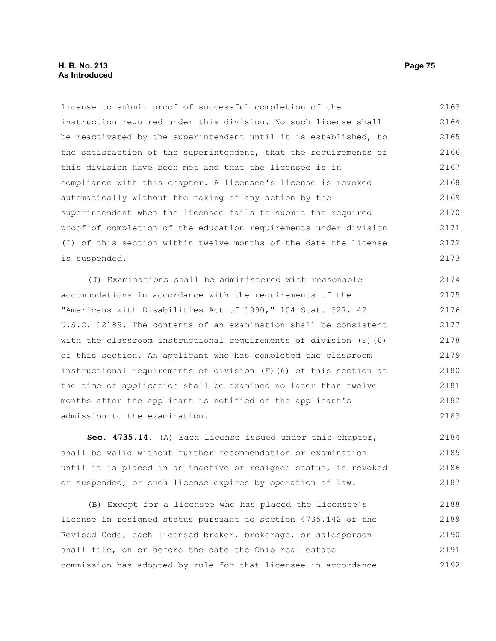## **H. B. No. 213 Page 75 As Introduced**

license to submit proof of successful completion of the instruction required under this division. No such license shall be reactivated by the superintendent until it is established, to the satisfaction of the superintendent, that the requirements of this division have been met and that the licensee is in compliance with this chapter. A licensee's license is revoked automatically without the taking of any action by the superintendent when the licensee fails to submit the required proof of completion of the education requirements under division (I) of this section within twelve months of the date the license is suspended. 2163 2164 2165 2166 2167 2168 2169 2170 2171 2172 2173

(J) Examinations shall be administered with reasonable accommodations in accordance with the requirements of the "Americans with Disabilities Act of 1990," 104 Stat. 327, 42 U.S.C. 12189. The contents of an examination shall be consistent with the classroom instructional requirements of division (F)(6) of this section. An applicant who has completed the classroom instructional requirements of division (F)(6) of this section at the time of application shall be examined no later than twelve months after the applicant is notified of the applicant's admission to the examination. 2174 2175 2176 2177 2178 2179 2180 2181 2182 2183

**Sec. 4735.14.** (A) Each license issued under this chapter, shall be valid without further recommendation or examination until it is placed in an inactive or resigned status, is revoked or suspended, or such license expires by operation of law. 2184 2185 2186 2187

(B) Except for a licensee who has placed the licensee's license in resigned status pursuant to section 4735.142 of the Revised Code, each licensed broker, brokerage, or salesperson shall file, on or before the date the Ohio real estate commission has adopted by rule for that licensee in accordance 2188 2189 2190 2191 2192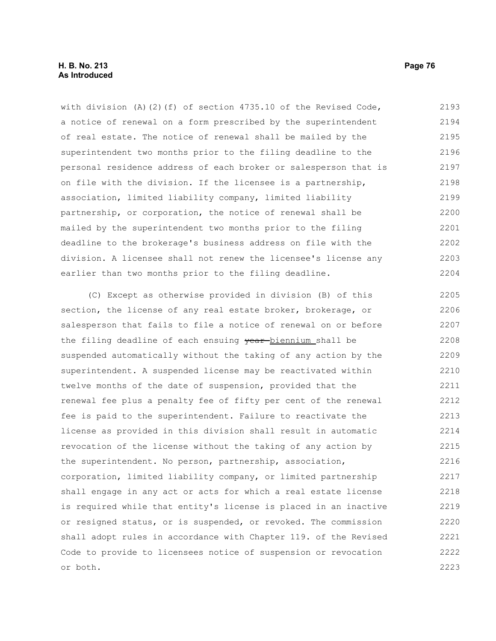with division (A)(2)(f) of section  $4735.10$  of the Revised Code, a notice of renewal on a form prescribed by the superintendent of real estate. The notice of renewal shall be mailed by the superintendent two months prior to the filing deadline to the personal residence address of each broker or salesperson that is on file with the division. If the licensee is a partnership, association, limited liability company, limited liability partnership, or corporation, the notice of renewal shall be mailed by the superintendent two months prior to the filing deadline to the brokerage's business address on file with the division. A licensee shall not renew the licensee's license any earlier than two months prior to the filing deadline. 2193 2194 2195 2196 2197 2198 2199 2200 2201 2202 2203 2204

(C) Except as otherwise provided in division (B) of this section, the license of any real estate broker, brokerage, or salesperson that fails to file a notice of renewal on or before the filing deadline of each ensuing year-biennium shall be suspended automatically without the taking of any action by the superintendent. A suspended license may be reactivated within twelve months of the date of suspension, provided that the renewal fee plus a penalty fee of fifty per cent of the renewal fee is paid to the superintendent. Failure to reactivate the license as provided in this division shall result in automatic revocation of the license without the taking of any action by the superintendent. No person, partnership, association, corporation, limited liability company, or limited partnership shall engage in any act or acts for which a real estate license is required while that entity's license is placed in an inactive or resigned status, or is suspended, or revoked. The commission shall adopt rules in accordance with Chapter 119. of the Revised Code to provide to licensees notice of suspension or revocation or both. 2205 2206 2207 2208 2209 2210 2211 2212 2213 2214 2215 2216 2217 2218 2219 2220 2221 2222 2223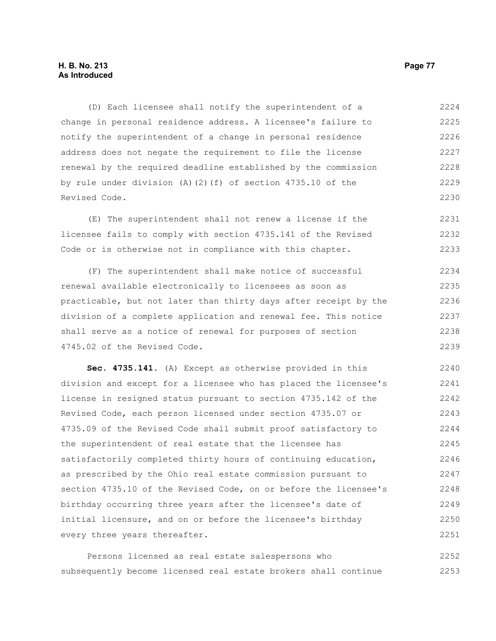(D) Each licensee shall notify the superintendent of a change in personal residence address. A licensee's failure to notify the superintendent of a change in personal residence address does not negate the requirement to file the license renewal by the required deadline established by the commission by rule under division (A)(2)(f) of section 4735.10 of the Revised Code. 2224 2225 2226 2227 2228 2229 2230

(E) The superintendent shall not renew a license if the licensee fails to comply with section 4735.141 of the Revised Code or is otherwise not in compliance with this chapter. 2231 2232 2233

(F) The superintendent shall make notice of successful renewal available electronically to licensees as soon as practicable, but not later than thirty days after receipt by the division of a complete application and renewal fee. This notice shall serve as a notice of renewal for purposes of section 4745.02 of the Revised Code. 2234 2235 2236 2237 2238 2239

**Sec. 4735.141.** (A) Except as otherwise provided in this division and except for a licensee who has placed the licensee's license in resigned status pursuant to section 4735.142 of the Revised Code, each person licensed under section 4735.07 or 4735.09 of the Revised Code shall submit proof satisfactory to the superintendent of real estate that the licensee has satisfactorily completed thirty hours of continuing education, as prescribed by the Ohio real estate commission pursuant to section 4735.10 of the Revised Code, on or before the licensee's birthday occurring three years after the licensee's date of initial licensure, and on or before the licensee's birthday every three years thereafter. 2240 2241 2242 2243 2244 2245 2246 2247 2248 2249 2250 2251

Persons licensed as real estate salespersons who subsequently become licensed real estate brokers shall continue 2252 2253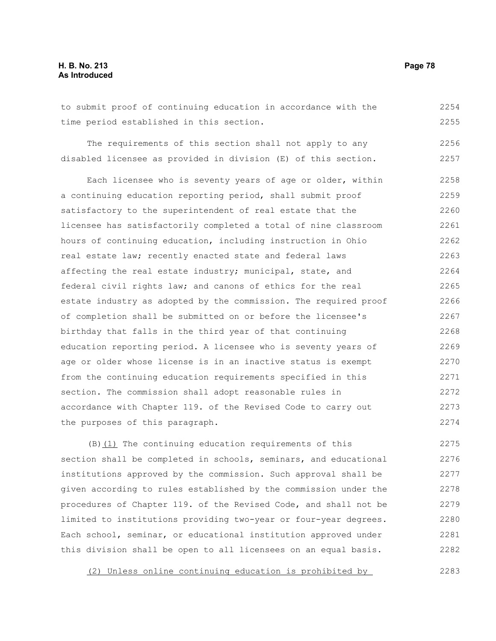## **H. B. No. 213 Page 78 As Introduced**

to submit proof of continuing education in accordance with the time period established in this section. 2254 2255

The requirements of this section shall not apply to any disabled licensee as provided in division (E) of this section. 2256 2257

Each licensee who is seventy years of age or older, within a continuing education reporting period, shall submit proof satisfactory to the superintendent of real estate that the licensee has satisfactorily completed a total of nine classroom hours of continuing education, including instruction in Ohio real estate law; recently enacted state and federal laws affecting the real estate industry; municipal, state, and federal civil rights law; and canons of ethics for the real estate industry as adopted by the commission. The required proof of completion shall be submitted on or before the licensee's birthday that falls in the third year of that continuing education reporting period. A licensee who is seventy years of age or older whose license is in an inactive status is exempt from the continuing education requirements specified in this section. The commission shall adopt reasonable rules in accordance with Chapter 119. of the Revised Code to carry out the purposes of this paragraph. 2258 2259 2260 2261 2262 2263 2264 2265 2266 2267 2268 2269 2270 2271 2272 2273 2274

(B)(1) The continuing education requirements of this section shall be completed in schools, seminars, and educational institutions approved by the commission. Such approval shall be given according to rules established by the commission under the procedures of Chapter 119. of the Revised Code, and shall not be limited to institutions providing two-year or four-year degrees. Each school, seminar, or educational institution approved under this division shall be open to all licensees on an equal basis. 2275 2276 2277 2278 2279 2280 2281 2282

(2) Unless online continuing education is prohibited by 2283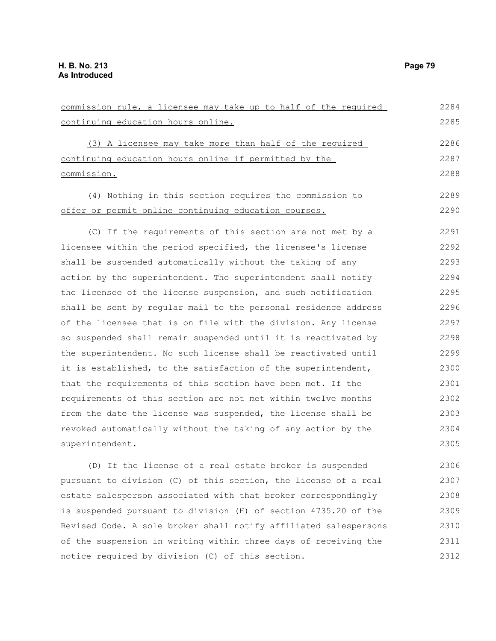| commission rule, a licensee may take up to half of the required | 2284 |
|-----------------------------------------------------------------|------|
| continuing education hours online.                              | 2285 |
|                                                                 |      |
| (3) A licensee may take more than half of the required          | 2286 |
| continuing education hours online if permitted by the           | 2287 |
| commission.                                                     | 2288 |
| (4) Nothing in this section requires the commission to          | 2289 |
| offer or permit online continuing education courses.            | 2290 |
| (C) If the requirements of this section are not met by a        | 2291 |
| licensee within the period specified, the licensee's license    | 2292 |
| shall be suspended automatically without the taking of any      | 2293 |
| action by the superintendent. The superintendent shall notify   | 2294 |
| the licensee of the license suspension, and such notification   | 2295 |
| shall be sent by regular mail to the personal residence address | 2296 |
| of the licensee that is on file with the division. Any license  | 2297 |
| so suspended shall remain suspended until it is reactivated by  | 2298 |
| the superintendent. No such license shall be reactivated until  | 2299 |
| it is established, to the satisfaction of the superintendent,   | 2300 |
| that the requirements of this section have been met. If the     | 2301 |
| requirements of this section are not met within twelve months   | 2302 |
| from the date the license was suspended, the license shall be   | 2303 |
| revoked automatically without the taking of any action by the   | 2304 |
| superintendent.                                                 | 2305 |
|                                                                 |      |

(D) If the license of a real estate broker is suspended pursuant to division (C) of this section, the license of a real estate salesperson associated with that broker correspondingly is suspended pursuant to division (H) of section 4735.20 of the Revised Code. A sole broker shall notify affiliated salespersons of the suspension in writing within three days of receiving the notice required by division (C) of this section. 2306 2307 2308 2309 2310 2311 2312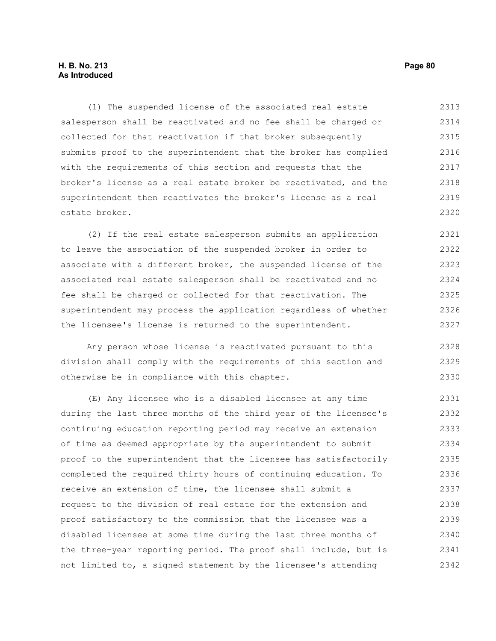# **H. B. No. 213 Page 80 As Introduced**

(1) The suspended license of the associated real estate salesperson shall be reactivated and no fee shall be charged or collected for that reactivation if that broker subsequently submits proof to the superintendent that the broker has complied with the requirements of this section and requests that the broker's license as a real estate broker be reactivated, and the superintendent then reactivates the broker's license as a real estate broker. 2313 2314 2315 2316 2317 2318 2319 2320

(2) If the real estate salesperson submits an application to leave the association of the suspended broker in order to associate with a different broker, the suspended license of the associated real estate salesperson shall be reactivated and no fee shall be charged or collected for that reactivation. The superintendent may process the application regardless of whether the licensee's license is returned to the superintendent. 2321 2322 2323 2324 2325 2326 2327

Any person whose license is reactivated pursuant to this division shall comply with the requirements of this section and otherwise be in compliance with this chapter. 2328 2329 2330

(E) Any licensee who is a disabled licensee at any time during the last three months of the third year of the licensee's continuing education reporting period may receive an extension of time as deemed appropriate by the superintendent to submit proof to the superintendent that the licensee has satisfactorily completed the required thirty hours of continuing education. To receive an extension of time, the licensee shall submit a request to the division of real estate for the extension and proof satisfactory to the commission that the licensee was a disabled licensee at some time during the last three months of the three-year reporting period. The proof shall include, but is not limited to, a signed statement by the licensee's attending 2331 2332 2333 2334 2335 2336 2337 2338 2339 2340 2341 2342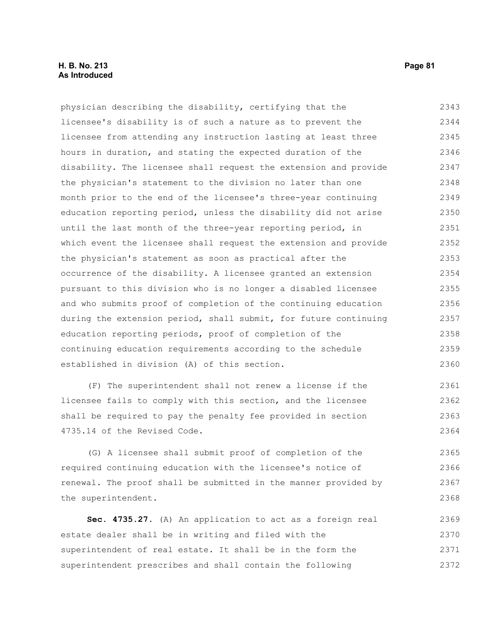## **H. B. No. 213 Page 81 As Introduced**

physician describing the disability, certifying that the licensee's disability is of such a nature as to prevent the licensee from attending any instruction lasting at least three hours in duration, and stating the expected duration of the disability. The licensee shall request the extension and provide the physician's statement to the division no later than one month prior to the end of the licensee's three-year continuing education reporting period, unless the disability did not arise until the last month of the three-year reporting period, in which event the licensee shall request the extension and provide the physician's statement as soon as practical after the occurrence of the disability. A licensee granted an extension pursuant to this division who is no longer a disabled licensee and who submits proof of completion of the continuing education during the extension period, shall submit, for future continuing education reporting periods, proof of completion of the continuing education requirements according to the schedule established in division (A) of this section. 2343 2344 2345 2346 2347 2348 2349 2350 2351 2352 2353 2354 2355 2356 2357 2358 2359 2360

(F) The superintendent shall not renew a license if the licensee fails to comply with this section, and the licensee shall be required to pay the penalty fee provided in section 4735.14 of the Revised Code. 2361 2362 2363 2364

(G) A licensee shall submit proof of completion of the required continuing education with the licensee's notice of renewal. The proof shall be submitted in the manner provided by the superintendent. 2365 2366 2367 2368

**Sec. 4735.27.** (A) An application to act as a foreign real estate dealer shall be in writing and filed with the superintendent of real estate. It shall be in the form the superintendent prescribes and shall contain the following 2369 2370 2371 2372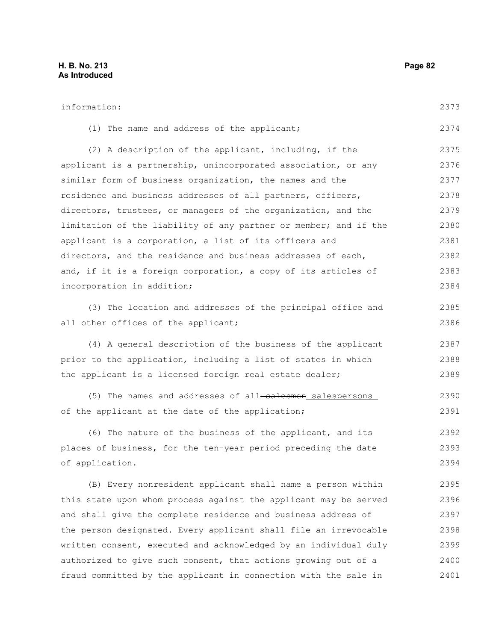| information:                                                     | 2373 |
|------------------------------------------------------------------|------|
| (1) The name and address of the applicant;                       | 2374 |
| (2) A description of the applicant, including, if the            | 2375 |
| applicant is a partnership, unincorporated association, or any   | 2376 |
| similar form of business organization, the names and the         | 2377 |
| residence and business addresses of all partners, officers,      | 2378 |
| directors, trustees, or managers of the organization, and the    | 2379 |
| limitation of the liability of any partner or member; and if the | 2380 |
| applicant is a corporation, a list of its officers and           | 2381 |
| directors, and the residence and business addresses of each,     | 2382 |
| and, if it is a foreign corporation, a copy of its articles of   | 2383 |
| incorporation in addition;                                       | 2384 |
| (3) The location and addresses of the principal office and       | 2385 |
| all other offices of the applicant;                              | 2386 |
| (4) A general description of the business of the applicant       | 2387 |
| prior to the application, including a list of states in which    | 2388 |
| the applicant is a licensed foreign real estate dealer;          | 2389 |
| (5) The names and addresses of all-salesmen_salespersons         | 2390 |
| of the applicant at the date of the application;                 | 2391 |
| (6) The nature of the business of the applicant, and its         | 2392 |
| places of business, for the ten-year period preceding the date   | 2393 |
| of application.                                                  | 2394 |
| (B) Every nonresident applicant shall name a person within       | 2395 |
| this state upon whom process against the applicant may be served | 2396 |
| and shall give the complete residence and business address of    | 2397 |
| the person designated. Every applicant shall file an irrevocable | 2398 |
| written consent, executed and acknowledged by an individual duly | 2399 |
| authorized to give such consent, that actions growing out of a   | 2400 |
| fraud committed by the applicant in connection with the sale in  | 2401 |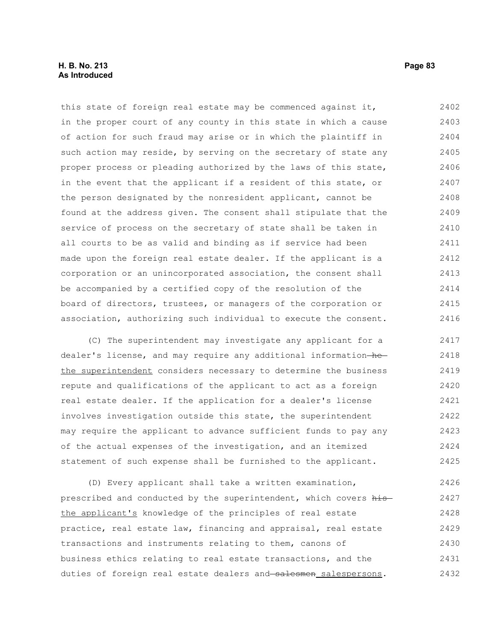## **H. B. No. 213 Page 83 As Introduced**

this state of foreign real estate may be commenced against it, in the proper court of any county in this state in which a cause of action for such fraud may arise or in which the plaintiff in such action may reside, by serving on the secretary of state any proper process or pleading authorized by the laws of this state, in the event that the applicant if a resident of this state, or the person designated by the nonresident applicant, cannot be found at the address given. The consent shall stipulate that the service of process on the secretary of state shall be taken in all courts to be as valid and binding as if service had been made upon the foreign real estate dealer. If the applicant is a corporation or an unincorporated association, the consent shall be accompanied by a certified copy of the resolution of the board of directors, trustees, or managers of the corporation or association, authorizing such individual to execute the consent. 2402 2403 2404 2405 2406 2407 2408 2409 2410 2411 2412 2413 2414 2415 2416

(C) The superintendent may investigate any applicant for a dealer's license, and may require any additional information-hethe superintendent considers necessary to determine the business repute and qualifications of the applicant to act as a foreign real estate dealer. If the application for a dealer's license involves investigation outside this state, the superintendent may require the applicant to advance sufficient funds to pay any of the actual expenses of the investigation, and an itemized statement of such expense shall be furnished to the applicant. 2417 2418 2419 2420 2421 2422 2423 2424 2425

(D) Every applicant shall take a written examination, prescribed and conducted by the superintendent, which covers histhe applicant's knowledge of the principles of real estate practice, real estate law, financing and appraisal, real estate transactions and instruments relating to them, canons of business ethics relating to real estate transactions, and the duties of foreign real estate dealers and salesmen salespersons. 2426 2427 2428 2429 2430 2431 2432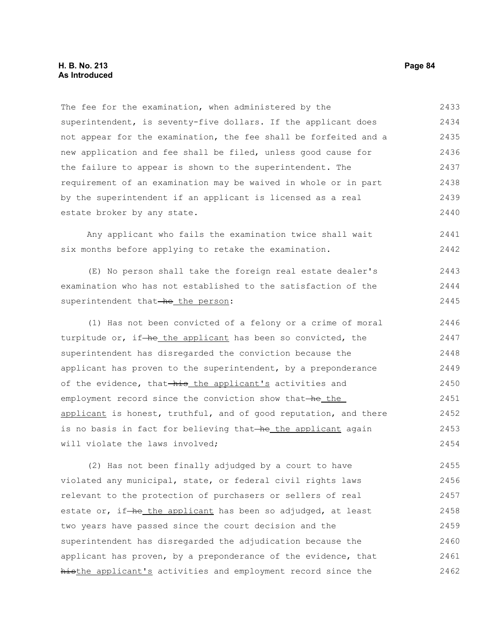The fee for the examination, when administered by the superintendent, is seventy-five dollars. If the applicant does not appear for the examination, the fee shall be forfeited and a new application and fee shall be filed, unless good cause for the failure to appear is shown to the superintendent. The requirement of an examination may be waived in whole or in part by the superintendent if an applicant is licensed as a real estate broker by any state. 2433 2434 2435 2436 2437 2438 2439 2440

Any applicant who fails the examination twice shall wait six months before applying to retake the examination. 2441 2442

(E) No person shall take the foreign real estate dealer's examination who has not established to the satisfaction of the superintendent that-he the person: 2443 2444 2445

(1) Has not been convicted of a felony or a crime of moral turpitude or, if-he the applicant has been so convicted, the superintendent has disregarded the conviction because the applicant has proven to the superintendent, by a preponderance of the evidence, that-his the applicant's activities and employment record since the conviction show that-he the applicant is honest, truthful, and of good reputation, and there is no basis in fact for believing that he the applicant again will violate the laws involved: 2446 2447 2448 2449 2450 2451 2452 2453 2454

(2) Has not been finally adjudged by a court to have violated any municipal, state, or federal civil rights laws relevant to the protection of purchasers or sellers of real estate or, if-he the applicant has been so adjudged, at least two years have passed since the court decision and the superintendent has disregarded the adjudication because the applicant has proven, by a preponderance of the evidence, that histhe applicant's activities and employment record since the 2455 2456 2457 2458 2459 2460 2461 2462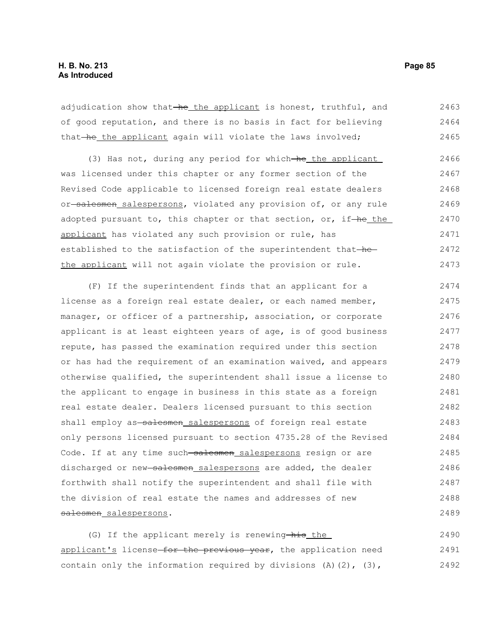adjudication show that-he the applicant is honest, truthful, and of good reputation, and there is no basis in fact for believing that-he the applicant again will violate the laws involved; 2463 2464 2465

(3) Has not, during any period for which-he the applicant was licensed under this chapter or any former section of the Revised Code applicable to licensed foreign real estate dealers or-salesmen salespersons, violated any provision of, or any rule adopted pursuant to, this chapter or that section, or, if-he the applicant has violated any such provision or rule, has established to the satisfaction of the superintendent that-hethe applicant will not again violate the provision or rule. 2466 2467 2468 2469 2470 2471 2472 2473

(F) If the superintendent finds that an applicant for a license as a foreign real estate dealer, or each named member, manager, or officer of a partnership, association, or corporate applicant is at least eighteen years of age, is of good business repute, has passed the examination required under this section or has had the requirement of an examination waived, and appears otherwise qualified, the superintendent shall issue a license to the applicant to engage in business in this state as a foreign real estate dealer. Dealers licensed pursuant to this section shall employ as salesmen salespersons of foreign real estate only persons licensed pursuant to section 4735.28 of the Revised Code. If at any time such salesmen salespersons resign or are discharged or new salesmen salespersons are added, the dealer forthwith shall notify the superintendent and shall file with the division of real estate the names and addresses of new salesmen salespersons. 2474 2475 2476 2477 2478 2479 2480 2481 2482 2483 2484 2485 2486 2487 2488 2489

(G) If the applicant merely is renewing-his the applicant's license for the previous year, the application need contain only the information required by divisions  $(A)$   $(2)$ ,  $(3)$ , 2490 2491 2492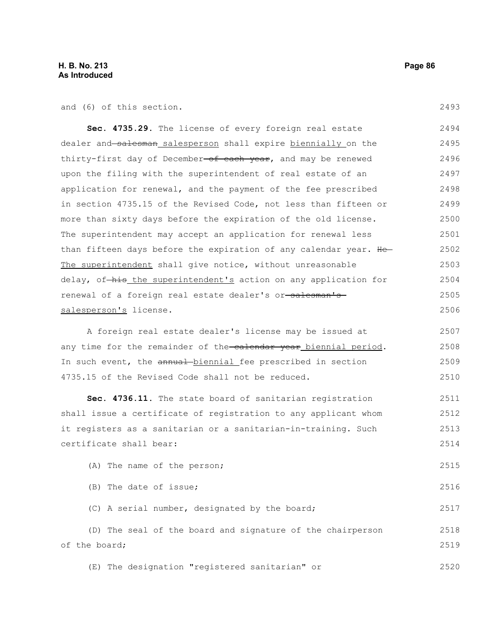and (6) of this section.

2493

2516

2517

**Sec. 4735.29.** The license of every foreign real estate dealer and salesman salesperson shall expire biennially on the thirty-first day of December-of each year, and may be renewed upon the filing with the superintendent of real estate of an application for renewal, and the payment of the fee prescribed in section 4735.15 of the Revised Code, not less than fifteen or more than sixty days before the expiration of the old license. The superintendent may accept an application for renewal less than fifteen days before the expiration of any calendar year. He-The superintendent shall give notice, without unreasonable delay, of-his the superintendent's action on any application for renewal of a foreign real estate dealer's or-salesman's salesperson's license. 2494 2495 2496 2497 2498 2499 2500 2501 2502 2503 2504 2505 2506

A foreign real estate dealer's license may be issued at any time for the remainder of the-calendar year biennial period. In such event, the annual biennial fee prescribed in section 4735.15 of the Revised Code shall not be reduced. 2507 2508 2509 2510

**Sec. 4736.11.** The state board of sanitarian registration shall issue a certificate of registration to any applicant whom it registers as a sanitarian or a sanitarian-in-training. Such certificate shall bear: 2511 2512 2513 2514

(A) The name of the person; 2515

(B) The date of issue;

(C) A serial number, designated by the board;

(D) The seal of the board and signature of the chairperson of the board; 2518 2519

(E) The designation "registered sanitarian" or 2520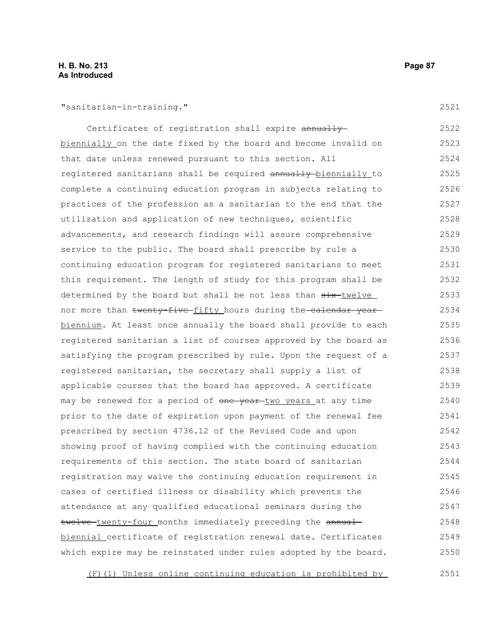2521

| Certificates of registration shall expire annually-              | 2522 |
|------------------------------------------------------------------|------|
| biennially on the date fixed by the board and become invalid on  | 2523 |
| that date unless renewed pursuant to this section. All           | 2524 |
| registered sanitarians shall be required annually biennially to  | 2525 |
| complete a continuing education program in subjects relating to  | 2526 |
| practices of the profession as a sanitarian to the end that the  | 2527 |
| utilization and application of new techniques, scientific        | 2528 |
| advancements, and research findings will assure comprehensive    | 2529 |
| service to the public. The board shall prescribe by rule a       | 2530 |
| continuing education program for registered sanitarians to meet  | 2531 |
| this requirement. The length of study for this program shall be  | 2532 |
| determined by the board but shall be not less than six-twelve    | 2533 |
| nor more than twenty-five-fifty hours during the-calendar year-  | 2534 |
| biennium. At least once annually the board shall provide to each | 2535 |
| registered sanitarian a list of courses approved by the board as | 2536 |
| satisfying the program prescribed by rule. Upon the request of a | 2537 |
| registered sanitarian, the secretary shall supply a list of      | 2538 |
| applicable courses that the board has approved. A certificate    | 2539 |
| may be renewed for a period of one year two years at any time    | 2540 |
| prior to the date of expiration upon payment of the renewal fee  | 2541 |
| prescribed by section 4736.12 of the Revised Code and upon       | 2542 |
| showing proof of having complied with the continuing education   | 2543 |
| requirements of this section. The state board of sanitarian      | 2544 |
| registration may waive the continuing education requirement in   | 2545 |
| cases of certified illness or disability which prevents the      | 2546 |
| attendance at any qualified educational seminars during the      | 2547 |
| twelve-twenty-four months immediately preceding the annual-      | 2548 |
| biennial certificate of registration renewal date. Certificates  | 2549 |
| which expire may be reinstated under rules adopted by the board. | 2550 |
|                                                                  |      |

(F)(1) Unless online continuing education is prohibited by 2551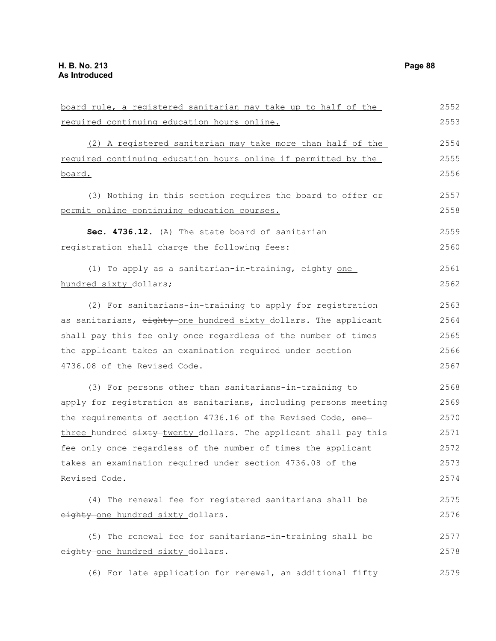board rule, a registered sanitarian may take up to half of the required continuing education hours online. (2) A registered sanitarian may take more than half of the required continuing education hours online if permitted by the board. (3) Nothing in this section requires the board to offer or permit online continuing education courses. **Sec. 4736.12.** (A) The state board of sanitarian registration shall charge the following fees: (1) To apply as a sanitarian-in-training, eighty-one hundred sixty dollars; (2) For sanitarians-in-training to apply for registration as sanitarians, eighty one hundred sixty dollars. The applicant shall pay this fee only once regardless of the number of times the applicant takes an examination required under section 4736.08 of the Revised Code. (3) For persons other than sanitarians-in-training to apply for registration as sanitarians, including persons meeting the requirements of section  $4736.16$  of the Revised Code, one three hundred sixty twenty dollars. The applicant shall pay this fee only once regardless of the number of times the applicant takes an examination required under section 4736.08 of the Revised Code. (4) The renewal fee for registered sanitarians shall be eighty one hundred sixty dollars. (5) The renewal fee for sanitarians-in-training shall be eighty-one hundred sixty\_dollars. (6) For late application for renewal, an additional fifty 2552 2553 2554 2555 2556 2557 2558 2559 2560 2561 2562 2563 2564 2565 2566 2567 2568 2569 2570 2571 2572 2573 2574 2575 2576 2577 2578 2579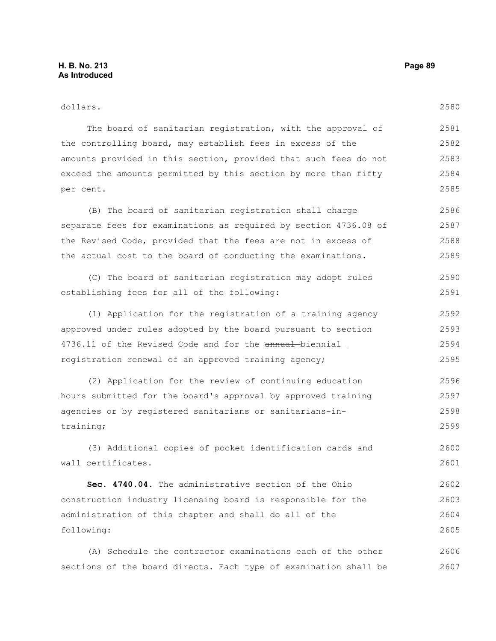| dollars.                                                         | 2580 |
|------------------------------------------------------------------|------|
| The board of sanitarian registration, with the approval of       | 2581 |
| the controlling board, may establish fees in excess of the       | 2582 |
| amounts provided in this section, provided that such fees do not | 2583 |
| exceed the amounts permitted by this section by more than fifty  | 2584 |
| per cent.                                                        | 2585 |
| (B) The board of sanitarian registration shall charge            | 2586 |
| separate fees for examinations as required by section 4736.08 of | 2587 |
| the Revised Code, provided that the fees are not in excess of    | 2588 |
| the actual cost to the board of conducting the examinations.     | 2589 |
| (C) The board of sanitarian registration may adopt rules         | 2590 |
| establishing fees for all of the following:                      | 2591 |
| (1) Application for the registration of a training agency        | 2592 |
| approved under rules adopted by the board pursuant to section    | 2593 |
| 4736.11 of the Revised Code and for the annual biennial          | 2594 |
| registration renewal of an approved training agency;             | 2595 |
| (2) Application for the review of continuing education           | 2596 |
| hours submitted for the board's approval by approved training    | 2597 |
| agencies or by registered sanitarians or sanitarians-in-         | 2598 |
| training;                                                        | 2599 |
| (3) Additional copies of pocket identification cards and         | 2600 |
| wall certificates.                                               | 2601 |
| Sec. 4740.04. The administrative section of the Ohio             | 2602 |
| construction industry licensing board is responsible for the     | 2603 |
| administration of this chapter and shall do all of the           | 2604 |
| following:                                                       | 2605 |
| (A) Schedule the contractor examinations each of the other       | 2606 |
| sections of the board directs. Each type of examination shall be | 2607 |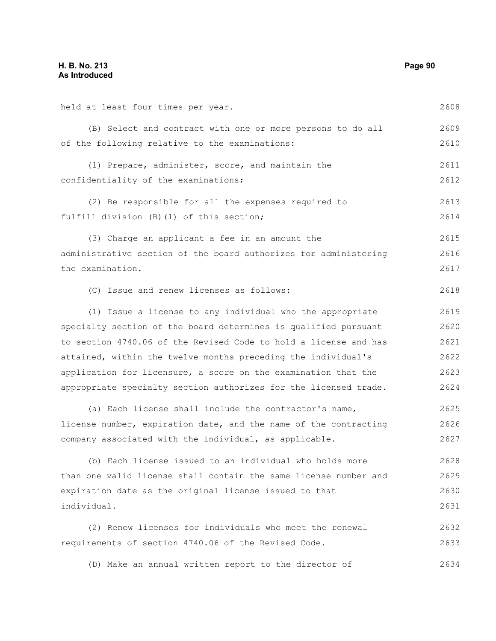| held at least four times per year.                               | 2608 |
|------------------------------------------------------------------|------|
| (B) Select and contract with one or more persons to do all       | 2609 |
| of the following relative to the examinations:                   | 2610 |
| (1) Prepare, administer, score, and maintain the                 | 2611 |
| confidentiality of the examinations;                             | 2612 |
| (2) Be responsible for all the expenses required to              | 2613 |
| fulfill division (B) (1) of this section;                        | 2614 |
| (3) Charge an applicant a fee in an amount the                   | 2615 |
| administrative section of the board authorizes for administering | 2616 |
| the examination.                                                 | 2617 |
| (C) Issue and renew licenses as follows:                         | 2618 |
| (1) Issue a license to any individual who the appropriate        | 2619 |
| specialty section of the board determines is qualified pursuant  | 2620 |
| to section 4740.06 of the Revised Code to hold a license and has | 2621 |
| attained, within the twelve months preceding the individual's    | 2622 |
| application for licensure, a score on the examination that the   | 2623 |
| appropriate specialty section authorizes for the licensed trade. | 2624 |
| (a) Each license shall include the contractor's name,            | 2625 |
| license number, expiration date, and the name of the contracting | 2626 |
| company associated with the individual, as applicable.           | 2627 |
| (b) Each license issued to an individual who holds more          | 2628 |
| than one valid license shall contain the same license number and | 2629 |
| expiration date as the original license issued to that           | 2630 |
| individual.                                                      | 2631 |
| (2) Renew licenses for individuals who meet the renewal          | 2632 |
| requirements of section 4740.06 of the Revised Code.             | 2633 |
| (D) Make an annual written report to the director of             | 2634 |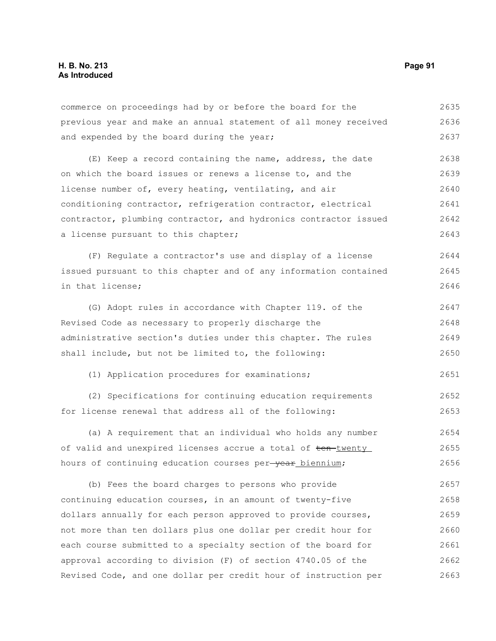commerce on proceedings had by or before the board for the previous year and make an annual statement of all money received and expended by the board during the year; 2635 2636 2637

(E) Keep a record containing the name, address, the date on which the board issues or renews a license to, and the license number of, every heating, ventilating, and air conditioning contractor, refrigeration contractor, electrical contractor, plumbing contractor, and hydronics contractor issued a license pursuant to this chapter; 2638 2639 2640 2641 2642 2643

(F) Regulate a contractor's use and display of a license issued pursuant to this chapter and of any information contained in that license; 2644 2645 2646

(G) Adopt rules in accordance with Chapter 119. of the Revised Code as necessary to properly discharge the administrative section's duties under this chapter. The rules shall include, but not be limited to, the following: 2647 2648 2649 2650

(1) Application procedures for examinations;

(2) Specifications for continuing education requirements for license renewal that address all of the following: 2652 2653

(a) A requirement that an individual who holds any number of valid and unexpired licenses accrue a total of ten-twenty hours of continuing education courses per-year biennium; 2654 2655 2656

(b) Fees the board charges to persons who provide continuing education courses, in an amount of twenty-five dollars annually for each person approved to provide courses, not more than ten dollars plus one dollar per credit hour for each course submitted to a specialty section of the board for approval according to division (F) of section 4740.05 of the Revised Code, and one dollar per credit hour of instruction per 2657 2658 2659 2660 2661 2662 2663

2651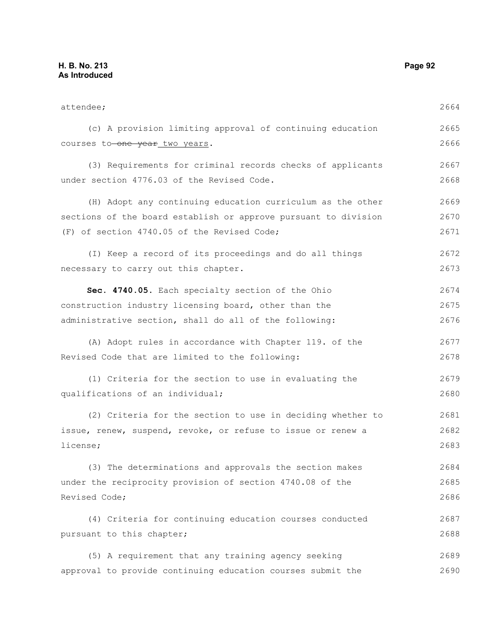attendee; (c) A provision limiting approval of continuing education courses to one year two years. (3) Requirements for criminal records checks of applicants under section 4776.03 of the Revised Code. (H) Adopt any continuing education curriculum as the other sections of the board establish or approve pursuant to division (F) of section 4740.05 of the Revised Code; (I) Keep a record of its proceedings and do all things necessary to carry out this chapter. **Sec. 4740.05.** Each specialty section of the Ohio construction industry licensing board, other than the administrative section, shall do all of the following: (A) Adopt rules in accordance with Chapter 119. of the Revised Code that are limited to the following: (1) Criteria for the section to use in evaluating the qualifications of an individual; (2) Criteria for the section to use in deciding whether to issue, renew, suspend, revoke, or refuse to issue or renew a license; (3) The determinations and approvals the section makes under the reciprocity provision of section 4740.08 of the Revised Code; (4) Criteria for continuing education courses conducted pursuant to this chapter; (5) A requirement that any training agency seeking approval to provide continuing education courses submit the 2664 2665 2666 2667 2668 2669 2670 2671 2672 2673 2674 2675 2676 2677 2678 2679 2680 2681 2682 2683 2684 2685 2686 2687 2688 2689 2690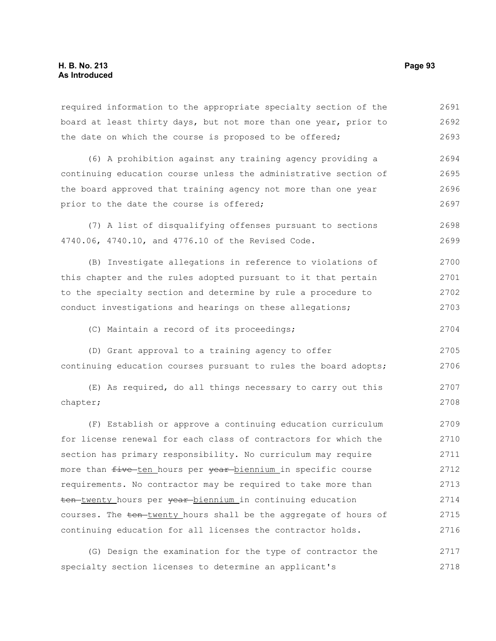required information to the appropriate specialty section of the board at least thirty days, but not more than one year, prior to the date on which the course is proposed to be offered; (6) A prohibition against any training agency providing a continuing education course unless the administrative section of the board approved that training agency not more than one year prior to the date the course is offered; (7) A list of disqualifying offenses pursuant to sections 4740.06, 4740.10, and 4776.10 of the Revised Code. (B) Investigate allegations in reference to violations of this chapter and the rules adopted pursuant to it that pertain to the specialty section and determine by rule a procedure to conduct investigations and hearings on these allegations; (C) Maintain a record of its proceedings; (D) Grant approval to a training agency to offer continuing education courses pursuant to rules the board adopts; (E) As required, do all things necessary to carry out this chapter; (F) Establish or approve a continuing education curriculum for license renewal for each class of contractors for which the section has primary responsibility. No curriculum may require more than five ten hours per year biennium in specific course requirements. No contractor may be required to take more than ten-twenty hours per vear-biennium in continuing education courses. The ten-twenty hours shall be the aggregate of hours of continuing education for all licenses the contractor holds. 2691 2692 2693 2694 2695 2696 2697 2698 2699 2700 2701 2702 2703 2704 2705 2706 2707 2708 2709 2710 2711 2712 2713 2714 2715 2716 2717

(G) Design the examination for the type of contractor the specialty section licenses to determine an applicant's 2718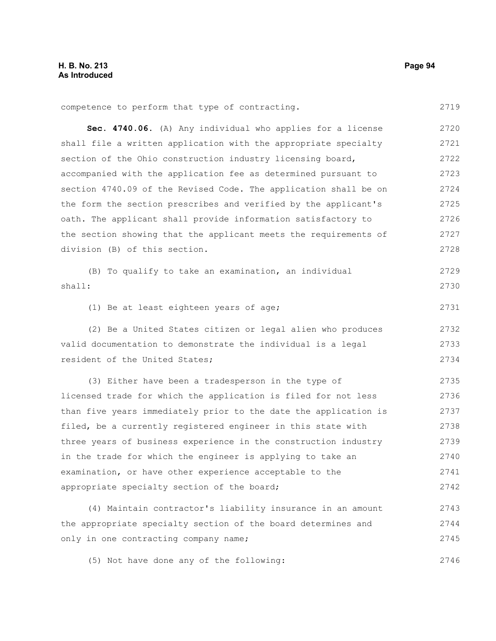| competence to perform that type of contracting.                  | 2719 |
|------------------------------------------------------------------|------|
| Sec. 4740.06. (A) Any individual who applies for a license       | 2720 |
| shall file a written application with the appropriate specialty  | 2721 |
| section of the Ohio construction industry licensing board,       | 2722 |
| accompanied with the application fee as determined pursuant to   | 2723 |
| section 4740.09 of the Revised Code. The application shall be on | 2724 |
| the form the section prescribes and verified by the applicant's  | 2725 |
| oath. The applicant shall provide information satisfactory to    | 2726 |
| the section showing that the applicant meets the requirements of | 2727 |
| division (B) of this section.                                    | 2728 |
| (B) To qualify to take an examination, an individual             | 2729 |
| shall:                                                           | 2730 |
| (1) Be at least eighteen years of age;                           | 2731 |
| (2) Be a United States citizen or legal alien who produces       | 2732 |
| valid documentation to demonstrate the individual is a legal     | 2733 |
| resident of the United States;                                   | 2734 |
| (3) Either have been a tradesperson in the type of               | 2735 |
| licensed trade for which the application is filed for not less   | 2736 |
| than five years immediately prior to the date the application is | 2737 |
| filed, be a currently registered engineer in this state with     | 2738 |
| three years of business experience in the construction industry  | 2739 |
| in the trade for which the engineer is applying to take an       | 2740 |
| examination, or have other experience acceptable to the          | 2741 |
| appropriate specialty section of the board;                      | 2742 |
| (4) Maintain contractor's liability insurance in an amount       | 2743 |
| the appropriate specialty section of the board determines and    | 2744 |
| only in one contracting company name;                            | 2745 |

(5) Not have done any of the following: 2746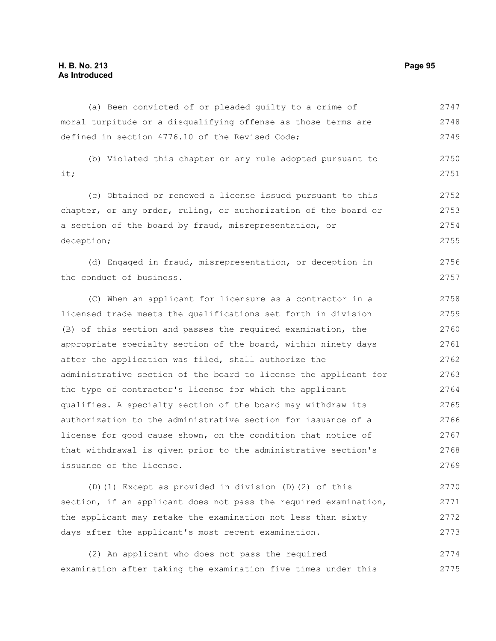# **H. B. No. 213 Page 95 As Introduced**

(a) Been convicted of or pleaded guilty to a crime of moral turpitude or a disqualifying offense as those terms are defined in section 4776.10 of the Revised Code; (b) Violated this chapter or any rule adopted pursuant to it; (c) Obtained or renewed a license issued pursuant to this chapter, or any order, ruling, or authorization of the board or a section of the board by fraud, misrepresentation, or deception; (d) Engaged in fraud, misrepresentation, or deception in the conduct of business. (C) When an applicant for licensure as a contractor in a licensed trade meets the qualifications set forth in division (B) of this section and passes the required examination, the appropriate specialty section of the board, within ninety days after the application was filed, shall authorize the administrative section of the board to license the applicant for the type of contractor's license for which the applicant qualifies. A specialty section of the board may withdraw its authorization to the administrative section for issuance of a license for good cause shown, on the condition that notice of that withdrawal is given prior to the administrative section's issuance of the license. (D)(1) Except as provided in division (D)(2) of this 2747 2748 2749 2750 2751 2752 2753 2754 2755 2756 2757 2758 2759 2760 2761 2762 2763 2764 2765 2766 2767 2768 2769 2770

section, if an applicant does not pass the required examination, the applicant may retake the examination not less than sixty days after the applicant's most recent examination. 2771 2772 2773

(2) An applicant who does not pass the required examination after taking the examination five times under this 2774 2775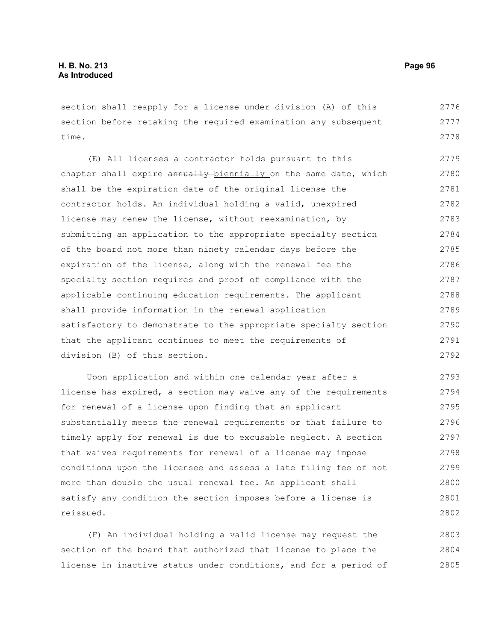section shall reapply for a license under division (A) of this section before retaking the required examination any subsequent time. 2776 2777 2778

(E) All licenses a contractor holds pursuant to this chapter shall expire annually biennially on the same date, which shall be the expiration date of the original license the contractor holds. An individual holding a valid, unexpired license may renew the license, without reexamination, by submitting an application to the appropriate specialty section of the board not more than ninety calendar days before the expiration of the license, along with the renewal fee the specialty section requires and proof of compliance with the applicable continuing education requirements. The applicant shall provide information in the renewal application satisfactory to demonstrate to the appropriate specialty section that the applicant continues to meet the requirements of division (B) of this section. 2779 2780 2781 2782 2783 2784 2785 2786 2787 2788 2789 2790 2791 2792

Upon application and within one calendar year after a license has expired, a section may waive any of the requirements for renewal of a license upon finding that an applicant substantially meets the renewal requirements or that failure to timely apply for renewal is due to excusable neglect. A section that waives requirements for renewal of a license may impose conditions upon the licensee and assess a late filing fee of not more than double the usual renewal fee. An applicant shall satisfy any condition the section imposes before a license is reissued. 2793 2794 2795 2796 2797 2798 2799 2800 2801 2802

(F) An individual holding a valid license may request the section of the board that authorized that license to place the license in inactive status under conditions, and for a period of 2803 2804 2805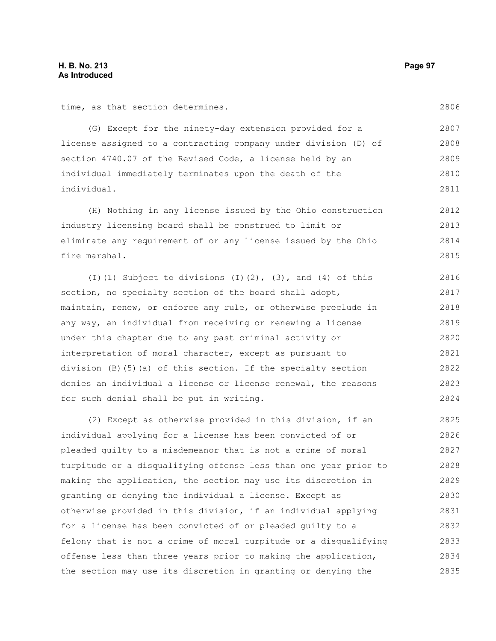time, as that section determines.

2806

(G) Except for the ninety-day extension provided for a license assigned to a contracting company under division (D) of section 4740.07 of the Revised Code, a license held by an individual immediately terminates upon the death of the individual. 2807 2808 2809 2810 2811

(H) Nothing in any license issued by the Ohio construction industry licensing board shall be construed to limit or eliminate any requirement of or any license issued by the Ohio fire marshal. 2812 2813 2814 2815

(I)(1) Subject to divisions  $(I)(2)$ ,  $(3)$ , and  $(4)$  of this section, no specialty section of the board shall adopt, maintain, renew, or enforce any rule, or otherwise preclude in any way, an individual from receiving or renewing a license under this chapter due to any past criminal activity or interpretation of moral character, except as pursuant to division (B)(5)(a) of this section. If the specialty section denies an individual a license or license renewal, the reasons for such denial shall be put in writing. 2816 2817 2818 2819 2820 2821 2822 2823 2824

(2) Except as otherwise provided in this division, if an individual applying for a license has been convicted of or pleaded guilty to a misdemeanor that is not a crime of moral turpitude or a disqualifying offense less than one year prior to making the application, the section may use its discretion in granting or denying the individual a license. Except as otherwise provided in this division, if an individual applying for a license has been convicted of or pleaded guilty to a felony that is not a crime of moral turpitude or a disqualifying offense less than three years prior to making the application, the section may use its discretion in granting or denying the 2825 2826 2827 2828 2829 2830 2831 2832 2833 2834 2835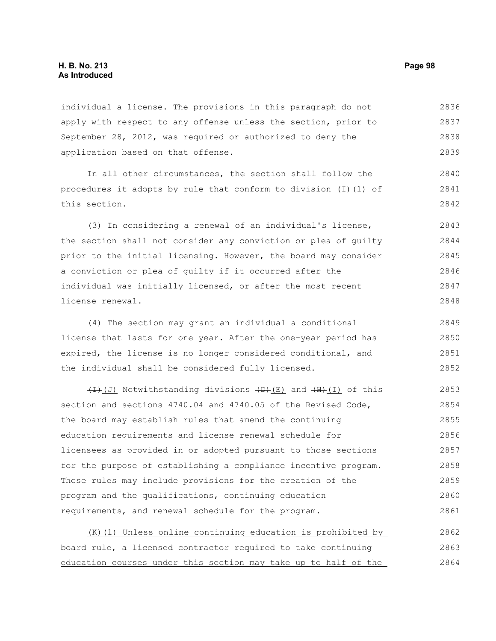## **H. B. No. 213 Page 98 As Introduced**

individual a license. The provisions in this paragraph do not apply with respect to any offense unless the section, prior to September 28, 2012, was required or authorized to deny the application based on that offense. 2836 2837 2838 2839

In all other circumstances, the section shall follow the procedures it adopts by rule that conform to division (I)(1) of this section. 2840 2841 2842

(3) In considering a renewal of an individual's license, the section shall not consider any conviction or plea of guilty prior to the initial licensing. However, the board may consider a conviction or plea of guilty if it occurred after the individual was initially licensed, or after the most recent license renewal. 2843 2844 2845 2846 2847 2848

(4) The section may grant an individual a conditional license that lasts for one year. After the one-year period has expired, the license is no longer considered conditional, and the individual shall be considered fully licensed. 2849 2850 2851 2852

 $(H)(J)$  Notwithstanding divisions  $(H)(E)$  and  $(H)(I)$  of this section and sections 4740.04 and 4740.05 of the Revised Code, the board may establish rules that amend the continuing education requirements and license renewal schedule for licensees as provided in or adopted pursuant to those sections for the purpose of establishing a compliance incentive program. These rules may include provisions for the creation of the program and the qualifications, continuing education requirements, and renewal schedule for the program. 2853 2854 2855 2856 2857 2858 2859 2860 2861

| (K) (1) Unless online continuing education is prohibited by     | 2862 |
|-----------------------------------------------------------------|------|
| board rule, a licensed contractor required to take continuing   | 2863 |
| education courses under this section may take up to half of the | 2864 |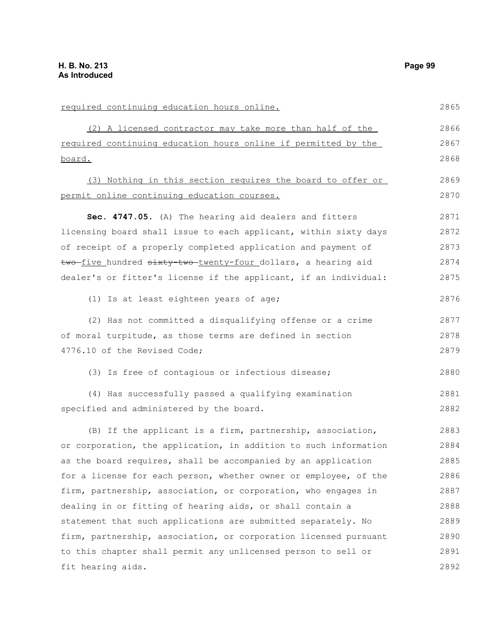required continuing education hours online. (2) A licensed contractor may take more than half of the required continuing education hours online if permitted by the board. (3) Nothing in this section requires the board to offer or permit online continuing education courses. **Sec. 4747.05.** (A) The hearing aid dealers and fitters licensing board shall issue to each applicant, within sixty days of receipt of a properly completed application and payment of two five hundred sixty two twenty-four dollars, a hearing aid dealer's or fitter's license if the applicant, if an individual: (1) Is at least eighteen years of age; (2) Has not committed a disqualifying offense or a crime of moral turpitude, as those terms are defined in section 4776.10 of the Revised Code; (3) Is free of contagious or infectious disease; (4) Has successfully passed a qualifying examination specified and administered by the board. (B) If the applicant is a firm, partnership, association, or corporation, the application, in addition to such information as the board requires, shall be accompanied by an application for a license for each person, whether owner or employee, of the firm, partnership, association, or corporation, who engages in dealing in or fitting of hearing aids, or shall contain a statement that such applications are submitted separately. No firm, partnership, association, or corporation licensed pursuant to this chapter shall permit any unlicensed person to sell or fit hearing aids. 2865 2866 2867 2868 2869 2870 2871 2872 2873 2874 2875 2876 2877 2878 2879 2880 2881 2882 2883 2884 2885 2886 2887 2888 2889 2890 2891 2892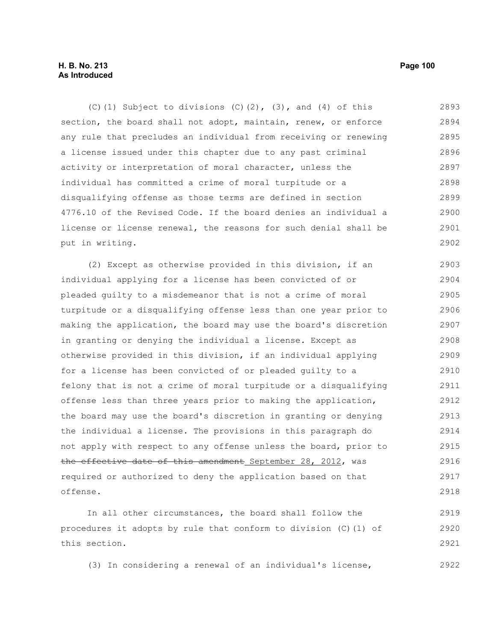# **H. B. No. 213 Page 100 As Introduced**

(C)(1) Subject to divisions  $(C)$ (2),  $(3)$ , and  $(4)$  of this section, the board shall not adopt, maintain, renew, or enforce any rule that precludes an individual from receiving or renewing a license issued under this chapter due to any past criminal activity or interpretation of moral character, unless the individual has committed a crime of moral turpitude or a disqualifying offense as those terms are defined in section 4776.10 of the Revised Code. If the board denies an individual a license or license renewal, the reasons for such denial shall be put in writing. 2893 2894 2895 2896 2897 2898 2899 2900 2901 2902

(2) Except as otherwise provided in this division, if an individual applying for a license has been convicted of or pleaded guilty to a misdemeanor that is not a crime of moral turpitude or a disqualifying offense less than one year prior to making the application, the board may use the board's discretion in granting or denying the individual a license. Except as otherwise provided in this division, if an individual applying for a license has been convicted of or pleaded guilty to a felony that is not a crime of moral turpitude or a disqualifying offense less than three years prior to making the application, the board may use the board's discretion in granting or denying the individual a license. The provisions in this paragraph do not apply with respect to any offense unless the board, prior to the effective date of this amendment September 28, 2012, was required or authorized to deny the application based on that offense. 2903 2904 2905 2906 2907 2908 2909 2910 2911 2912 2913 2914 2915 2916 2917 2918

In all other circumstances, the board shall follow the procedures it adopts by rule that conform to division (C)(1) of this section. 2919 2920 2921

(3) In considering a renewal of an individual's license, 2922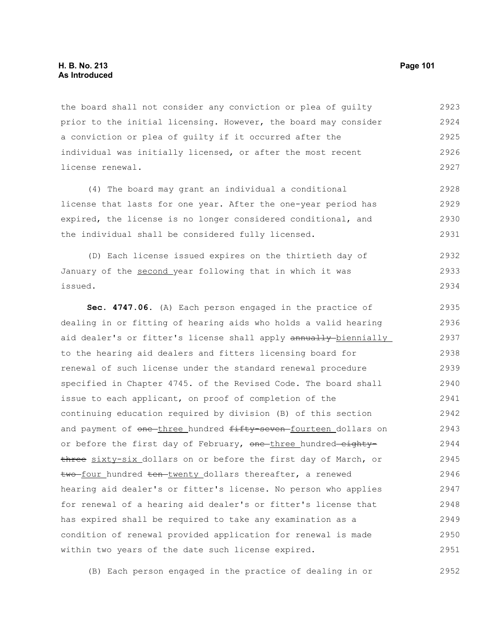## **H. B. No. 213 Page 101 As Introduced**

the board shall not consider any conviction or plea of guilty prior to the initial licensing. However, the board may consider a conviction or plea of guilty if it occurred after the individual was initially licensed, or after the most recent license renewal. 2923 2924 2925 2926 2927

(4) The board may grant an individual a conditional license that lasts for one year. After the one-year period has expired, the license is no longer considered conditional, and the individual shall be considered fully licensed. 2928 2929 2930 2931

(D) Each license issued expires on the thirtieth day of January of the second year following that in which it was issued. 2932 2933 2934

**Sec. 4747.06.** (A) Each person engaged in the practice of dealing in or fitting of hearing aids who holds a valid hearing aid dealer's or fitter's license shall apply annually biennially to the hearing aid dealers and fitters licensing board for renewal of such license under the standard renewal procedure specified in Chapter 4745. of the Revised Code. The board shall issue to each applicant, on proof of completion of the continuing education required by division (B) of this section and payment of one-three hundred fifty-seven-fourteen dollars on or before the first day of February, one three hundred eightythree sixty-six dollars on or before the first day of March, or two-four hundred ten-twenty dollars thereafter, a renewed hearing aid dealer's or fitter's license. No person who applies for renewal of a hearing aid dealer's or fitter's license that has expired shall be required to take any examination as a condition of renewal provided application for renewal is made within two years of the date such license expired. 2935 2936 2937 2938 2939 2940 2941 2942 2943 2944 2945 2946 2947 2948 2949 2950 2951

(B) Each person engaged in the practice of dealing in or 2952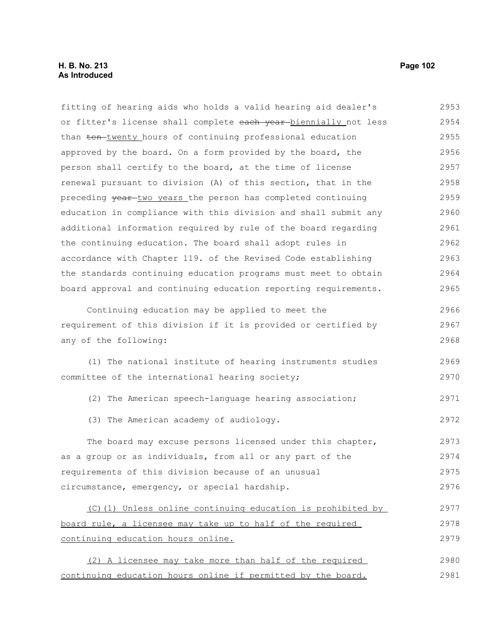# **H. B. No. 213 Page 102 As Introduced**

fitting of hearing aids who holds a valid hearing aid dealer's or fitter's license shall complete each year-biennially not less than ten-twenty hours of continuing professional education approved by the board. On a form provided by the board, the person shall certify to the board, at the time of license renewal pursuant to division (A) of this section, that in the preceding vear-two years the person has completed continuing education in compliance with this division and shall submit any additional information required by rule of the board regarding the continuing education. The board shall adopt rules in accordance with Chapter 119. of the Revised Code establishing the standards continuing education programs must meet to obtain board approval and continuing education reporting requirements. Continuing education may be applied to meet the requirement of this division if it is provided or certified by any of the following: (1) The national institute of hearing instruments studies committee of the international hearing society; (2) The American speech-language hearing association; (3) The American academy of audiology. The board may excuse persons licensed under this chapter, as a group or as individuals, from all or any part of the requirements of this division because of an unusual circumstance, emergency, or special hardship. (C)(1) Unless online continuing education is prohibited by board rule, a licensee may take up to half of the required continuing education hours online. (2) A licensee may take more than half of the required continuing education hours online if permitted by the board. 2953 2954 2955 2956 2957 2958 2959 2960 2961 2962 2963 2964 2965 2966 2967 2968 2969 2970 2971 2972 2973 2974 2975 2976 2977 2978 2979 2980 2981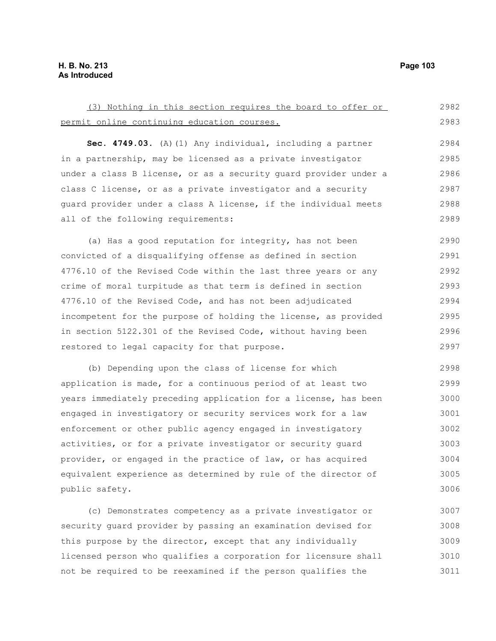| (3) Nothing in this section requires the board to offer or       | 2982 |
|------------------------------------------------------------------|------|
| permit online continuing education courses.                      | 2983 |
|                                                                  |      |
| Sec. 4749.03. (A) (1) Any individual, including a partner        | 2984 |
| in a partnership, may be licensed as a private investigator      | 2985 |
| under a class B license, or as a security quard provider under a | 2986 |
| class C license, or as a private investigator and a security     | 2987 |
| guard provider under a class A license, if the individual meets  | 2988 |
| all of the following requirements:                               | 2989 |
| (a) Has a good reputation for integrity, has not been            | 2990 |
| convicted of a disqualifying offense as defined in section       | 2991 |
| 4776.10 of the Revised Code within the last three years or any   | 2992 |
| crime of moral turpitude as that term is defined in section      | 2993 |
| 4776.10 of the Revised Code, and has not been adjudicated        | 2994 |
| incompetent for the purpose of holding the license, as provided  | 2995 |
| in section 5122.301 of the Revised Code, without having been     | 2996 |
| restored to legal capacity for that purpose.                     | 2997 |
| (b) Depending upon the class of license for which                | 2998 |
| application is made, for a continuous period of at least two     | 2999 |
| years immediately preceding application for a license, has been  | 3000 |
| engaged in investigatory or security services work for a law     | 3001 |
| enforcement or other public agency engaged in investigatory      | 3002 |
| activities, or for a private investigator or security guard      | 3003 |
| provider, or engaged in the practice of law, or has acquired     | 3004 |
| equivalent experience as determined by rule of the director of   | 3005 |
| public safety.                                                   | 3006 |

(c) Demonstrates competency as a private investigator or security guard provider by passing an examination devised for this purpose by the director, except that any individually licensed person who qualifies a corporation for licensure shall not be required to be reexamined if the person qualifies the 3007 3008 3009 3010 3011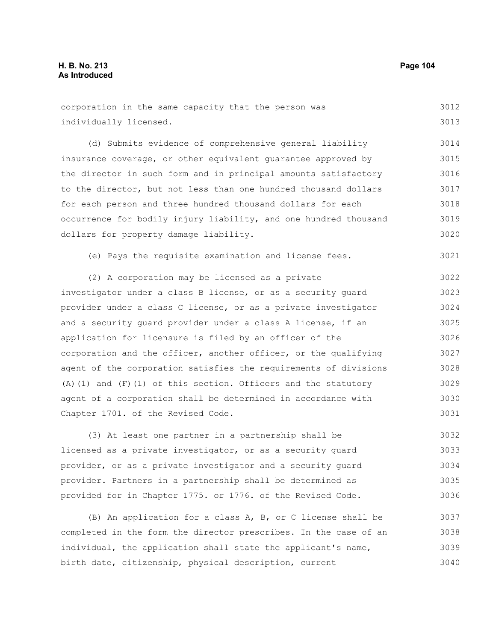| corporation in the same capacity that the person was                | 3012 |
|---------------------------------------------------------------------|------|
| individually licensed.                                              | 3013 |
| (d) Submits evidence of comprehensive general liability             | 3014 |
| insurance coverage, or other equivalent quarantee approved by       | 3015 |
| the director in such form and in principal amounts satisfactory     | 3016 |
| to the director, but not less than one hundred thousand dollars     | 3017 |
| for each person and three hundred thousand dollars for each         | 3018 |
| occurrence for bodily injury liability, and one hundred thousand    | 3019 |
| dollars for property damage liability.                              | 3020 |
| (e) Pays the requisite examination and license fees.                | 3021 |
| (2) A corporation may be licensed as a private                      | 3022 |
| investigator under a class B license, or as a security guard        | 3023 |
| provider under a class C license, or as a private investigator      | 3024 |
| and a security quard provider under a class A license, if an        | 3025 |
| application for licensure is filed by an officer of the             | 3026 |
| corporation and the officer, another officer, or the qualifying     | 3027 |
| agent of the corporation satisfies the requirements of divisions    | 3028 |
| $(A)$ (1) and $(F)$ (1) of this section. Officers and the statutory | 3029 |
| agent of a corporation shall be determined in accordance with       | 3030 |
| Chapter 1701. of the Revised Code.                                  | 3031 |
| (3) At least one partner in a partnership shall be                  | 3032 |
| licensed as a private investigator, or as a security guard          | 3033 |
| provider, or as a private investigator and a security guard         | 3034 |
| provider. Partners in a partnership shall be determined as          | 3035 |
| provided for in Chapter 1775. or 1776. of the Revised Code.         | 3036 |
| (B) An application for a class A, B, or C license shall be          | 3037 |
| completed in the form the director prescribes. In the case of an    | 3038 |

individual, the application shall state the applicant's name, birth date, citizenship, physical description, current 3039 3040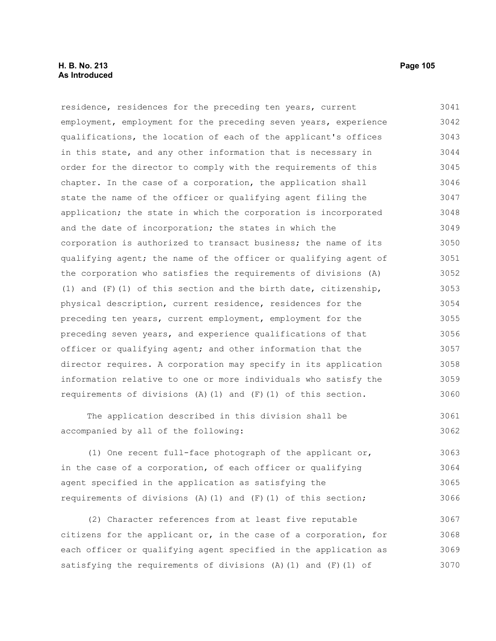## **H. B. No. 213 Page 105 As Introduced**

residence, residences for the preceding ten years, current employment, employment for the preceding seven years, experience qualifications, the location of each of the applicant's offices in this state, and any other information that is necessary in order for the director to comply with the requirements of this chapter. In the case of a corporation, the application shall state the name of the officer or qualifying agent filing the application; the state in which the corporation is incorporated and the date of incorporation; the states in which the corporation is authorized to transact business; the name of its qualifying agent; the name of the officer or qualifying agent of the corporation who satisfies the requirements of divisions (A) (1) and  $(F)(1)$  of this section and the birth date, citizenship, physical description, current residence, residences for the preceding ten years, current employment, employment for the preceding seven years, and experience qualifications of that officer or qualifying agent; and other information that the director requires. A corporation may specify in its application information relative to one or more individuals who satisfy the requirements of divisions (A)(1) and (F)(1) of this section. 3041 3042 3043 3044 3045 3046 3047 3048 3049 3050 3051 3052 3053 3054 3055 3056 3057 3058 3059 3060

The application described in this division shall be accompanied by all of the following: 3061 3062

(1) One recent full-face photograph of the applicant or, in the case of a corporation, of each officer or qualifying agent specified in the application as satisfying the requirements of divisions (A)(1) and  $(F)(1)$  of this section; 3063 3064 3065 3066

(2) Character references from at least five reputable citizens for the applicant or, in the case of a corporation, for each officer or qualifying agent specified in the application as satisfying the requirements of divisions (A)(1) and (F)(1) of 3067 3068 3069 3070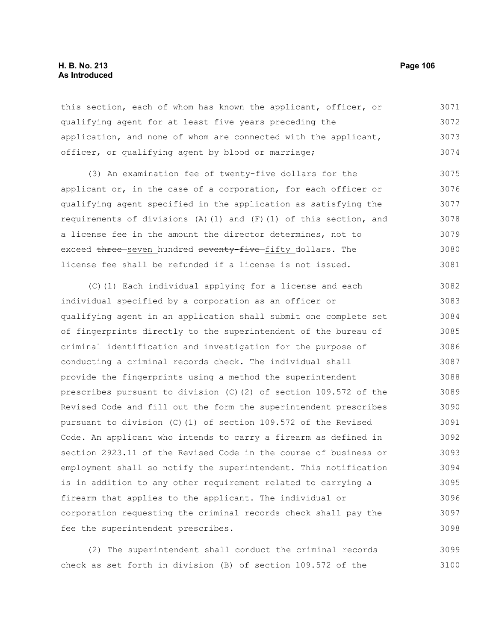## **H. B. No. 213 Page 106 As Introduced**

this section, each of whom has known the applicant, officer, or qualifying agent for at least five years preceding the application, and none of whom are connected with the applicant, officer, or qualifying agent by blood or marriage; 3071 3072 3073 3074

(3) An examination fee of twenty-five dollars for the applicant or, in the case of a corporation, for each officer or qualifying agent specified in the application as satisfying the requirements of divisions (A)(1) and (F)(1) of this section, and a license fee in the amount the director determines, not to exceed three seven hundred seventy-five fifty dollars. The license fee shall be refunded if a license is not issued. 3075 3076 3077 3078 3079 3080 3081

(C)(1) Each individual applying for a license and each individual specified by a corporation as an officer or qualifying agent in an application shall submit one complete set of fingerprints directly to the superintendent of the bureau of criminal identification and investigation for the purpose of conducting a criminal records check. The individual shall provide the fingerprints using a method the superintendent prescribes pursuant to division (C)(2) of section 109.572 of the Revised Code and fill out the form the superintendent prescribes pursuant to division (C)(1) of section 109.572 of the Revised Code. An applicant who intends to carry a firearm as defined in section 2923.11 of the Revised Code in the course of business or employment shall so notify the superintendent. This notification is in addition to any other requirement related to carrying a firearm that applies to the applicant. The individual or corporation requesting the criminal records check shall pay the fee the superintendent prescribes. 3082 3083 3084 3085 3086 3087 3088 3089 3090 3091 3092 3093 3094 3095 3096 3097 3098

(2) The superintendent shall conduct the criminal records check as set forth in division (B) of section 109.572 of the 3099 3100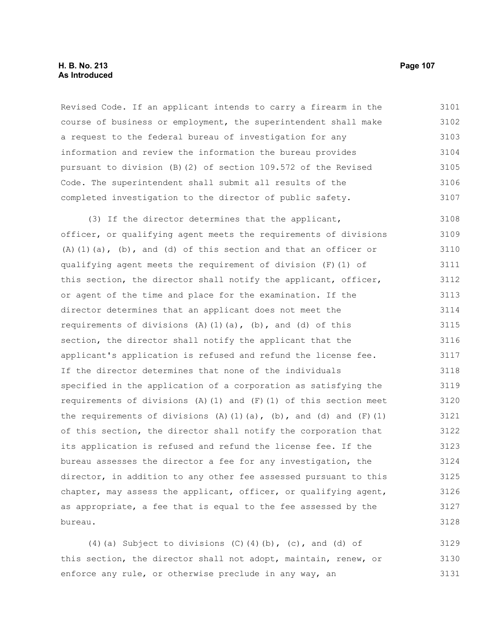## **H. B. No. 213 Page 107 As Introduced**

Revised Code. If an applicant intends to carry a firearm in the course of business or employment, the superintendent shall make a request to the federal bureau of investigation for any information and review the information the bureau provides pursuant to division (B)(2) of section 109.572 of the Revised Code. The superintendent shall submit all results of the completed investigation to the director of public safety. 3101 3102 3103 3104 3105 3106 3107

(3) If the director determines that the applicant, officer, or qualifying agent meets the requirements of divisions (A)(1)(a), (b), and (d) of this section and that an officer or qualifying agent meets the requirement of division (F)(1) of this section, the director shall notify the applicant, officer, or agent of the time and place for the examination. If the director determines that an applicant does not meet the requirements of divisions  $(A)$   $(1)$   $(a)$ ,  $(b)$ , and  $(d)$  of this section, the director shall notify the applicant that the applicant's application is refused and refund the license fee. If the director determines that none of the individuals specified in the application of a corporation as satisfying the requirements of divisions (A)(1) and  $(F)(1)$  of this section meet the requirements of divisions (A)(1)(a), (b), and (d) and (F)(1) of this section, the director shall notify the corporation that its application is refused and refund the license fee. If the bureau assesses the director a fee for any investigation, the director, in addition to any other fee assessed pursuant to this chapter, may assess the applicant, officer, or qualifying agent, as appropriate, a fee that is equal to the fee assessed by the bureau. 3108 3109 3110 3111 3112 3113 3114 3115 3116 3117 3118 3119 3120 3121 3122 3123 3124 3125 3126 3127 3128

(4)(a) Subject to divisions (C)(4)(b), (c), and (d) of this section, the director shall not adopt, maintain, renew, or enforce any rule, or otherwise preclude in any way, an 3129 3130 3131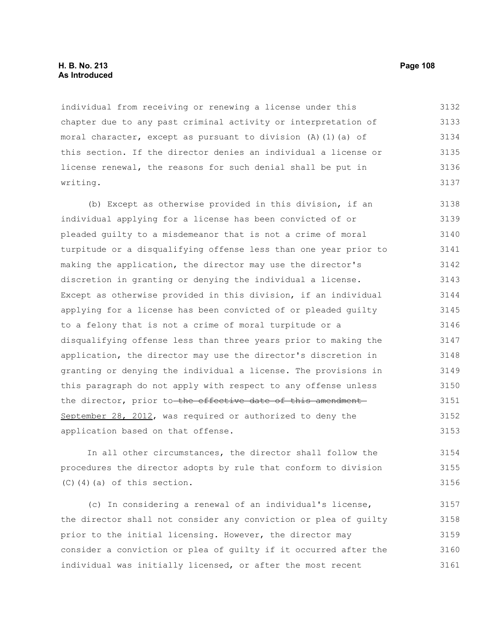## **H. B. No. 213 Page 108 As Introduced**

individual from receiving or renewing a license under this chapter due to any past criminal activity or interpretation of moral character, except as pursuant to division  $(A)$   $(1)$   $(a)$  of this section. If the director denies an individual a license or license renewal, the reasons for such denial shall be put in writing. 3132 3133 3134 3135 3136 3137

(b) Except as otherwise provided in this division, if an individual applying for a license has been convicted of or pleaded guilty to a misdemeanor that is not a crime of moral turpitude or a disqualifying offense less than one year prior to making the application, the director may use the director's discretion in granting or denying the individual a license. Except as otherwise provided in this division, if an individual applying for a license has been convicted of or pleaded guilty to a felony that is not a crime of moral turpitude or a disqualifying offense less than three years prior to making the application, the director may use the director's discretion in granting or denying the individual a license. The provisions in this paragraph do not apply with respect to any offense unless the director, prior to the effective date of this amendment September 28, 2012, was required or authorized to deny the application based on that offense. 3138 3139 3140 3141 3142 3143 3144 3145 3146 3147 3148 3149 3150 3151 3152 3153

In all other circumstances, the director shall follow the procedures the director adopts by rule that conform to division  $(C)$  $(4)$  $(a)$  of this section. 3154 3155 3156

(c) In considering a renewal of an individual's license, the director shall not consider any conviction or plea of guilty prior to the initial licensing. However, the director may consider a conviction or plea of guilty if it occurred after the individual was initially licensed, or after the most recent 3157 3158 3159 3160 3161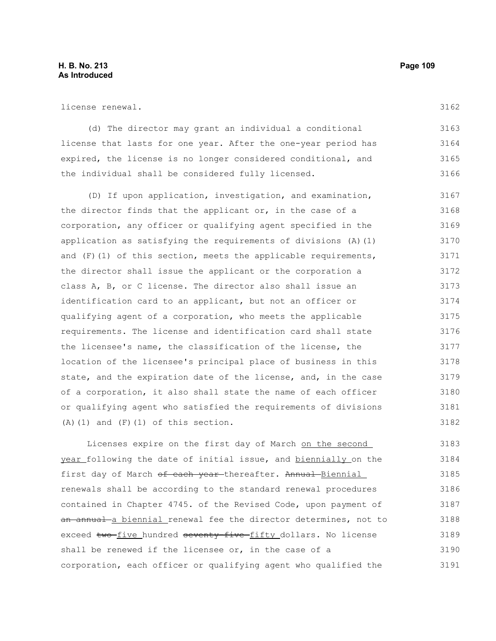license renewal.

(d) The director may grant an individual a conditional license that lasts for one year. After the one-year period has expired, the license is no longer considered conditional, and the individual shall be considered fully licensed. 3163 3164 3165 3166

(D) If upon application, investigation, and examination, the director finds that the applicant or, in the case of a corporation, any officer or qualifying agent specified in the application as satisfying the requirements of divisions (A)(1) and (F)(1) of this section, meets the applicable requirements, the director shall issue the applicant or the corporation a class A, B, or C license. The director also shall issue an identification card to an applicant, but not an officer or qualifying agent of a corporation, who meets the applicable requirements. The license and identification card shall state the licensee's name, the classification of the license, the location of the licensee's principal place of business in this state, and the expiration date of the license, and, in the case of a corporation, it also shall state the name of each officer or qualifying agent who satisfied the requirements of divisions  $(A)$  (1) and  $(F)$  (1) of this section. 3167 3168 3169 3170 3171 3172 3173 3174 3175 3176 3177 3178 3179 3180 3181 3182

Licenses expire on the first day of March on the second year following the date of initial issue, and biennially on the first day of March of each year thereafter. Annual Biennial renewals shall be according to the standard renewal procedures contained in Chapter 4745. of the Revised Code, upon payment of an annual a biennial renewal fee the director determines, not to exceed two five hundred seventy-five fifty dollars. No license shall be renewed if the licensee or, in the case of a corporation, each officer or qualifying agent who qualified the 3183 3184 3185 3186 3187 3188 3189 3190 3191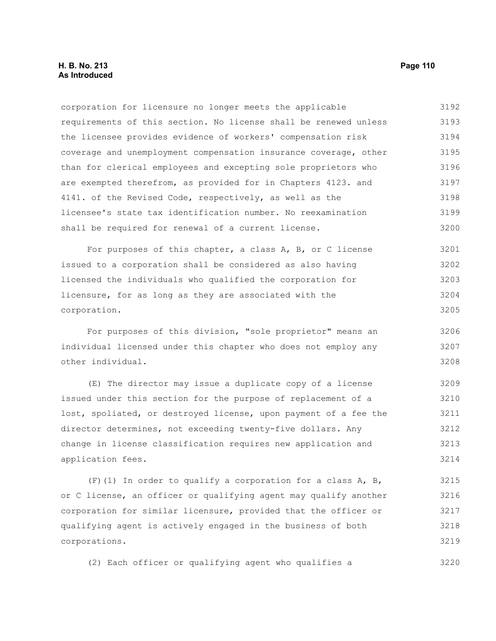corporation for licensure no longer meets the applicable requirements of this section. No license shall be renewed unless the licensee provides evidence of workers' compensation risk coverage and unemployment compensation insurance coverage, other than for clerical employees and excepting sole proprietors who are exempted therefrom, as provided for in Chapters 4123. and 4141. of the Revised Code, respectively, as well as the licensee's state tax identification number. No reexamination shall be required for renewal of a current license. 3192 3193 3194 3195 3196 3197 3198 3199 3200

For purposes of this chapter, a class A, B, or C license issued to a corporation shall be considered as also having licensed the individuals who qualified the corporation for licensure, for as long as they are associated with the corporation. 3201 3202 3203 3204 3205

For purposes of this division, "sole proprietor" means an individual licensed under this chapter who does not employ any other individual. 3206 3207 3208

(E) The director may issue a duplicate copy of a license issued under this section for the purpose of replacement of a lost, spoliated, or destroyed license, upon payment of a fee the director determines, not exceeding twenty-five dollars. Any change in license classification requires new application and application fees. 3209 3210 3211 3212 3213 3214

(F)(1) In order to qualify a corporation for a class A, B, or C license, an officer or qualifying agent may qualify another corporation for similar licensure, provided that the officer or qualifying agent is actively engaged in the business of both corporations. 3215 3216 3217 3218 3219

(2) Each officer or qualifying agent who qualifies a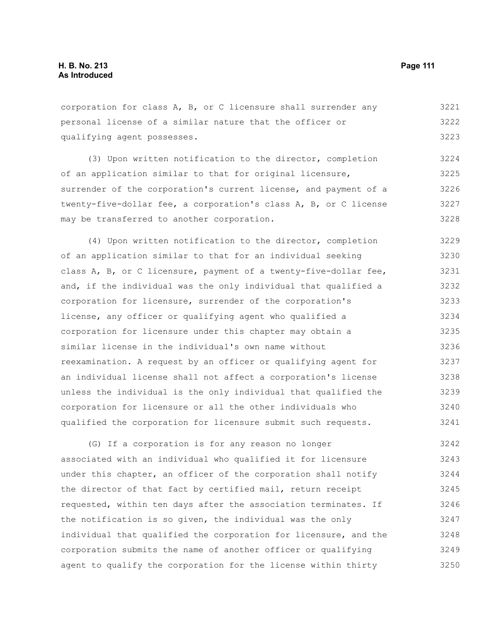corporation for class A, B, or C licensure shall surrender any personal license of a similar nature that the officer or qualifying agent possesses. 3221 3222 3223

(3) Upon written notification to the director, completion of an application similar to that for original licensure, surrender of the corporation's current license, and payment of a twenty-five-dollar fee, a corporation's class A, B, or C license may be transferred to another corporation. 3224 3225 3226 3227 3228

(4) Upon written notification to the director, completion of an application similar to that for an individual seeking class A, B, or C licensure, payment of a twenty-five-dollar fee, and, if the individual was the only individual that qualified a corporation for licensure, surrender of the corporation's license, any officer or qualifying agent who qualified a corporation for licensure under this chapter may obtain a similar license in the individual's own name without reexamination. A request by an officer or qualifying agent for an individual license shall not affect a corporation's license unless the individual is the only individual that qualified the corporation for licensure or all the other individuals who qualified the corporation for licensure submit such requests. 3229 3230 3231 3232 3233 3234 3235 3236 3237 3238 3239 3240 3241

(G) If a corporation is for any reason no longer associated with an individual who qualified it for licensure under this chapter, an officer of the corporation shall notify the director of that fact by certified mail, return receipt requested, within ten days after the association terminates. If the notification is so given, the individual was the only individual that qualified the corporation for licensure, and the corporation submits the name of another officer or qualifying agent to qualify the corporation for the license within thirty 3242 3243 3244 3245 3246 3247 3248 3249 3250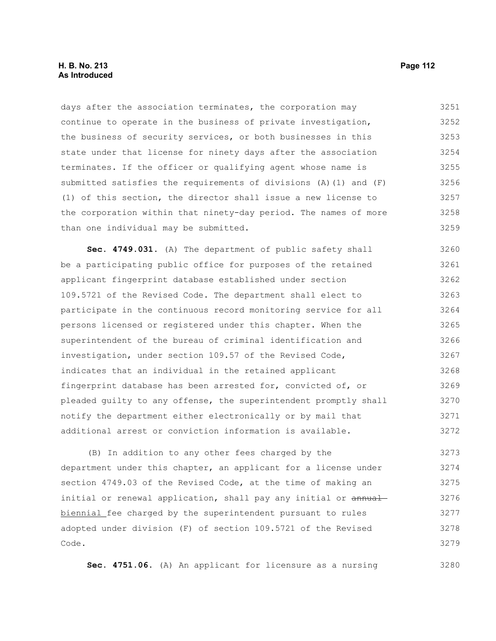### **H. B. No. 213 Page 112 As Introduced**

days after the association terminates, the corporation may continue to operate in the business of private investigation, the business of security services, or both businesses in this state under that license for ninety days after the association terminates. If the officer or qualifying agent whose name is submitted satisfies the requirements of divisions (A)(1) and (F) (1) of this section, the director shall issue a new license to the corporation within that ninety-day period. The names of more than one individual may be submitted. 3251 3252 3253 3254 3255 3256 3257 3258 3259

**Sec. 4749.031.** (A) The department of public safety shall be a participating public office for purposes of the retained applicant fingerprint database established under section 109.5721 of the Revised Code. The department shall elect to participate in the continuous record monitoring service for all persons licensed or registered under this chapter. When the superintendent of the bureau of criminal identification and investigation, under section 109.57 of the Revised Code, indicates that an individual in the retained applicant fingerprint database has been arrested for, convicted of, or pleaded guilty to any offense, the superintendent promptly shall notify the department either electronically or by mail that additional arrest or conviction information is available. 3260 3261 3262 3263 3264 3265 3266 3267 3268 3269 3270 3271 3272

(B) In addition to any other fees charged by the department under this chapter, an applicant for a license under section 4749.03 of the Revised Code, at the time of making an initial or renewal application, shall pay any initial or annual biennial fee charged by the superintendent pursuant to rules adopted under division (F) of section 109.5721 of the Revised Code. 3273 3274 3275 3276 3277 3278 3279

**Sec. 4751.06.** (A) An applicant for licensure as a nursing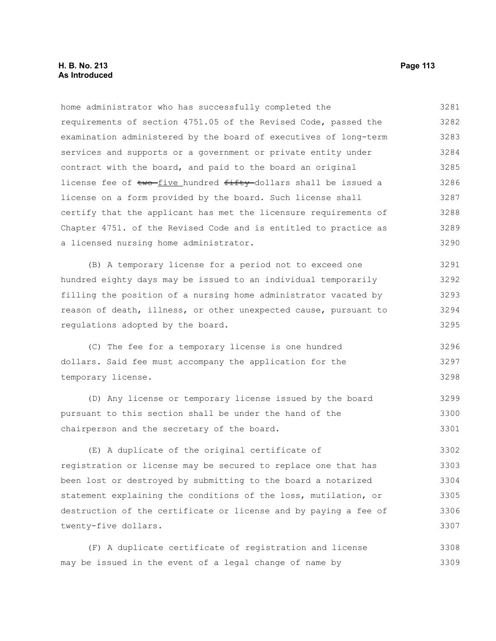### **H. B. No. 213 Page 113 As Introduced**

home administrator who has successfully completed the requirements of section 4751.05 of the Revised Code, passed the examination administered by the board of executives of long-term services and supports or a government or private entity under contract with the board, and paid to the board an original license fee of two-five hundred fifty-dollars shall be issued a license on a form provided by the board. Such license shall certify that the applicant has met the licensure requirements of Chapter 4751. of the Revised Code and is entitled to practice as a licensed nursing home administrator. 3281 3282 3283 3284 3285 3286 3287 3288 3289 3290

(B) A temporary license for a period not to exceed one hundred eighty days may be issued to an individual temporarily filling the position of a nursing home administrator vacated by reason of death, illness, or other unexpected cause, pursuant to regulations adopted by the board. 3291 3292 3293 3294 3295

(C) The fee for a temporary license is one hundred dollars. Said fee must accompany the application for the temporary license. 3296 3297 3298

(D) Any license or temporary license issued by the board pursuant to this section shall be under the hand of the chairperson and the secretary of the board. 3299 3300 3301

(E) A duplicate of the original certificate of registration or license may be secured to replace one that has been lost or destroyed by submitting to the board a notarized statement explaining the conditions of the loss, mutilation, or destruction of the certificate or license and by paying a fee of twenty-five dollars. 3302 3303 3304 3305 3306 3307

(F) A duplicate certificate of registration and license may be issued in the event of a legal change of name by 3308 3309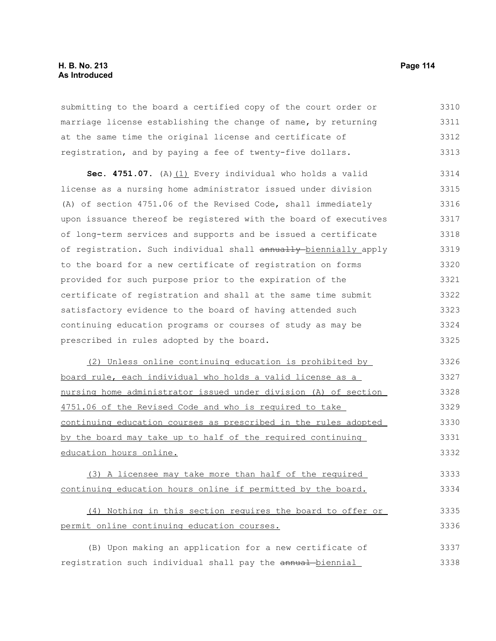# **H. B. No. 213 Page 114 As Introduced**

submitting to the board a certified copy of the court order or marriage license establishing the change of name, by returning at the same time the original license and certificate of registration, and by paying a fee of twenty-five dollars. 3310 3311 3312 3313

Sec. 4751.07. (A) (1) Every individual who holds a valid license as a nursing home administrator issued under division (A) of section 4751.06 of the Revised Code, shall immediately upon issuance thereof be registered with the board of executives of long-term services and supports and be issued a certificate of registration. Such individual shall annually biennially apply to the board for a new certificate of registration on forms provided for such purpose prior to the expiration of the certificate of registration and shall at the same time submit satisfactory evidence to the board of having attended such continuing education programs or courses of study as may be prescribed in rules adopted by the board. 3314 3315 3316 3317 3318 3319 3320 3321 3322 3323 3324 3325

(2) Unless online continuing education is prohibited by board rule, each individual who holds a valid license as a nursing home administrator issued under division (A) of section 4751.06 of the Revised Code and who is required to take continuing education courses as prescribed in the rules adopted by the board may take up to half of the required continuing education hours online. 3326 3327 3328 3329 3330 3331 3332

(3) A licensee may take more than half of the required continuing education hours online if permitted by the board. 3333 3334

#### (4) Nothing in this section requires the board to offer or permit online continuing education courses. 3335 3336

(B) Upon making an application for a new certificate of registration such individual shall pay the annual biennial 3337 3338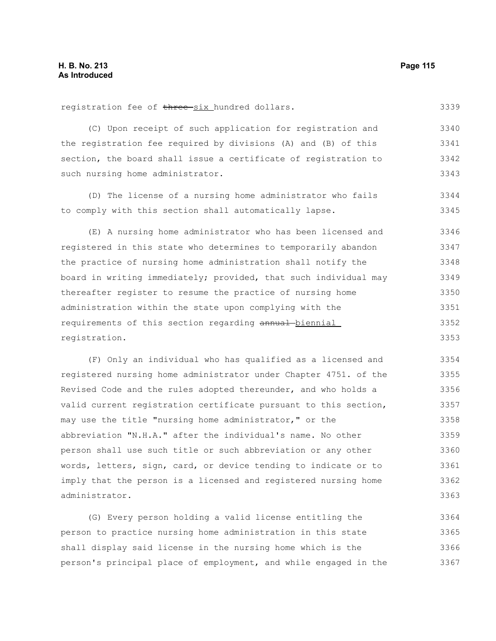registration fee of three six hundred dollars.

3339

(C) Upon receipt of such application for registration and the registration fee required by divisions (A) and (B) of this section, the board shall issue a certificate of registration to such nursing home administrator. 3340 3341 3342 3343

(D) The license of a nursing home administrator who fails to comply with this section shall automatically lapse. 3344 3345

(E) A nursing home administrator who has been licensed and registered in this state who determines to temporarily abandon the practice of nursing home administration shall notify the board in writing immediately; provided, that such individual may thereafter register to resume the practice of nursing home administration within the state upon complying with the requirements of this section regarding annual biennial registration. 3346 3347 3348 3349 3350 3351 3352 3353

(F) Only an individual who has qualified as a licensed and registered nursing home administrator under Chapter 4751. of the Revised Code and the rules adopted thereunder, and who holds a valid current registration certificate pursuant to this section, may use the title "nursing home administrator," or the abbreviation "N.H.A." after the individual's name. No other person shall use such title or such abbreviation or any other words, letters, sign, card, or device tending to indicate or to imply that the person is a licensed and registered nursing home administrator. 3354 3355 3356 3357 3358 3359 3360 3361 3362 3363

(G) Every person holding a valid license entitling the person to practice nursing home administration in this state shall display said license in the nursing home which is the person's principal place of employment, and while engaged in the 3364 3365 3366 3367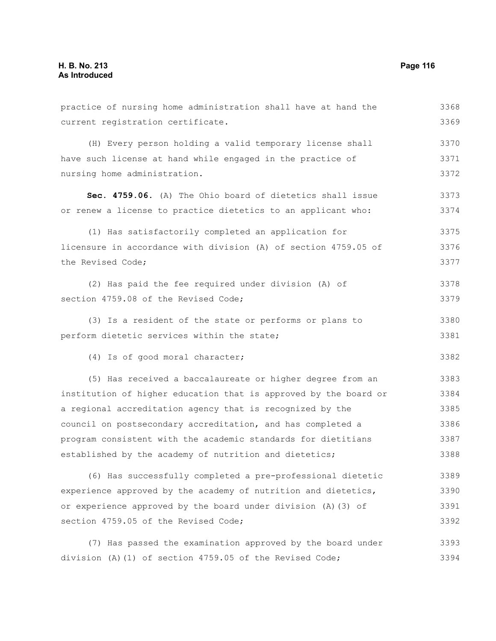| practice of nursing home administration shall have at hand the   | 3368 |
|------------------------------------------------------------------|------|
| current registration certificate.                                | 3369 |
| (H) Every person holding a valid temporary license shall         | 3370 |
| have such license at hand while engaged in the practice of       | 3371 |
| nursing home administration.                                     | 3372 |
| Sec. 4759.06. (A) The Ohio board of dietetics shall issue        | 3373 |
| or renew a license to practice dietetics to an applicant who:    | 3374 |
| (1) Has satisfactorily completed an application for              | 3375 |
| licensure in accordance with division (A) of section 4759.05 of  | 3376 |
| the Revised Code;                                                | 3377 |
| (2) Has paid the fee required under division (A) of              | 3378 |
| section 4759.08 of the Revised Code;                             | 3379 |
| (3) Is a resident of the state or performs or plans to           | 3380 |
| perform dietetic services within the state;                      | 3381 |
| (4) Is of good moral character;                                  | 3382 |
| (5) Has received a baccalaureate or higher degree from an        | 3383 |
| institution of higher education that is approved by the board or | 3384 |
| a regional accreditation agency that is recognized by the        | 3385 |
| council on postsecondary accreditation, and has completed a      | 3386 |
| program consistent with the academic standards for dietitians    | 3387 |
| established by the academy of nutrition and dietetics;           | 3388 |
| (6) Has successfully completed a pre-professional dietetic       | 3389 |
| experience approved by the academy of nutrition and dietetics,   | 3390 |
| or experience approved by the board under division (A) (3) of    | 3391 |
| section 4759.05 of the Revised Code;                             | 3392 |
| (7) Has passed the examination approved by the board under       | 3393 |
| division (A) (1) of section 4759.05 of the Revised Code;         | 3394 |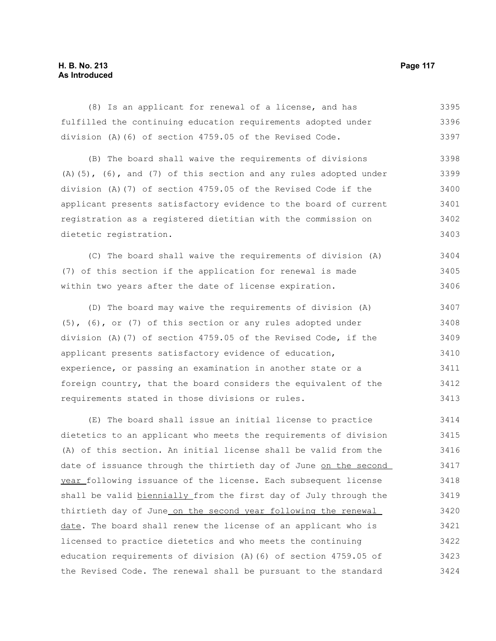# **H. B. No. 213 Page 117 As Introduced**

(8) Is an applicant for renewal of a license, and has fulfilled the continuing education requirements adopted under division (A)(6) of section 4759.05 of the Revised Code. 3395 3396 3397

(B) The board shall waive the requirements of divisions  $(A)$ (5), (6), and (7) of this section and any rules adopted under division (A)(7) of section 4759.05 of the Revised Code if the applicant presents satisfactory evidence to the board of current registration as a registered dietitian with the commission on dietetic registration. 3398 3399 3400 3401 3402 3403

(C) The board shall waive the requirements of division (A) (7) of this section if the application for renewal is made within two years after the date of license expiration. 3404 3405 3406

(D) The board may waive the requirements of division (A) (5), (6), or (7) of this section or any rules adopted under division (A)(7) of section 4759.05 of the Revised Code, if the applicant presents satisfactory evidence of education, experience, or passing an examination in another state or a foreign country, that the board considers the equivalent of the requirements stated in those divisions or rules. 3407 3408 3409 3410 3411 3412 3413

(E) The board shall issue an initial license to practice dietetics to an applicant who meets the requirements of division (A) of this section. An initial license shall be valid from the date of issuance through the thirtieth day of June on the second year following issuance of the license. Each subsequent license shall be valid biennially from the first day of July through the thirtieth day of June on the second year following the renewal date. The board shall renew the license of an applicant who is licensed to practice dietetics and who meets the continuing education requirements of division (A)(6) of section 4759.05 of the Revised Code. The renewal shall be pursuant to the standard 3414 3415 3416 3417 3418 3419 3420 3421 3422 3423 3424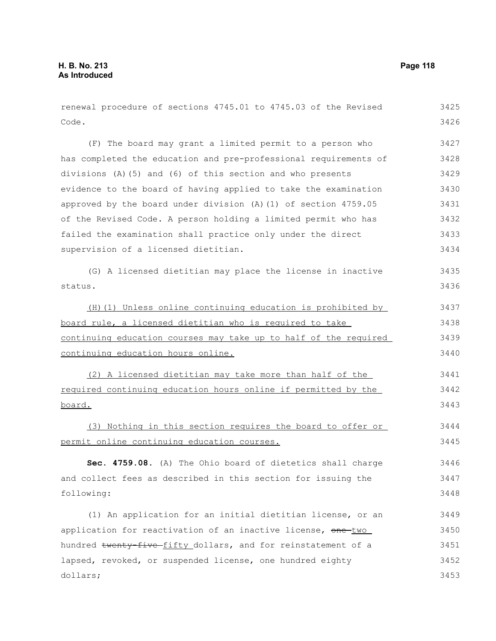| renewal procedure of sections 4745.01 to 4745.03 of the Revised  | 3425 |
|------------------------------------------------------------------|------|
| Code.                                                            | 3426 |
| (F) The board may grant a limited permit to a person who         | 3427 |
| has completed the education and pre-professional requirements of | 3428 |
| divisions (A) (5) and (6) of this section and who presents       | 3429 |
| evidence to the board of having applied to take the examination  | 3430 |
| approved by the board under division (A) (1) of section 4759.05  | 3431 |
| of the Revised Code. A person holding a limited permit who has   | 3432 |
| failed the examination shall practice only under the direct      | 3433 |
| supervision of a licensed dietitian.                             | 3434 |
| (G) A licensed dietitian may place the license in inactive       | 3435 |
| status.                                                          | 3436 |
| (H) (1) Unless online continuing education is prohibited by      | 3437 |
| board rule, a licensed dietitian who is required to take         | 3438 |
| continuing education courses may take up to half of the required | 3439 |
| continuing education hours online.                               | 3440 |
| (2) A licensed dietitian may take more than half of the          | 3441 |
| required continuing education hours online if permitted by the   | 3442 |
| board.                                                           | 3443 |
| (3) Nothing in this section requires the board to offer or       | 3444 |
| permit online continuing education courses.                      | 3445 |
| Sec. 4759.08. (A) The Ohio board of dietetics shall charge       | 3446 |
| and collect fees as described in this section for issuing the    | 3447 |
| following:                                                       | 3448 |
| (1) An application for an initial dietitian license, or an       | 3449 |
| application for reactivation of an inactive license, one-two     | 3450 |
| hundred twenty five fifty dollars, and for reinstatement of a    | 3451 |
| lapsed, revoked, or suspended license, one hundred eighty        | 3452 |
| dollars;                                                         | 3453 |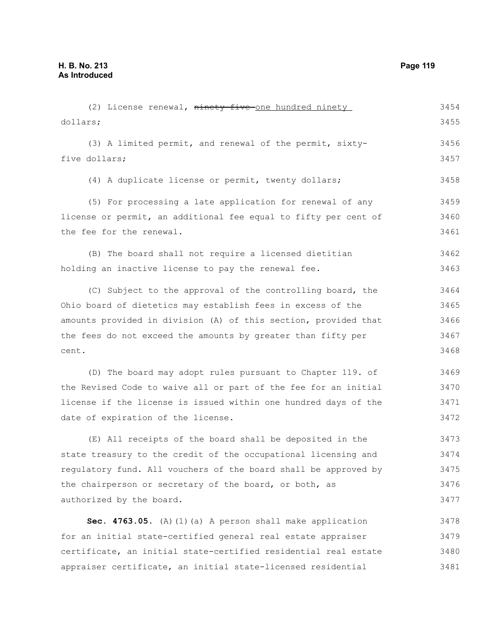| (2) License renewal, ninety-five-one hundred ninety             | 3454 |
|-----------------------------------------------------------------|------|
| dollars;                                                        | 3455 |
| (3) A limited permit, and renewal of the permit, sixty-         | 3456 |
| five dollars;                                                   | 3457 |
| (4) A duplicate license or permit, twenty dollars;              | 3458 |
| (5) For processing a late application for renewal of any        | 3459 |
| license or permit, an additional fee equal to fifty per cent of | 3460 |
| the fee for the renewal.                                        | 3461 |
| (B) The board shall not require a licensed dietitian            | 3462 |
| holding an inactive license to pay the renewal fee.             | 3463 |
| (C) Subject to the approval of the controlling board, the       | 3464 |
| Ohio board of dietetics may establish fees in excess of the     | 3465 |
| amounts provided in division (A) of this section, provided that | 3466 |
| the fees do not exceed the amounts by greater than fifty per    | 3467 |
| cent.                                                           | 3468 |
| (D) The board may adopt rules pursuant to Chapter 119. of       | 3469 |
| the Revised Code to waive all or part of the fee for an initial | 3470 |
| license if the license is issued within one hundred days of the | 3471 |
| date of expiration of the license.                              | 3472 |
| (E) All receipts of the board shall be deposited in the         | 3473 |
| state treasury to the credit of the occupational licensing and  | 3474 |
| regulatory fund. All vouchers of the board shall be approved by | 3475 |
| the chairperson or secretary of the board, or both, as          | 3476 |
| authorized by the board.                                        | 3477 |
| Sec. 4763.05. (A) (1) (a) A person shall make application       | 3478 |
| for an initial state-certified general real estate appraiser    | 3479 |
| certificate, an initial state-certified residential real estate | 3480 |
| appraiser certificate, an initial state-licensed residential    | 3481 |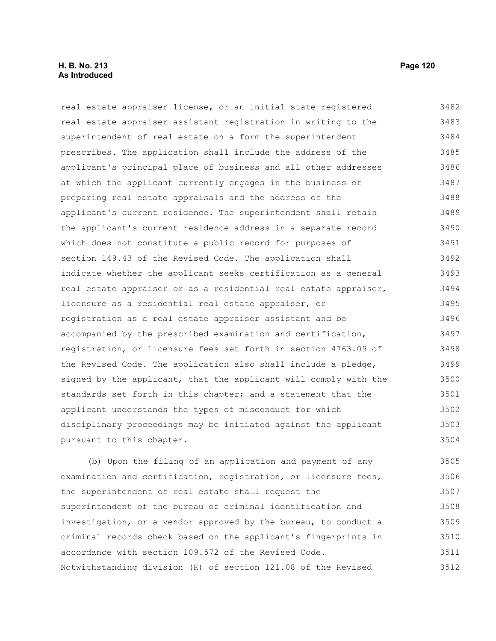### **H. B. No. 213 Page 120 As Introduced**

pursuant to this chapter.

real estate appraiser license, or an initial state-registered real estate appraiser assistant registration in writing to the superintendent of real estate on a form the superintendent prescribes. The application shall include the address of the applicant's principal place of business and all other addresses at which the applicant currently engages in the business of preparing real estate appraisals and the address of the applicant's current residence. The superintendent shall retain the applicant's current residence address in a separate record which does not constitute a public record for purposes of section 149.43 of the Revised Code. The application shall indicate whether the applicant seeks certification as a general real estate appraiser or as a residential real estate appraiser, licensure as a residential real estate appraiser, or registration as a real estate appraiser assistant and be accompanied by the prescribed examination and certification, registration, or licensure fees set forth in section 4763.09 of the Revised Code. The application also shall include a pledge, signed by the applicant, that the applicant will comply with the standards set forth in this chapter; and a statement that the applicant understands the types of misconduct for which disciplinary proceedings may be initiated against the applicant 3482 3483 3484 3485 3486 3487 3488 3489 3490 3491 3492 3493 3494 3495 3496 3497 3498 3499 3500 3501 3502 3503

(b) Upon the filing of an application and payment of any examination and certification, registration, or licensure fees, the superintendent of real estate shall request the superintendent of the bureau of criminal identification and investigation, or a vendor approved by the bureau, to conduct a criminal records check based on the applicant's fingerprints in accordance with section 109.572 of the Revised Code. Notwithstanding division (K) of section 121.08 of the Revised 3505 3506 3507 3508 3509 3510 3511 3512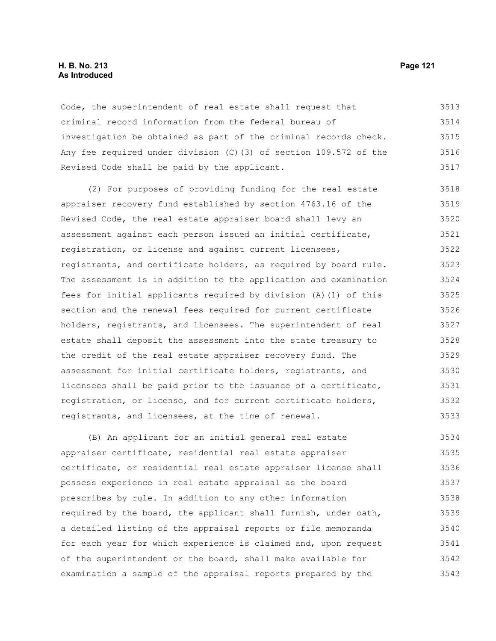#### **H. B. No. 213 Page 121 As Introduced**

Code, the superintendent of real estate shall request that criminal record information from the federal bureau of investigation be obtained as part of the criminal records check. Any fee required under division (C)(3) of section 109.572 of the Revised Code shall be paid by the applicant. 3513 3514 3515 3516 3517

(2) For purposes of providing funding for the real estate appraiser recovery fund established by section 4763.16 of the Revised Code, the real estate appraiser board shall levy an assessment against each person issued an initial certificate, registration, or license and against current licensees, registrants, and certificate holders, as required by board rule. The assessment is in addition to the application and examination fees for initial applicants required by division (A)(1) of this section and the renewal fees required for current certificate holders, registrants, and licensees. The superintendent of real estate shall deposit the assessment into the state treasury to the credit of the real estate appraiser recovery fund. The assessment for initial certificate holders, registrants, and licensees shall be paid prior to the issuance of a certificate, registration, or license, and for current certificate holders, registrants, and licensees, at the time of renewal. 3518 3519 3520 3521 3522 3523 3524 3525 3526 3527 3528 3529 3530 3531 3532 3533

(B) An applicant for an initial general real estate appraiser certificate, residential real estate appraiser certificate, or residential real estate appraiser license shall possess experience in real estate appraisal as the board prescribes by rule. In addition to any other information required by the board, the applicant shall furnish, under oath, a detailed listing of the appraisal reports or file memoranda for each year for which experience is claimed and, upon request of the superintendent or the board, shall make available for examination a sample of the appraisal reports prepared by the 3534 3535 3536 3537 3538 3539 3540 3541 3542 3543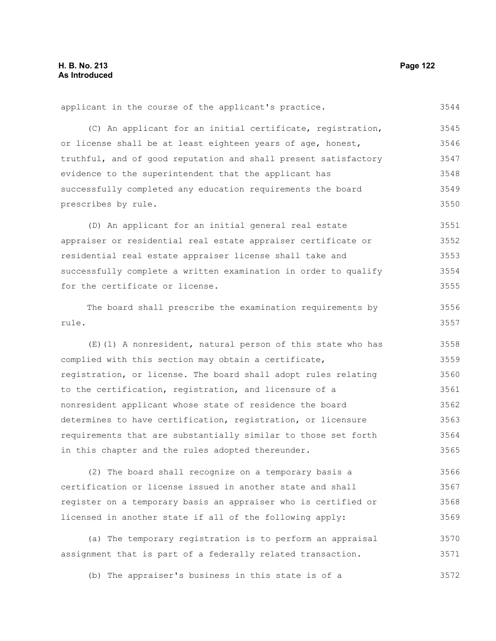applicant in the course of the applicant's practice. (C) An applicant for an initial certificate, registration, or license shall be at least eighteen years of age, honest, truthful, and of good reputation and shall present satisfactory evidence to the superintendent that the applicant has successfully completed any education requirements the board prescribes by rule. (D) An applicant for an initial general real estate appraiser or residential real estate appraiser certificate or residential real estate appraiser license shall take and successfully complete a written examination in order to qualify for the certificate or license. The board shall prescribe the examination requirements by rule. (E)(1) A nonresident, natural person of this state who has complied with this section may obtain a certificate, registration, or license. The board shall adopt rules relating to the certification, registration, and licensure of a nonresident applicant whose state of residence the board determines to have certification, registration, or licensure requirements that are substantially similar to those set forth in this chapter and the rules adopted thereunder. (2) The board shall recognize on a temporary basis a certification or license issued in another state and shall register on a temporary basis an appraiser who is certified or licensed in another state if all of the following apply: (a) The temporary registration is to perform an appraisal assignment that is part of a federally related transaction. 3544 3545 3546 3547 3548 3549 3550 3551 3552 3553 3554 3555 3556 3557 3558 3559 3560 3561 3562 3563 3564 3565 3566 3567 3568 3569 3570 3571

(b) The appraiser's business in this state is of a 3572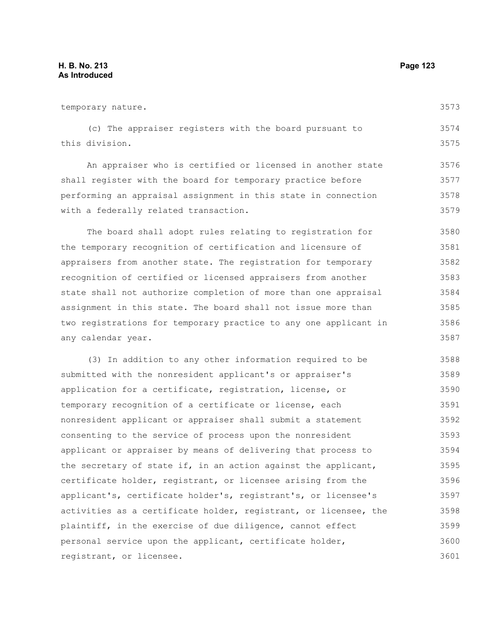| temporary nature.                                                | 3573 |
|------------------------------------------------------------------|------|
| (c) The appraiser registers with the board pursuant to           | 3574 |
| this division.                                                   | 3575 |
| An appraiser who is certified or licensed in another state       | 3576 |
| shall register with the board for temporary practice before      | 3577 |
| performing an appraisal assignment in this state in connection   | 3578 |
| with a federally related transaction.                            | 3579 |
| The board shall adopt rules relating to registration for         | 3580 |
| the temporary recognition of certification and licensure of      | 3581 |
| appraisers from another state. The registration for temporary    | 3582 |
| recognition of certified or licensed appraisers from another     | 3583 |
| state shall not authorize completion of more than one appraisal  | 3584 |
| assignment in this state. The board shall not issue more than    | 3585 |
| two registrations for temporary practice to any one applicant in | 3586 |
| any calendar year.                                               | 3587 |
| (3) In addition to any other information required to be          | 3588 |
| submitted with the nonresident applicant's or appraiser's        | 3589 |
| application for a certificate, registration, license, or         | 3590 |
| temporary recognition of a certificate or license, each          | 3591 |
| nonresident applicant or appraiser shall submit a statement      | 3592 |
| consenting to the service of process upon the nonresident        | 3593 |
| applicant or appraiser by means of delivering that process to    | 3594 |
| the secretary of state if, in an action against the applicant,   | 3595 |
| certificate holder, registrant, or licensee arising from the     | 3596 |
| applicant's, certificate holder's, registrant's, or licensee's   | 3597 |
| activities as a certificate holder, registrant, or licensee, the | 3598 |
| plaintiff, in the exercise of due diligence, cannot effect       | 3599 |
| personal service upon the applicant, certificate holder,         | 3600 |
| registrant, or licensee.                                         | 3601 |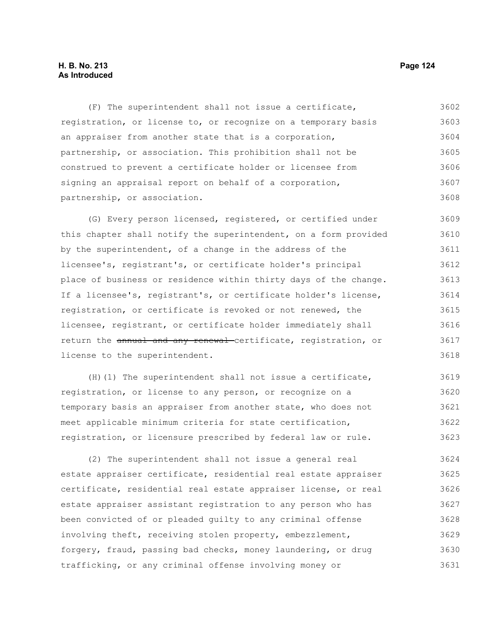### **H. B. No. 213 Page 124 As Introduced**

(F) The superintendent shall not issue a certificate, registration, or license to, or recognize on a temporary basis an appraiser from another state that is a corporation, partnership, or association. This prohibition shall not be construed to prevent a certificate holder or licensee from signing an appraisal report on behalf of a corporation, partnership, or association. 3602 3603 3604 3605 3606 3607 3608

(G) Every person licensed, registered, or certified under this chapter shall notify the superintendent, on a form provided by the superintendent, of a change in the address of the licensee's, registrant's, or certificate holder's principal place of business or residence within thirty days of the change. If a licensee's, registrant's, or certificate holder's license, registration, or certificate is revoked or not renewed, the licensee, registrant, or certificate holder immediately shall return the annual and any renewal certificate, registration, or license to the superintendent. 3609 3610 3611 3612 3613 3614 3615 3616 3617 3618

(H)(1) The superintendent shall not issue a certificate, registration, or license to any person, or recognize on a temporary basis an appraiser from another state, who does not meet applicable minimum criteria for state certification, registration, or licensure prescribed by federal law or rule. 3619 3620 3621 3622 3623

(2) The superintendent shall not issue a general real estate appraiser certificate, residential real estate appraiser certificate, residential real estate appraiser license, or real estate appraiser assistant registration to any person who has been convicted of or pleaded guilty to any criminal offense involving theft, receiving stolen property, embezzlement, forgery, fraud, passing bad checks, money laundering, or drug trafficking, or any criminal offense involving money or 3624 3625 3626 3627 3628 3629 3630 3631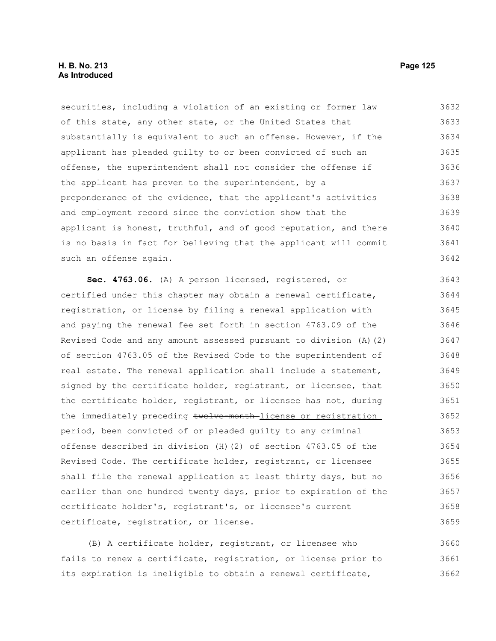### **H. B. No. 213 Page 125 As Introduced**

securities, including a violation of an existing or former law of this state, any other state, or the United States that substantially is equivalent to such an offense. However, if the applicant has pleaded guilty to or been convicted of such an offense, the superintendent shall not consider the offense if the applicant has proven to the superintendent, by a preponderance of the evidence, that the applicant's activities and employment record since the conviction show that the applicant is honest, truthful, and of good reputation, and there is no basis in fact for believing that the applicant will commit such an offense again. 3632 3633 3634 3635 3636 3637 3638 3639 3640 3641 3642

Sec. 4763.06. (A) A person licensed, registered, or certified under this chapter may obtain a renewal certificate, registration, or license by filing a renewal application with and paying the renewal fee set forth in section 4763.09 of the Revised Code and any amount assessed pursuant to division (A)(2) of section 4763.05 of the Revised Code to the superintendent of real estate. The renewal application shall include a statement, signed by the certificate holder, registrant, or licensee, that the certificate holder, registrant, or licensee has not, during the immediately preceding twelve-month-license or registration period, been convicted of or pleaded guilty to any criminal offense described in division (H)(2) of section 4763.05 of the Revised Code. The certificate holder, registrant, or licensee shall file the renewal application at least thirty days, but no earlier than one hundred twenty days, prior to expiration of the certificate holder's, registrant's, or licensee's current certificate, registration, or license. 3643 3644 3645 3646 3647 3648 3649 3650 3651 3652 3653 3654 3655 3656 3657 3658 3659

(B) A certificate holder, registrant, or licensee who fails to renew a certificate, registration, or license prior to its expiration is ineligible to obtain a renewal certificate, 3660 3661 3662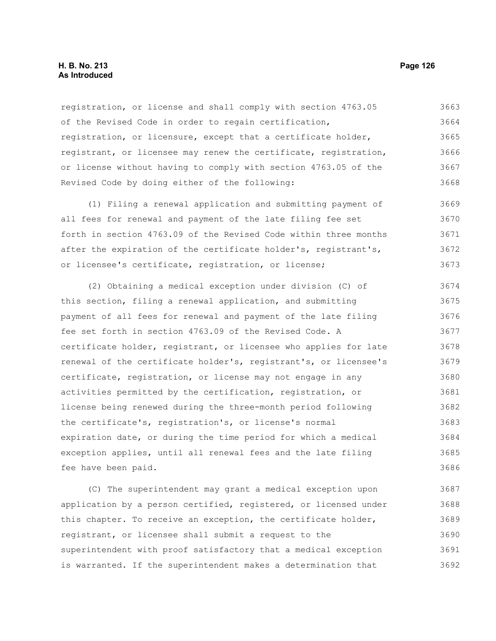### **H. B. No. 213 Page 126 As Introduced**

registration, or license and shall comply with section 4763.05 of the Revised Code in order to regain certification, registration, or licensure, except that a certificate holder, registrant, or licensee may renew the certificate, registration, or license without having to comply with section 4763.05 of the Revised Code by doing either of the following: 3663 3664 3665 3666 3667 3668

(1) Filing a renewal application and submitting payment of all fees for renewal and payment of the late filing fee set forth in section 4763.09 of the Revised Code within three months after the expiration of the certificate holder's, registrant's, or licensee's certificate, registration, or license; 3669 3670 3671 3672 3673

(2) Obtaining a medical exception under division (C) of this section, filing a renewal application, and submitting payment of all fees for renewal and payment of the late filing fee set forth in section 4763.09 of the Revised Code. A certificate holder, registrant, or licensee who applies for late renewal of the certificate holder's, registrant's, or licensee's certificate, registration, or license may not engage in any activities permitted by the certification, registration, or license being renewed during the three-month period following the certificate's, registration's, or license's normal expiration date, or during the time period for which a medical exception applies, until all renewal fees and the late filing fee have been paid. 3674 3675 3676 3677 3678 3679 3680 3681 3682 3683 3684 3685 3686

(C) The superintendent may grant a medical exception upon application by a person certified, registered, or licensed under this chapter. To receive an exception, the certificate holder, registrant, or licensee shall submit a request to the superintendent with proof satisfactory that a medical exception is warranted. If the superintendent makes a determination that 3687 3688 3689 3690 3691 3692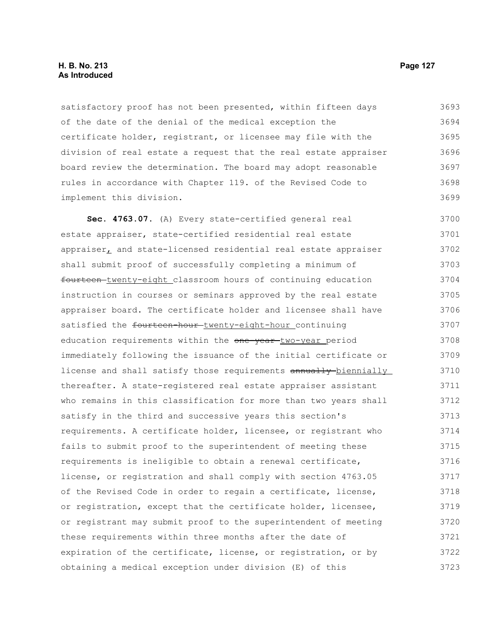### **H. B. No. 213 Page 127 As Introduced**

satisfactory proof has not been presented, within fifteen days of the date of the denial of the medical exception the certificate holder, registrant, or licensee may file with the division of real estate a request that the real estate appraiser board review the determination. The board may adopt reasonable rules in accordance with Chapter 119. of the Revised Code to implement this division. 3693 3694 3695 3696 3697 3698 3699

**Sec. 4763.07.** (A) Every state-certified general real estate appraiser, state-certified residential real estate appraiser, and state-licensed residential real estate appraiser shall submit proof of successfully completing a minimum of fourteen twenty-eight classroom hours of continuing education instruction in courses or seminars approved by the real estate appraiser board. The certificate holder and licensee shall have satisfied the fourteen-hour-twenty-eight-hour\_continuing education requirements within the one-year-two-year period immediately following the issuance of the initial certificate or license and shall satisfy those requirements annually biennially thereafter. A state-registered real estate appraiser assistant who remains in this classification for more than two years shall satisfy in the third and successive years this section's requirements. A certificate holder, licensee, or registrant who fails to submit proof to the superintendent of meeting these requirements is ineligible to obtain a renewal certificate, license, or registration and shall comply with section 4763.05 of the Revised Code in order to regain a certificate, license, or registration, except that the certificate holder, licensee, or registrant may submit proof to the superintendent of meeting these requirements within three months after the date of expiration of the certificate, license, or registration, or by obtaining a medical exception under division (E) of this 3700 3701 3702 3703 3704 3705 3706 3707 3708 3709 3710 3711 3712 3713 3714 3715 3716 3717 3718 3719 3720 3721 3722 3723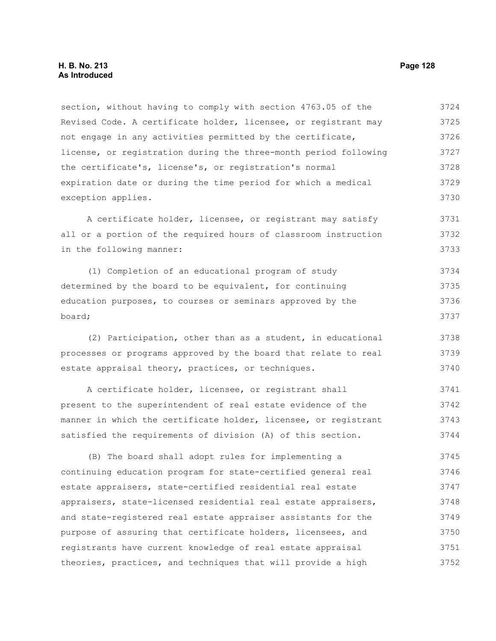section, without having to comply with section 4763.05 of the Revised Code. A certificate holder, licensee, or registrant may not engage in any activities permitted by the certificate, license, or registration during the three-month period following the certificate's, license's, or registration's normal expiration date or during the time period for which a medical exception applies. 3724 3725 3726 3727 3728 3729 3730

A certificate holder, licensee, or registrant may satisfy all or a portion of the required hours of classroom instruction in the following manner: 3731 3732 3733

(1) Completion of an educational program of study determined by the board to be equivalent, for continuing education purposes, to courses or seminars approved by the board; 3734 3735 3736 3737

(2) Participation, other than as a student, in educational processes or programs approved by the board that relate to real estate appraisal theory, practices, or techniques. 3738 3739 3740

A certificate holder, licensee, or registrant shall present to the superintendent of real estate evidence of the manner in which the certificate holder, licensee, or registrant satisfied the requirements of division (A) of this section. 3741 3742 3743 3744

(B) The board shall adopt rules for implementing a continuing education program for state-certified general real estate appraisers, state-certified residential real estate appraisers, state-licensed residential real estate appraisers, and state-registered real estate appraiser assistants for the purpose of assuring that certificate holders, licensees, and registrants have current knowledge of real estate appraisal theories, practices, and techniques that will provide a high 3745 3746 3747 3748 3749 3750 3751 3752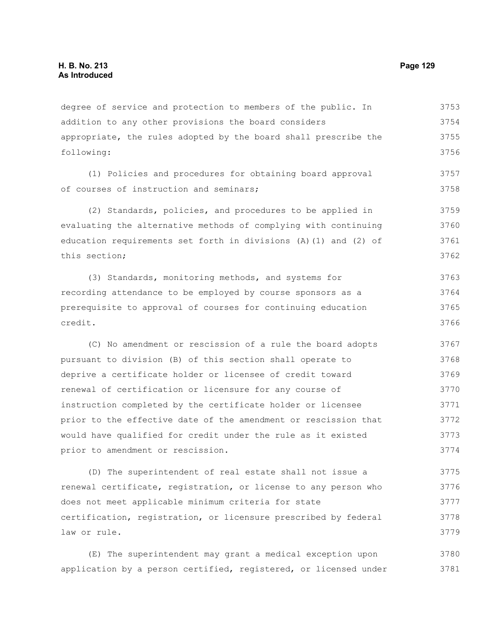degree of service and protection to members of the public. In addition to any other provisions the board considers appropriate, the rules adopted by the board shall prescribe the following: 3753 3754 3755 3756

(1) Policies and procedures for obtaining board approval of courses of instruction and seminars;

(2) Standards, policies, and procedures to be applied in evaluating the alternative methods of complying with continuing education requirements set forth in divisions (A)(1) and (2) of this section; 3759 3760 3761 3762

(3) Standards, monitoring methods, and systems for recording attendance to be employed by course sponsors as a prerequisite to approval of courses for continuing education credit. 3763 3764 3765 3766

(C) No amendment or rescission of a rule the board adopts pursuant to division (B) of this section shall operate to deprive a certificate holder or licensee of credit toward renewal of certification or licensure for any course of instruction completed by the certificate holder or licensee prior to the effective date of the amendment or rescission that would have qualified for credit under the rule as it existed prior to amendment or rescission. 3767 3768 3769 3770 3771 3772 3773 3774

(D) The superintendent of real estate shall not issue a renewal certificate, registration, or license to any person who does not meet applicable minimum criteria for state certification, registration, or licensure prescribed by federal law or rule. 3775 3776 3777 3778 3779

(E) The superintendent may grant a medical exception upon application by a person certified, registered, or licensed under 3780 3781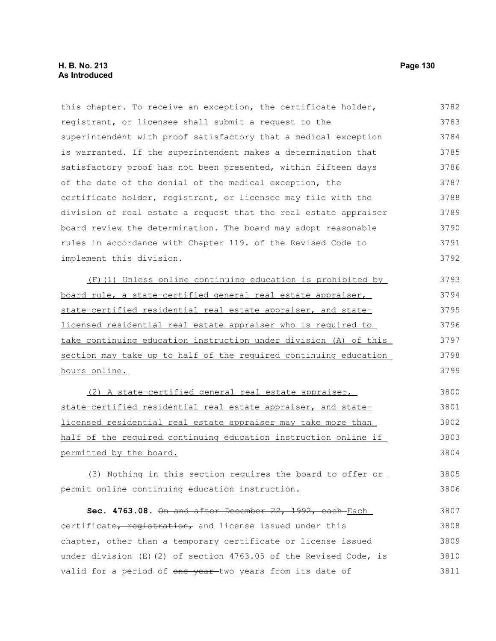3811

#### this chapter. To receive an exception, the certificate holder, registrant, or licensee shall submit a request to the superintendent with proof satisfactory that a medical exception is warranted. If the superintendent makes a determination that satisfactory proof has not been presented, within fifteen days of the date of the denial of the medical exception, the certificate holder, registrant, or licensee may file with the division of real estate a request that the real estate appraiser board review the determination. The board may adopt reasonable rules in accordance with Chapter 119. of the Revised Code to implement this division. (F)(1) Unless online continuing education is prohibited by board rule, a state-certified general real estate appraiser, state-certified residential real estate appraiser, and statelicensed residential real estate appraiser who is required to take continuing education instruction under division (A) of this section may take up to half of the required continuing education hours online. (2) A state-certified general real estate appraiser, state-certified residential real estate appraiser, and statelicensed residential real estate appraiser may take more than half of the required continuing education instruction online if permitted by the board. (3) Nothing in this section requires the board to offer or permit online continuing education instruction. **Sec. 4763.08.** On and after December 22, 1992, each Each certificate, registration, and license issued under this chapter, other than a temporary certificate or license issued under division  $(E)$  (2) of section 4763.05 of the Revised Code, is 3782 3783 3784 3785 3786 3787 3788 3789 3790 3791 3792 3793 3794 3795 3796 3797 3798 3799 3800 3801 3802 3803 3804 3805 3806 3807 3808 3809 3810

valid for a period of one year-two years from its date of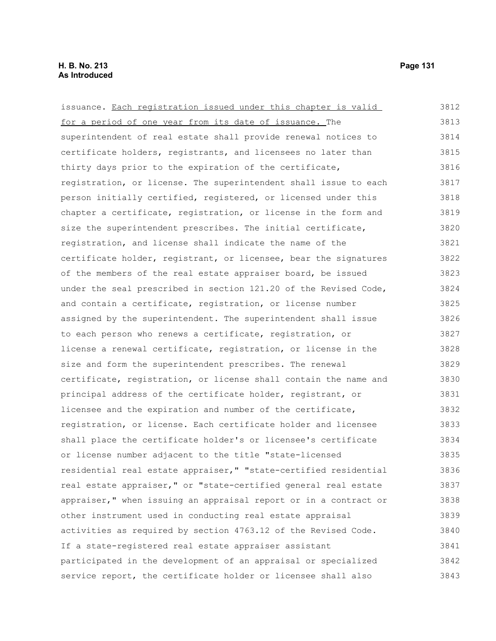| issuance. Each registration issued under this chapter is valid   | 3812 |
|------------------------------------------------------------------|------|
| for a period of one year from its date of issuance. The          | 3813 |
| superintendent of real estate shall provide renewal notices to   | 3814 |
| certificate holders, registrants, and licensees no later than    | 3815 |
| thirty days prior to the expiration of the certificate,          | 3816 |
| registration, or license. The superintendent shall issue to each | 3817 |
| person initially certified, registered, or licensed under this   | 3818 |
| chapter a certificate, registration, or license in the form and  | 3819 |
| size the superintendent prescribes. The initial certificate,     | 3820 |
| registration, and license shall indicate the name of the         | 3821 |
| certificate holder, registrant, or licensee, bear the signatures | 3822 |
| of the members of the real estate appraiser board, be issued     | 3823 |
| under the seal prescribed in section 121.20 of the Revised Code, | 3824 |
| and contain a certificate, registration, or license number       | 3825 |
| assigned by the superintendent. The superintendent shall issue   | 3826 |
| to each person who renews a certificate, registration, or        | 3827 |
| license a renewal certificate, registration, or license in the   | 3828 |
| size and form the superintendent prescribes. The renewal         | 3829 |
| certificate, registration, or license shall contain the name and | 3830 |
| principal address of the certificate holder, registrant, or      | 3831 |
| licensee and the expiration and number of the certificate,       | 3832 |
| registration, or license. Each certificate holder and licensee   | 3833 |
| shall place the certificate holder's or licensee's certificate   | 3834 |
| or license number adjacent to the title "state-licensed          | 3835 |
| residential real estate appraiser," "state-certified residential | 3836 |
| real estate appraiser," or "state-certified general real estate  | 3837 |
| appraiser," when issuing an appraisal report or in a contract or | 3838 |
| other instrument used in conducting real estate appraisal        | 3839 |
| activities as required by section 4763.12 of the Revised Code.   | 3840 |
| If a state-registered real estate appraiser assistant            | 3841 |
| participated in the development of an appraisal or specialized   | 3842 |
| service report, the certificate holder or licensee shall also    | 3843 |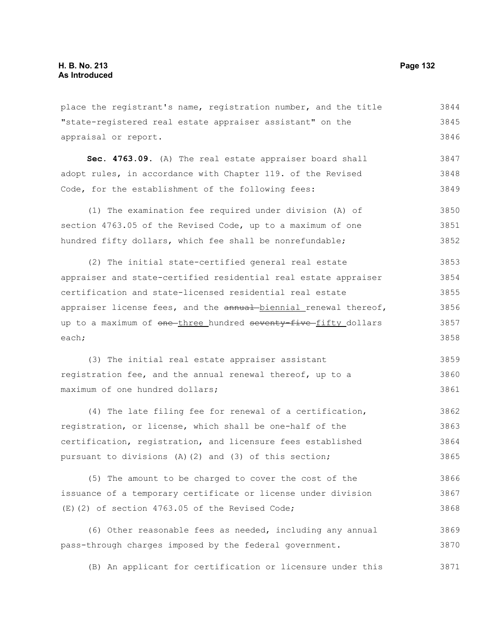place the registrant's name, registration number, and the title "state-registered real estate appraiser assistant" on the appraisal or report. **Sec. 4763.09.** (A) The real estate appraiser board shall adopt rules, in accordance with Chapter 119. of the Revised Code, for the establishment of the following fees: (1) The examination fee required under division (A) of section 4763.05 of the Revised Code, up to a maximum of one hundred fifty dollars, which fee shall be nonrefundable; (2) The initial state-certified general real estate 3844 3845 3846 3847 3848 3849 3850 3851 3852 3853

appraiser and state-certified residential real estate appraiser certification and state-licensed residential real estate appraiser license fees, and the annual biennial renewal thereof, up to a maximum of one three hundred seventy five fifty dollars each; 3854 3855 3856 3857 3858

(3) The initial real estate appraiser assistant registration fee, and the annual renewal thereof, up to a maximum of one hundred dollars; 3859 3860 3861

(4) The late filing fee for renewal of a certification, registration, or license, which shall be one-half of the certification, registration, and licensure fees established pursuant to divisions (A)(2) and (3) of this section; 3862 3863 3864 3865

(5) The amount to be charged to cover the cost of the issuance of a temporary certificate or license under division (E)(2) of section 4763.05 of the Revised Code; 3866 3867 3868

(6) Other reasonable fees as needed, including any annual pass-through charges imposed by the federal government. 3869 3870

(B) An applicant for certification or licensure under this 3871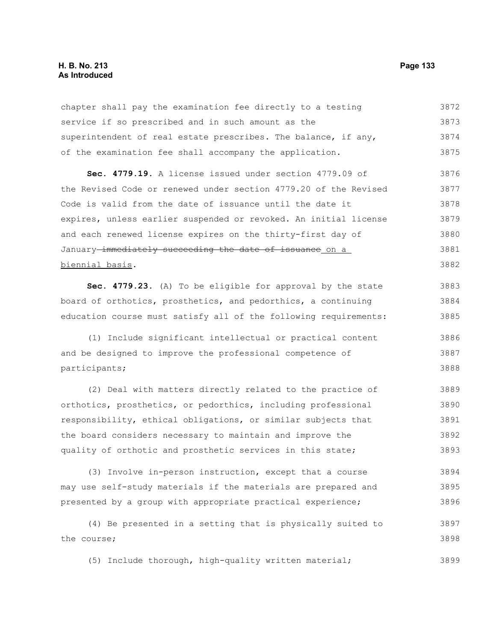### **H. B. No. 213 Page 133 As Introduced**

chapter shall pay the examination fee directly to a testing service if so prescribed and in such amount as the superintendent of real estate prescribes. The balance, if any, of the examination fee shall accompany the application. 3872 3873 3874 3875

**Sec. 4779.19.** A license issued under section 4779.09 of the Revised Code or renewed under section 4779.20 of the Revised Code is valid from the date of issuance until the date it expires, unless earlier suspended or revoked. An initial license and each renewed license expires on the thirty-first day of January-immediately succeeding the date of issuance on a biennial basis. 3876 3877 3878 3879 3880 3881 3882

**Sec. 4779.23.** (A) To be eligible for approval by the state board of orthotics, prosthetics, and pedorthics, a continuing education course must satisfy all of the following requirements: 3883 3884 3885

(1) Include significant intellectual or practical content and be designed to improve the professional competence of participants; 3886 3887 3888

(2) Deal with matters directly related to the practice of orthotics, prosthetics, or pedorthics, including professional responsibility, ethical obligations, or similar subjects that the board considers necessary to maintain and improve the quality of orthotic and prosthetic services in this state; 3889 3890 3891 3892 3893

(3) Involve in-person instruction, except that a course may use self-study materials if the materials are prepared and presented by a group with appropriate practical experience; 3894 3895 3896

(4) Be presented in a setting that is physically suited to the course; 3897 3898

(5) Include thorough, high-quality written material; 3899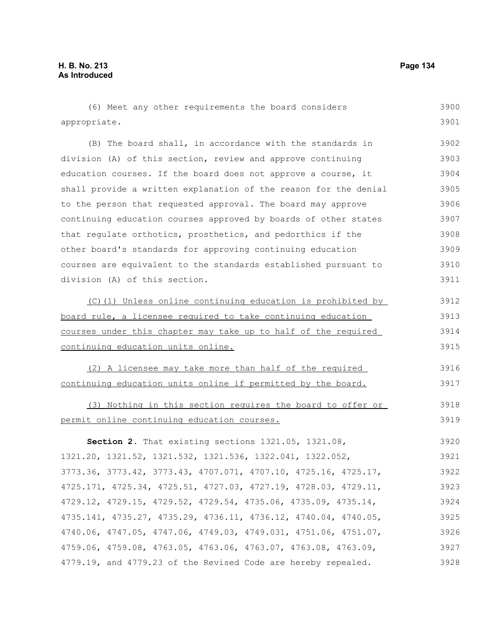| (6) Meet any other requirements the board considers              | 3900 |
|------------------------------------------------------------------|------|
| appropriate.                                                     | 3901 |
| (B) The board shall, in accordance with the standards in         | 3902 |
| division (A) of this section, review and approve continuing      | 3903 |
| education courses. If the board does not approve a course, it    | 3904 |
| shall provide a written explanation of the reason for the denial | 3905 |
| to the person that requested approval. The board may approve     | 3906 |
| continuing education courses approved by boards of other states  | 3907 |
| that regulate orthotics, prosthetics, and pedorthics if the      | 3908 |
| other board's standards for approving continuing education       | 3909 |
| courses are equivalent to the standards established pursuant to  | 3910 |
| division (A) of this section.                                    | 3911 |
| (C)(1) Unless online continuing education is prohibited by       | 3912 |
| board rule, a licensee required to take continuing education     | 3913 |
| courses under this chapter may take up to half of the required   | 3914 |
| continuing education units online.                               | 3915 |
| (2) A licensee may take more than half of the required           | 3916 |
| continuing education units online if permitted by the board.     | 3917 |
| (3) Nothing in this section requires the board to offer or       | 3918 |
| permit online continuing education courses.                      | 3919 |
| Section 2. That existing sections 1321.05, 1321.08,              | 3920 |
| 1321.20, 1321.52, 1321.532, 1321.536, 1322.041, 1322.052,        | 3921 |
| 3773.36, 3773.42, 3773.43, 4707.071, 4707.10, 4725.16, 4725.17,  | 3922 |
| 4725.171, 4725.34, 4725.51, 4727.03, 4727.19, 4728.03, 4729.11,  | 3923 |
| 4729.12, 4729.15, 4729.52, 4729.54, 4735.06, 4735.09, 4735.14,   | 3924 |
| 4735.141, 4735.27, 4735.29, 4736.11, 4736.12, 4740.04, 4740.05,  | 3925 |
| 4740.06, 4747.05, 4747.06, 4749.03, 4749.031, 4751.06, 4751.07,  | 3926 |
| 4759.06, 4759.08, 4763.05, 4763.06, 4763.07, 4763.08, 4763.09,   | 3927 |
| 4779.19, and 4779.23 of the Revised Code are hereby repealed.    | 3928 |